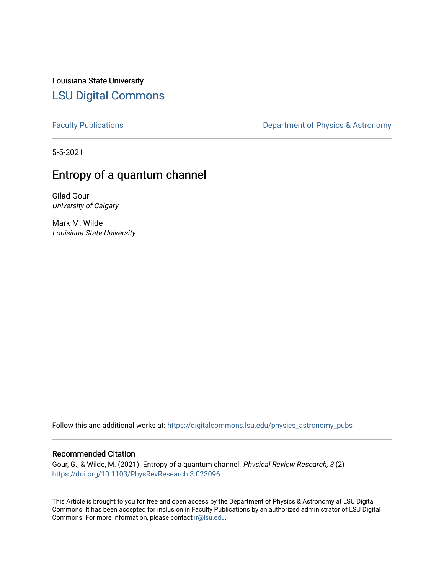Louisiana State University [LSU Digital Commons](https://digitalcommons.lsu.edu/)

[Faculty Publications](https://digitalcommons.lsu.edu/physics_astronomy_pubs) **Exercise 2** Constant Department of Physics & Astronomy

5-5-2021

# Entropy of a quantum channel

Gilad Gour University of Calgary

Mark M. Wilde Louisiana State University

Follow this and additional works at: [https://digitalcommons.lsu.edu/physics\\_astronomy\\_pubs](https://digitalcommons.lsu.edu/physics_astronomy_pubs?utm_source=digitalcommons.lsu.edu%2Fphysics_astronomy_pubs%2F5592&utm_medium=PDF&utm_campaign=PDFCoverPages) 

## Recommended Citation

Gour, G., & Wilde, M. (2021). Entropy of a quantum channel. Physical Review Research, 3 (2) <https://doi.org/10.1103/PhysRevResearch.3.023096>

This Article is brought to you for free and open access by the Department of Physics & Astronomy at LSU Digital Commons. It has been accepted for inclusion in Faculty Publications by an authorized administrator of LSU Digital Commons. For more information, please contact [ir@lsu.edu](mailto:ir@lsu.edu).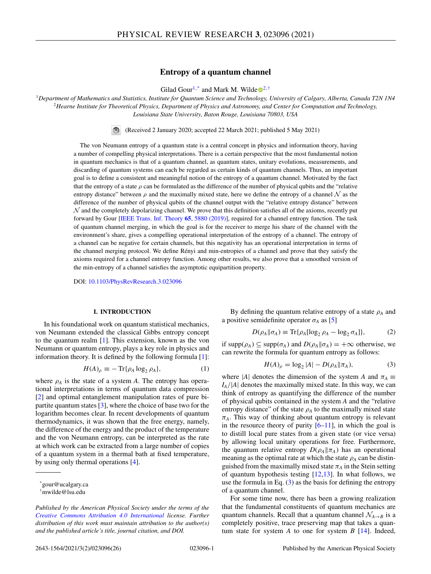## **Entropy of a quantum channel**

Gilad Gour<sup>1,\*</sup> and Mark M. Wild[e](https://orcid.org/0000-0002-3916-4462)  $\mathbb{D}^{2,\dagger}$ 

<span id="page-1-0"></span><sup>1</sup>*Department of Mathematics and Statistics, Institute for Quantum Science and Technology, University of Calgary, Alberta, Canada T2N 1N4* <sup>2</sup>*Hearne Institute for Theoretical Physics, Department of Physics and Astronomy, and Center for Computation and Technology, Louisiana State University, Baton Rouge, Louisiana 70803, USA*

(Received 2 January 2020; accepted 22 March 2021; published 5 May 2021)

The von Neumann entropy of a quantum state is a central concept in physics and information theory, having a number of compelling physical interpretations. There is a certain perspective that the most fundamental notion in quantum mechanics is that of a quantum channel, as quantum states, unitary evolutions, measurements, and discarding of quantum systems can each be regarded as certain kinds of quantum channels. Thus, an important goal is to define a consistent and meaningful notion of the entropy of a quantum channel. Motivated by the fact that the entropy of a state  $\rho$  can be formulated as the difference of the number of physical qubits and the "relative" entropy distance" between  $\rho$  and the maximally mixed state, here we define the entropy of a channel  $N$  as the difference of the number of physical qubits of the channel output with the "relative entropy distance" between  $N$  and the completely depolarizing channel. We prove that this definition satisfies all of the axioms, recently put forward by Gour [\[IEEE Trans. Inf. Theory](https://doi.org/10.1109/TIT.2019.2907989) **65**, 5880 (2019)], required for a channel entropy function. The task of quantum channel merging, in which the goal is for the receiver to merge his share of the channel with the environment's share, gives a compelling operational interpretation of the entropy of a channel. The entropy of a channel can be negative for certain channels, but this negativity has an operational interpretation in terms of the channel merging protocol. We define Rényi and min-entropies of a channel and prove that they satisfy the axioms required for a channel entropy function. Among other results, we also prove that a smoothed version of the min-entropy of a channel satisfies the asymptotic equipartition property.

DOI: [10.1103/PhysRevResearch.3.023096](https://doi.org/10.1103/PhysRevResearch.3.023096)

## **I. INTRODUCTION**

In his foundational work on quantum statistical mechanics, von Neumann extended the classical Gibbs entropy concept to the quantum realm [\[1\]](#page-24-0). This extension, known as the von Neumann or quantum entropy, plays a key role in physics and information theory. It is defined by the following formula [\[1\]](#page-24-0):

$$
H(A)_{\rho} \equiv -\operatorname{Tr}\{\rho_A \log_2 \rho_A\},\tag{1}
$$

where  $\rho_A$  is the state of a system *A*. The entropy has operational interpretations in terms of quantum data compression [\[2\]](#page-24-0) and optimal entanglement manipulation rates of pure bipartite quantum states [\[3\]](#page-24-0), where the choice of base two for the logarithm becomes clear. In recent developments of quantum thermodynamics, it was shown that the free energy, namely, the difference of the energy and the product of the temperature and the von Neumann entropy, can be interpreted as the rate at which work can be extracted from a large number of copies of a quantum system in a thermal bath at fixed temperature, by using only thermal operations [\[4\]](#page-24-0).

By defining the quantum relative entropy of a state ρ*<sup>A</sup>* and a positive semidefinite operator  $\sigma_A$  as [\[5\]](#page-24-0)

$$
D(\rho_A \|\sigma_A) \equiv \text{Tr}\{\rho_A [\log_2 \rho_A - \log_2 \sigma_A]\},\tag{2}
$$

if  $\text{supp}(\rho_A) \subseteq \text{supp}(\sigma_A)$  and  $D(\rho_A || \sigma_A) = +\infty$  otherwise, we can rewrite the formula for quantum entropy as follows:

$$
H(A)_{\rho} = \log_2 |A| - D(\rho_A \| \pi_A), \tag{3}
$$

where |*A*| denotes the dimension of the system *A* and  $\pi_A \equiv$ *IA*/|*A*| denotes the maximally mixed state. In this way, we can think of entropy as quantifying the difference of the number of physical qubits contained in the system *A* and the "relative entropy distance" of the state  $\rho_A$  to the maximally mixed state  $\pi_A$ . This way of thinking about quantum entropy is relevant in the resource theory of purity  $[6–11]$ , in which the goal is to distill local pure states from a given state (or vice versa) by allowing local unitary operations for free. Furthermore, the quantum relative entropy  $D(\rho_A || \pi_A)$  has an operational meaning as the optimal rate at which the state  $\rho_A$  can be distinguished from the maximally mixed state  $\pi_A$  in the Stein setting of quantum hypothesis testing [\[12,13\]](#page-24-0). In what follows, we use the formula in Eq.  $(3)$  as the basis for defining the entropy of a quantum channel.

For some time now, there has been a growing realization that the fundamental constituents of quantum mechanics are quantum channels. Recall that a quantum channel  $\mathcal{N}_{A\rightarrow B}$  is a completely positive, trace preserving map that takes a quantum state for system *A* to one for system *B* [\[14\]](#page-24-0). Indeed,

<sup>\*</sup>gour@ucalgary.ca

<sup>†</sup>mwilde@lsu.edu

*Published by the American Physical Society under the terms of the [Creative Commons Attribution 4.0 International](https://creativecommons.org/licenses/by/4.0/) license. Further distribution of this work must maintain attribution to the author(s) and the published article's title, journal citation, and DOI.*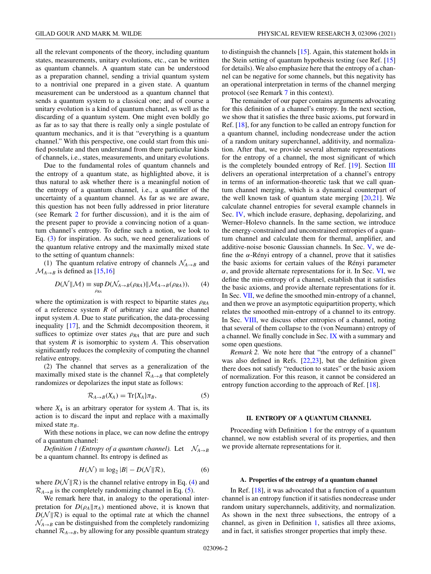<span id="page-2-0"></span>all the relevant components of the theory, including quantum states, measurements, unitary evolutions, etc., can be written as quantum channels. A quantum state can be understood as a preparation channel, sending a trivial quantum system to a nontrivial one prepared in a given state. A quantum measurement can be understood as a quantum channel that sends a quantum system to a classical one; and of course a unitary evolution is a kind of quantum channel, as well as the discarding of a quantum system. One might even boldly go as far as to say that there is really only a single postulate of quantum mechanics, and it is that "everything is a quantum channel." With this perspective, one could start from this unified postulate and then understand from there particular kinds of channels, i.e., states, measurements, and unitary evolutions.

Due to the fundamental roles of quantum channels and the entropy of a quantum state, as highlighted above, it is thus natural to ask whether there is a meaningful notion of the entropy of a quantum channel, i.e., a quantifier of the uncertainty of a quantum channel. As far as we are aware, this question has not been fully addressed in prior literature (see Remark 2 for further discussion), and it is the aim of the present paper to provide a convincing notion of a quantum channel's entropy. To define such a notion, we look to Eq. [\(3\)](#page-1-0) for inspiration. As such, we need generalizations of the quantum relative entropy and the maximally mixed state to the setting of quantum channels:

(1) The quantum relative entropy of channels  $\mathcal{N}_{A\rightarrow B}$  and  $M_{A\rightarrow B}$  is defined as [\[15,16\]](#page-24-0)

$$
D(\mathcal{N}||\mathcal{M}) \equiv \sup_{\rho_{RA}} D(\mathcal{N}_{A \to B}(\rho_{RA}) || \mathcal{M}_{A \to B}(\rho_{RA})), \qquad (4)
$$

where the optimization is with respect to bipartite states  $\rho_{RA}$ of a reference system *R* of arbitrary size and the channel input system *A*. Due to state purification, the data-processing inequality [\[17\]](#page-24-0), and the Schmidt decomposition theorem, it suffices to optimize over states  $\rho_{RA}$  that are pure and such that system *R* is isomorphic to system *A*. This observation significantly reduces the complexity of computing the channel relative entropy.

(2) The channel that serves as a generalization of the maximally mixed state is the channel  $\mathcal{R}_{A\rightarrow B}$  that completely randomizes or depolarizes the input state as follows:

$$
\mathcal{R}_{A \to B}(X_A) = \text{Tr}\{X_A\} \pi_B,\tag{5}
$$

where  $X_A$  is an arbitrary operator for system  $A$ . That is, its action is to discard the input and replace with a maximally mixed state  $\pi_B$ .

With these notions in place, we can now define the entropy of a quantum channel:

*Definition 1 (Entropy of a quantum channel).* Let  $\mathcal{N}_{A\rightarrow B}$ be a quantum channel. Its entropy is defined as

$$
H(\mathcal{N}) \equiv \log_2 |B| - D(\mathcal{N}||\mathcal{R}),\tag{6}
$$

where  $D(N||R)$  is the channel relative entropy in Eq. (4) and  $\mathcal{R}_{A\rightarrow B}$  is the completely randomizing channel in Eq. (5).

We remark here that, in analogy to the operational interpretation for  $D(\rho_A || \pi_A)$  mentioned above, it is known that  $D(N||R)$  is equal to the optimal rate at which the channel  $\mathcal{N}_{A\rightarrow B}$  can be distinguished from the completely randomizing channel  $\mathcal{R}_{A\rightarrow B}$ , by allowing for any possible quantum strategy

to distinguish the channels [\[15\]](#page-24-0). Again, this statement holds in the Stein setting of quantum hypothesis testing (see Ref. [\[15\]](#page-24-0) for details). We also emphasize here that the entropy of a channel can be negative for some channels, but this negativity has an operational interpretation in terms of the channel merging protocol (see Remark [7](#page-5-0) in this context).

The remainder of our paper contains arguments advocating for this definition of a channel's entropy. In the next section, we show that it satisfies the three basic axioms, put forward in Ref. [\[18\]](#page-24-0), for any function to be called an entropy function for a quantum channel, including nondecrease under the action of a random unitary superchannel, additivity, and normalization. After that, we provide several alternate representations for the entropy of a channel, the most significant of which is the completely bounded entropy of Ref. [\[19\]](#page-24-0). Section [III](#page-5-0) delivers an operational interpretation of a channel's entropy in terms of an information-theoretic task that we call quantum channel merging, which is a dynamical counterpart of the well known task of quantum state merging  $[20,21]$ . We calculate channel entropies for several example channels in Sec. [IV,](#page-6-0) which include erasure, dephasing, depolarizing, and Werner–Holevo channels. In the same section, we introduce the energy-constrained and unconstrained entropies of a quantum channel and calculate them for thermal, amplifier, and additive-noise bosonic Gaussian channels. In Sec. [V,](#page-9-0) we define the  $\alpha$ -Rényi entropy of a channel, prove that it satisfies the basic axioms for certain values of the Rényi parameter  $\alpha$ , and provide alternate representations for it. In Sec. [VI,](#page-11-0) we define the min-entropy of a channel, establish that it satisfies the basic axioms, and provide alternate representations for it. In Sec. [VII,](#page-13-0) we define the smoothed min-entropy of a channel, and then we prove an asymptotic equipartition property, which relates the smoothed min-entropy of a channel to its entropy. In Sec. [VIII,](#page-15-0) we discuss other entropies of a channel, noting that several of them collapse to the (von Neumann) entropy of a channel. We finally conclude in Sec. [IX](#page-18-0) with a summary and some open questions.

*Remark 2.* We note here that "the entropy of a channel" was also defined in Refs. [\[22,23\]](#page-24-0), but the definition given there does not satisfy "reduction to states" or the basic axiom of normalization. For this reason, it cannot be considered an entropy function according to the approach of Ref. [\[18\]](#page-24-0).

#### **II. ENTROPY OF A QUANTUM CHANNEL**

Proceeding with Definition 1 for the entropy of a quantum channel, we now establish several of its properties, and then we provide alternate representations for it.

#### **A. Properties of the entropy of a quantum channel**

In Ref. [\[18\]](#page-24-0), it was advocated that a function of a quantum channel is an entropy function if it satisfies nondecrease under random unitary superchannels, additivity, and normalization. As shown in the next three subsections, the entropy of a channel, as given in Definition 1, satisfies all three axioms, and in fact, it satisfies stronger properties that imply these.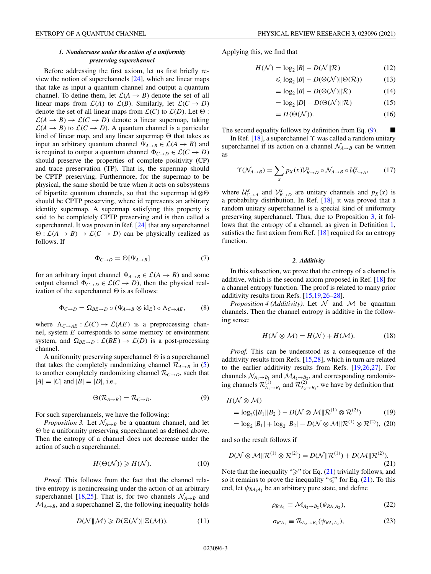## *1. Nondecrease under the action of a uniformity preserving superchannel*

<span id="page-3-0"></span>Before addressing the first axiom, let us first briefly review the notion of superchannels [\[24\]](#page-24-0), which are linear maps that take as input a quantum channel and output a quantum channel. To define them, let  $\mathcal{L}(A \rightarrow B)$  denote the set of all linear maps from  $\mathcal{L}(A)$  to  $\mathcal{L}(B)$ . Similarly, let  $\mathcal{L}(C \rightarrow D)$ denote the set of all linear maps from  $\mathcal{L}(C)$  to  $\mathcal{L}(D)$ . Let  $\Theta$ :  $\mathcal{L}(A \rightarrow B) \rightarrow \mathcal{L}(C \rightarrow D)$  denote a linear supermap, taking  $\mathcal{L}(A \rightarrow B)$  to  $\mathcal{L}(C \rightarrow D)$ . A quantum channel is a particular kind of linear map, and any linear supermap  $\Theta$  that takes as input an arbitrary quantum channel  $\Psi_{A\rightarrow B} \in \mathcal{L}(A \rightarrow B)$  and is required to output a quantum channel  $\Phi_{C\to D} \in \mathcal{L}(C \to D)$ should preserve the properties of complete positivity (CP) and trace preservation (TP). That is, the supermap should be CPTP preserving. Furthermore, for the supermap to be physical, the same should be true when it acts on subsystems of bipartite quantum channels, so that the supermap id  $\otimes \Theta$ should be CPTP preserving, where id represents an arbitrary identity supermap. A supermap satisfying this property is said to be completely CPTP preserving and is then called a superchannel. It was proven in Ref. [\[24\]](#page-24-0) that any superchannel  $\Theta$ :  $\mathcal{L}(A \rightarrow B) \rightarrow \mathcal{L}(C \rightarrow D)$  can be physically realized as follows. If

$$
\Phi_{C \to D} = \Theta[\Psi_{A \to B}] \tag{7}
$$

for an arbitrary input channel  $\Psi_{A\rightarrow B} \in \mathcal{L}(A \rightarrow B)$  and some output channel  $\Phi_{C \to D} \in \mathcal{L}(C \to D)$ , then the physical realization of the superchannel  $\Theta$  is as follows:

$$
\Phi_{C \to D} = \Omega_{BE \to D} \circ (\Psi_{A \to B} \otimes id_E) \circ \Lambda_{C \to AE}, \tag{8}
$$

where  $\Lambda_{C \to AE} : \mathcal{L}(C) \to \mathcal{L}(AE)$  is a preprocessing channel, system *E* corresponds to some memory or environment system, and  $\Omega_{BE\rightarrow D}$ :  $\mathcal{L}(BE) \rightarrow \mathcal{L}(D)$  is a post-processing channel.

A uniformity preserving superchannel  $\Theta$  is a superchannel that takes the completely randomizing channel  $\mathcal{R}_{A\rightarrow B}$  in [\(5\)](#page-2-0) to another completely randomizing channel  $\mathcal{R}_{C\rightarrow D}$ , such that  $|A| = |C|$  and  $|B| = |D|$ , i.e.,

$$
\Theta(\mathcal{R}_{A \to B}) = \mathcal{R}_{C \to D}.\tag{9}
$$

For such superchannels, we have the following:

*Proposition 3.* Let  $\mathcal{N}_{A\rightarrow B}$  be a quantum channel, and let  $\Theta$  be a uniformity preserving superchannel as defined above. Then the entropy of a channel does not decrease under the action of such a superchannel:

$$
H(\Theta(\mathcal{N})) \ge H(\mathcal{N}).\tag{10}
$$

*Proof.* This follows from the fact that the channel relative entropy is nonincreasing under the action of an arbitrary superchannel [\[18,25\]](#page-24-0). That is, for two channels  $\mathcal{N}_{A\rightarrow B}$  and  $\mathcal{M}_{A\rightarrow B}$ , and a superchannel  $\Xi$ , the following inequality holds

$$
D(\mathcal{N}||\mathcal{M}) \geqslant D(\Xi(\mathcal{N})||\Xi(\mathcal{M})).\tag{11}
$$

Applying this, we find that

$$
H(\mathcal{N}) = \log_2 |B| - D(\mathcal{N}||\mathcal{R})
$$
\n(12)

$$
\leqslant \log_2 |B| - D(\Theta(\mathcal{N}) \|\Theta(\mathcal{R})) \tag{13}
$$

$$
= \log_2 |B| - D(\Theta(\mathcal{N}) || \mathcal{R}) \tag{14}
$$

$$
= \log_2 |D| - D(\Theta(\mathcal{N}) || \mathcal{R}) \tag{15}
$$

$$
=H(\Theta(\mathcal{N})).\tag{16}
$$

The second equality follows by definition from Eq.  $(9)$ .

In Ref. [\[18\]](#page-24-0), a superchannel  $\Upsilon$  was called a random unitary superchannel if its action on a channel  $\mathcal{N}_{A\rightarrow B}$  can be written as

$$
\Upsilon(\mathcal{N}_{A\to B}) = \sum_{x} p_X(x) \mathcal{V}_{B\to D}^x \circ \mathcal{N}_{A\to B} \circ \mathcal{U}_{C\to A}^x,\tag{17}
$$

where  $U_{C\rightarrow A}^x$  and  $V_{B\rightarrow D}^x$  are unitary channels and  $p_X(x)$  is a probability distribution. In Ref. [\[18\]](#page-24-0), it was proved that a random unitary superchannel is a special kind of uniformity preserving superchannel. Thus, due to Proposition 3, it follows that the entropy of a channel, as given in Definition [1,](#page-2-0) satisfies the first axiom from Ref. [\[18\]](#page-24-0) required for an entropy function.

#### *2. Additivity*

In this subsection, we prove that the entropy of a channel is additive, which is the second axiom proposed in Ref. [\[18\]](#page-24-0) for a channel entropy function. The proof is related to many prior additivity results from Refs. [\[15,19,26–28\]](#page-24-0).

*Proposition 4 (Additivity).* Let  $\mathcal N$  and  $\mathcal M$  be quantum channels. Then the channel entropy is additive in the following sense:

$$
H(\mathcal{N} \otimes \mathcal{M}) = H(\mathcal{N}) + H(\mathcal{M}). \tag{18}
$$

*Proof.* This can be understood as a consequence of the additivity results from Refs. [\[15,28\]](#page-24-0), which in turn are related to the earlier additivity results from Refs. [\[19,26,27\]](#page-24-0). For channels  $\mathcal{N}_{A_1\rightarrow B_1}$  and  $\mathcal{M}_{A_2\rightarrow B_2}$ , and corresponding randomizing channels  $\mathcal{R}_{A_1 \to B_1}^{(1)}$  and  $\mathcal{R}_{A_2 \to B_2}^{(2)}$ , we have by definition that

$$
H(\mathcal{N} \otimes \mathcal{M})
$$
  
= log<sub>2</sub>(|B<sub>1</sub>||B<sub>2</sub>|) - D( $\mathcal{N} \otimes \mathcal{M}$ || $\mathcal{R}^{(1)} \otimes \mathcal{R}^{(2)}$ ) (19)  
= log<sub>2</sub>|B<sub>1</sub>| + log<sub>2</sub>|B<sub>2</sub>| - D( $\mathcal{N} \otimes \mathcal{M}$ || $\mathcal{R}^{(1)} \otimes \mathcal{R}^{(2)}$ ), (20)

and so the result follows if

$$
D(\mathcal{N}\otimes\mathcal{M}||\mathcal{R}^{(1)}\otimes\mathcal{R}^{(2)})=D(\mathcal{N}||\mathcal{R}^{(1)})+D(\mathcal{M}||\mathcal{R}^{(2)}).
$$
\n(21)

Note that the inequality " $\geq$ " for Eq. (21) trivially follows, and so it remains to prove the inequality " $\leq$ " for Eq. (21). To this end, let  $\psi_{RA_1A_2}$  be an arbitrary pure state, and define

$$
\rho_{R'A_1} \equiv \mathcal{M}_{A_2 \to B_2}(\psi_{R A_1 A_2}), \tag{22}
$$

$$
\sigma_{R'A_1} \equiv \mathcal{R}_{A_2 \to B_2}(\psi_{RA_1A_2}), \tag{23}
$$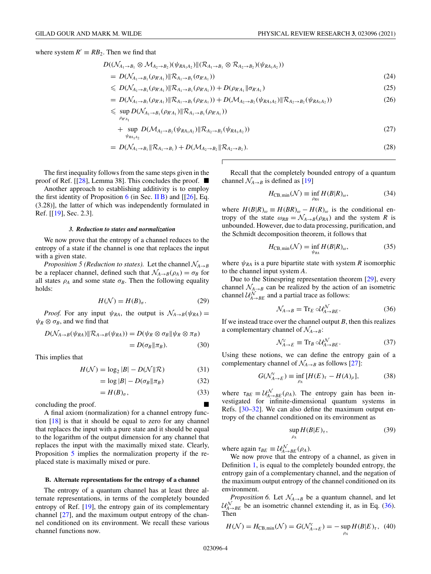<span id="page-4-0"></span>where system  $R' \equiv RB_2$ . Then we find that

$$
D((\mathcal{N}_{A_1\rightarrow B_1}\otimes\mathcal{M}_{A_2\rightarrow B_2})(\psi_{RA_1A_2})\|(\mathcal{R}_{A_1\rightarrow B_1}\otimes\mathcal{R}_{A_2\rightarrow B_2})(\psi_{RA_1A_2}))
$$

$$
= D(\mathcal{N}_{A_1 \to B_1}(\rho_{R'A_1}) \| R_{A_1 \to B_1}(\sigma_{R'A_1})) \tag{24}
$$

$$
\leq D(\mathcal{N}_{A_1 \to B_1}(\rho_{R'A_1}) \| R_{A_1 \to B_1}(\rho_{R'A_1})) + D(\rho_{R'A_1} \| \sigma_{R'A_1}) \tag{25}
$$

$$
= D(\mathcal{N}_{A_1 \to B_1}(\rho_{R'A_1}) \| R_{A_1 \to B_1}(\rho_{R'A_1})) + D(\mathcal{M}_{A_2 \to B_2}(\psi_{R A_1 A_2}) \| R_{A_2 \to B_2}(\psi_{R A_1 A_2}))
$$
(26)

$$
\leqslant \sup_{\rho_{R'A_1}} D(\mathcal{N}_{A_1\rightarrow B_1}(\rho_{R'A_1}) \|\mathcal{R}_{A_1\rightarrow B_1}(\rho_{R'A_1}))
$$

+ 
$$
\sup_{\psi_{RA_1A_2}} D(\mathcal{M}_{A_2 \to B_2}(\psi_{RA_1A_2}) \| R_{A_2 \to B_2}(\psi_{RA_1A_2}))
$$
 (27)

$$
= D(\mathcal{N}_{A_1 \to B_1} \| \mathcal{R}_{A_1 \to B_1}) + D(\mathcal{M}_{A_2 \to B_2} \| \mathcal{R}_{A_2 \to B_2}). \tag{28}
$$

Г

The first inequality follows from the same steps given in the proof of Ref. [ $[28]$ , Lemma 38]. This concludes the proof.  $\blacksquare$ 

Another approach to establishing additivity is to employ the first identity of Proposition  $6$  (in Sec. II B) and [[\[26\]](#page-24-0), Eq. (3.28)], the latter of which was independently formulated in Ref. [[\[19\]](#page-24-0), Sec. 2.3].

#### *3. Reduction to states and normalization*

We now prove that the entropy of a channel reduces to the entropy of a state if the channel is one that replaces the input with a given state.

*Proposition 5 (Reduction to states).* Let the channel  $\mathcal{N}_{A\rightarrow B}$ be a replacer channel, defined such that  $\mathcal{N}_{A\rightarrow B}(\rho_A) = \sigma_B$  for all states  $\rho_A$  and some state  $\sigma_B$ . Then the following equality holds:

$$
H(\mathcal{N}) = H(B)_{\sigma}.
$$
 (29)

*Proof.* For any input  $\psi_{RA}$ , the output is  $\mathcal{N}_{A\rightarrow B}(\psi_{RA}) =$  $\psi_R \otimes \sigma_B$ , and we find that

$$
D(\mathcal{N}_{A\to B}(\psi_{RA}) \| R_{A\to B}(\psi_{RA})) = D(\psi_R \otimes \sigma_B \| \psi_R \otimes \pi_B)
$$
  
= 
$$
D(\sigma_B \| \pi_B).
$$
 (30)

This implies that

$$
H(\mathcal{N}) = \log_2 |B| - D(\mathcal{N}||\mathcal{R})
$$
\n(31)

$$
= \log |B| - D(\sigma_B || \pi_B)
$$
 (32)

$$
=H(B)_{\sigma},\tag{33}
$$

concluding the proof.

A final axiom (normalization) for a channel entropy function [\[18\]](#page-24-0) is that it should be equal to zero for any channel that replaces the input with a pure state and it should be equal to the logarithm of the output dimension for any channel that replaces the input with the maximally mixed state. Clearly, Proposition 5 implies the normalization property if the replaced state is maximally mixed or pure.

#### **B. Alternate representations for the entropy of a channel**

The entropy of a quantum channel has at least three alternate representations, in terms of the completely bounded entropy of Ref. [\[19\]](#page-24-0), the entropy gain of its complementary channel [\[27\]](#page-24-0), and the maximum output entropy of the channel conditioned on its environment. We recall these various channel functions now.

Recall that the completely bounded entropy of a quantum channel  $\mathcal{N}_{A\rightarrow B}$  is defined as [\[19\]](#page-24-0)

$$
H_{\rm CB,min}(\mathcal{N}) \equiv \inf_{\rho_{RA}} H(B|R)_{\omega},\tag{34}
$$

where  $H(B|R)_{\omega} \equiv H(BR)_{\omega} - H(R)_{\omega}$  is the conditional entropy of the state  $\omega_{RB} = \mathcal{N}_{A\rightarrow B}(\rho_{RA})$  and the system *R* is unbounded. However, due to data processing, purification, and the Schmidt decomposition theorem, it follows that

$$
H_{\rm CB,min}(\mathcal{N}) = \inf_{\psi_{RA}} H(B|R)_{\omega},\tag{35}
$$

where  $\psi_{RA}$  is a pure bipartite state with system *R* isomorphic to the channel input system *A*.

Due to the Stinespring representation theorem [\[29\]](#page-24-0), every channel  $\mathcal{N}_{A\rightarrow B}$  can be realized by the action of an isometric channel  $\mathcal{U}_{A\rightarrow BE}^{N}$  and a partial trace as follows:

$$
\mathcal{N}_{A \to B} = \text{Tr}_E \circ \mathcal{U}_{A \to BE}^{\mathcal{N}}.
$$
 (36)

If we instead trace over the channel output  $B$ , then this realizes a complementary channel of  $\mathcal{N}_{A\rightarrow B}$ :

$$
\mathcal{N}_{A \to E}^c \equiv \text{Tr}_B \circ \mathcal{U}_{A \to BE}^{\mathcal{N}}.
$$
 (37)

Using these notions, we can define the entropy gain of a complementary channel of  $\mathcal{N}_{A\rightarrow B}$  as follows [\[27\]](#page-24-0):

$$
G(\mathcal{N}_{A\to E}^c) \equiv \inf_{\rho_A} [H(E)_{\tau} - H(A)_{\rho}], \tag{38}
$$

where  $\tau_{BE} \equiv \mathcal{U}_{A\rightarrow BE}^{\mathcal{N}}(\rho_A)$ . The entropy gain has been investigated for infinite-dimensional quantum systems in Refs. [\[30–32\]](#page-24-0). We can also define the maximum output entropy of the channel conditioned on its environment as

$$
\sup_{\rho_A} H(B|E)_{\tau},\tag{39}
$$

where again  $\tau_{BE} \equiv \mathcal{U}_{A\rightarrow BE}^{\mathcal{N}}(\rho_A)$ .

We now prove that the entropy of a channel, as given in Definition [1,](#page-2-0) is equal to the completely bounded entropy, the entropy gain of a complementary channel, and the negation of the maximum output entropy of the channel conditioned on its environment.

*Proposition 6.* Let  $\mathcal{N}_{A\rightarrow B}$  be a quantum channel, and let  $\mathcal{U}_{A\rightarrow BE}^{N}$  be an isometric channel extending it, as in Eq. (36). Then

$$
H(\mathcal{N}) = H_{\text{CB,min}}(\mathcal{N}) = G(\mathcal{N}_{A \to E}^c) = -\sup_{\rho_A} H(B|E)_{\tau}, \tag{40}
$$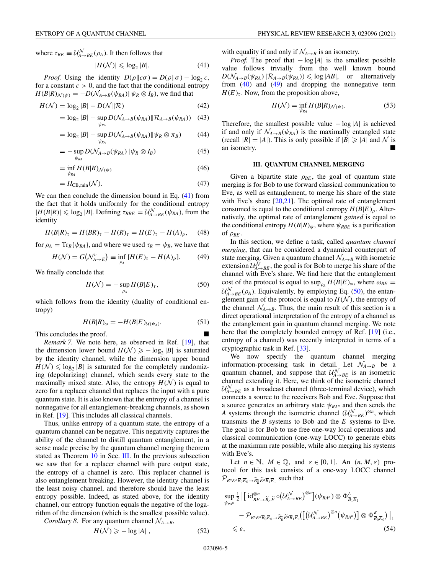<span id="page-5-0"></span>where  $\tau_{BE} \equiv \mathcal{U}_{A\rightarrow BE}^{\mathcal{N}}(\rho_A)$ . It then follows that

$$
|H(\mathcal{N})| \leqslant \log_2 |B|.
$$
 (41)

*Proof.* Using the identity  $D(\rho \| c\sigma) = D(\rho \| \sigma) - \log_2 c$ , for a constant  $c > 0$ , and the fact that the conditional entropy  $H(B|R)_{\mathcal{N}(\psi)} = -D(\mathcal{N}_{A\rightarrow B}(\psi_{RA})||\psi_R \otimes I_B)$ , we find that

$$
H(\mathcal{N}) = \log_2 |B| - D(\mathcal{N}||\mathcal{R})
$$
\n(42)

$$
= \log_2 |B| - \sup_{\psi_{RA}} D(\mathcal{N}_{A \to B}(\psi_{RA}) || \mathcal{R}_{A \to B}(\psi_{RA})) \quad (43)
$$

$$
= \log_2 |B| - \sup_{\psi_{RA}} D(\mathcal{N}_{A \to B}(\psi_{RA}) \| \psi_R \otimes \pi_B)
$$
(44)

$$
= - \sup_{\psi_{RA}} D(\mathcal{N}_{A \to B}(\psi_{RA}) || \psi_R \otimes I_B)
$$
(45)

$$
= \inf_{\psi_{RA}} H(B|R)_{\mathcal{N}(\psi)} \tag{46}
$$

$$
=H_{\rm CB,min}(\mathcal{N}).\tag{47}
$$

We can then conclude the dimension bound in Eq. (41) from the fact that it holds uniformly for the conditional entropy  $|H(B|R)| \leq \log_2 |B|$ . Defining  $\tau_{RBE} = \mathcal{U}_{A \to BE}^{\mathcal{N}}(\psi_{RA})$ , from the identity

$$
H(B|R)_{\tau} = H(BR)_{\tau} - H(R)_{\tau} = H(E)_{\tau} - H(A)_{\rho}, \quad (48)
$$

for  $\rho_A = \text{Tr}_R{\psi_{RA}}$ , and where we used  $\tau_R = \psi_R$ , we have that

$$
H(\mathcal{N}) = G\big(\mathcal{N}_{A \to E}^c\big) \equiv \inf_{\rho_A} \left[ H(E)_{\tau} - H(A)_{\rho} \right]. \tag{49}
$$

We finally conclude that

$$
H(\mathcal{N}) = -\sup_{\rho_A} H(B|E)_{\tau},\tag{50}
$$

which follows from the identity (duality of conditional entropy)

$$
H(B|R)_{\omega} = -H(B|E)_{\mathcal{U}(\psi_A)}.\tag{51}
$$

This concludes the proof.

*Remark 7.* We note here, as observed in Ref. [\[19\]](#page-24-0), that the dimension lower bound  $H(\mathcal{N}) \ge -\log_2 |\mathcal{B}|$  is saturated by the identity channel, while the dimension upper bound  $H(\mathcal{N}) \leq \log_2 |\mathcal{B}|$  is saturated for the completely randomizing (depolarizing) channel, which sends every state to the maximally mixed state. Also, the entropy  $H(N)$  is equal to zero for a replacer channel that replaces the input with a pure quantum state. It is also known that the entropy of a channel is nonnegative for all entanglement-breaking channels, as shown in Ref. [\[19\]](#page-24-0). This includes all classical channels.

Thus, unlike entropy of a quantum state, the entropy of a quantum channel can be negative. This negativity captures the ability of the channel to distill quantum entanglement, in a sense made precise by the quantum channel merging theorem stated as Theorem [10](#page-6-0) in Sec. III. In the previous subsection we saw that for a replacer channel with pure output state, the entropy of a channel is zero. This replacer channel is also entanglement breaking. However, the identity channel is the least noisy channel, and therefore should have the least entropy possible. Indeed, as stated above, for the identity channel, our entropy function equals the negative of the logarithm of the dimension (which is the smallest possible value).

*Corollary 8.* For any quantum channel  $\mathcal{N}_{A\rightarrow B}$ ,

$$
H(\mathcal{N}) \geqslant -\log|A| \,,\tag{52}
$$

with equality if and only if  $\mathcal{N}_{A\rightarrow B}$  is an isometry.

*Proof.* The proof that − log |*A*| is the smallest possible value follows trivially from the well known bound  $D(\mathcal{N}_{A\rightarrow B}(\psi_{RA})|\mathcal{R}_{A\rightarrow B}(\psi_{RA})) \leq \log |AB|$ , or alternatively from  $(40)$  and  $(49)$  and dropping the nonnegative term  $H(E)_{\tau}$ . Now, from the proposition above,

$$
H(\mathcal{N}) = \inf_{\psi_{RA}} H(B|R)_{\mathcal{N}(\psi)}.
$$
 (53)

Therefore, the smallest possible value − log |*A*| is achieved if and only if  $\mathcal{N}_{A\rightarrow B}(\psi_{RA})$  is the maximally entangled state (recall  $|R| = |A|$ ). This is only possible if  $|B| \ge |A|$  and N is an isometry.

#### **III. QUANTUM CHANNEL MERGING**

Given a bipartite state  $\rho_{BE}$ , the goal of quantum state merging is for Bob to use forward classical communication to Eve, as well as entanglement, to merge his share of the state with Eve's share [\[20,21\]](#page-24-0). The optimal rate of entanglement consumed is equal to the conditional entropy  $H(B|E)_{\rho}$ . Alternatively, the optimal rate of entanglement *gained* is equal to the conditional entropy  $H(B|R)_{\psi}$ , where  $\psi_{RBE}$  is a purification of  $\rho_{BE}$ .

In this section, we define a task, called *quantum channel merging*, that can be considered a dynamical counterpart of state merging. Given a quantum channel  $\mathcal{N}_{A\rightarrow B}$  with isometric extension  $\mathcal{U}_{A\rightarrow BE}^{N}$ , the goal is for Bob to merge his share of the channel with Eve's share. We find here that the entanglement cost of the protocol is equal to  $\sup_{\rho_A} H(B|E)_{\omega}$ , where  $\omega_{BE} =$  $\mathcal{U}_{A\rightarrow BE}^{N}(\rho_A)$ . Equivalently, by employing Eq. (50), the entanglement gain of the protocol is equal to  $H(N)$ , the entropy of the channel  $\mathcal{N}_{A\rightarrow B}$ . Thus, the main result of this section is a direct operational interpretation of the entropy of a channel as the entanglement gain in quantum channel merging. We note here that the completely bounded entropy of Ref. [\[19\]](#page-24-0) (i.e., entropy of a channel) was recently interpreted in terms of a cryptographic task in Ref. [\[33\]](#page-24-0).

We now specify the quantum channel merging information-processing task in detail. Let  $\mathcal{N}_{A\rightarrow B}$  be a quantum channel, and suppose that  $\mathcal{U}_{A\rightarrow BE}^{N}$  is an isometric channel extending it. Here, we think of the isometric channel  $\mathcal{U}^{\mathcal{N}}_{A\rightarrow BE}$  as a broadcast channel (three-terminal device), which connects a source to the receivers Bob and Eve. Suppose that a source generates an arbitrary state  $\psi_{RA^n}$  and then sends the *A* systems through the isometric channel  $(U_{A\rightarrow BE}^{\mathcal{N}})^{\otimes n}$ , which transmits the *B* systems to Bob and the *E* systems to Eve. The goal is for Bob to use free one-way local operations and classical communication (one-way LOCC) to generate ebits at the maximum rate possible, while also merging his systems with Eve's.

Let  $n \in \mathbb{N}$ ,  $M \in \mathbb{Q}$ , and  $\varepsilon \in [0, 1]$ . An  $(n, M, \varepsilon)$  protocol for this task consists of a one-way LOCC channel  $\mathcal{P}_{B^n E^n \overline{B}_0 \overline{E}_0 \to \widetilde{B}_E^n \widetilde{E}^n \overline{B}_1 \overline{E}_1}$  such that

$$
\sup_{\psi_{RA^n}} \frac{1}{2} \left\| \left[ \mathrm{id}_{BE \to \widetilde{B}_E}^{\otimes n} \widetilde{E} \circ (\mathcal{U}_{A \to BE}^{\mathcal{N}})^{\otimes n} \right] (\psi_{RA^n}) \otimes \Phi_{\overline{B}_1 \overline{E}_1}^{\mathcal{L}}
$$

$$
- \mathcal{P}_{B^n E^n \overline{B}_0 \overline{E}_0 \to \widetilde{B}_E^n \overline{E}^n \overline{B}_1 \overline{E}_1} (\left[ (\mathcal{U}_{A \to BE}^{\mathcal{N}})^{\otimes n} (\psi_{RA^n}) \right] \otimes \Phi_{\overline{B}_0 \overline{E}_0}^{\mathcal{K}}) \right\|_1
$$

$$
\leq \varepsilon, \tag{54}
$$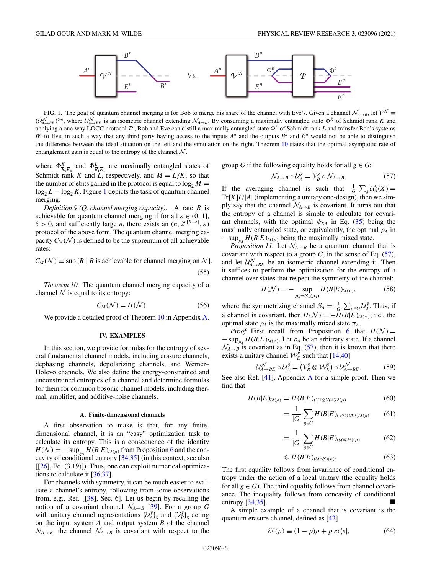<span id="page-6-0"></span>

FIG. 1. The goal of quantum channel merging is for Bob to merge his share of the channel with Eve's. Given a channel  $\mathcal{N}_{A\rightarrow B}$ , let  $\mathcal{V}^{\mathcal{N}}$  $(U_{A\to BE}^{\mathcal{N}})^{\otimes n}$ , where  $U_{A\to BE}^{\mathcal{N}}$  is an isometric channel extending  $\mathcal{N}_{A\to B}$ . By consuming a maximally entangled state  $\Phi^{K}$  of Schmidt rank *K* and applying a one-way LOCC protocol  $P$ , Bob and Eve can distill a maximally entangled state  $\Phi^L$  of Schmidt rank *L* and transfer Bob's systems  $B<sup>n</sup>$  to Eve, in such a way that any third party having access to the inputs  $A<sup>n</sup>$  and the outputs  $B<sup>n</sup>$  and  $E<sup>n</sup>$  would not be able to distinguish the difference between the ideal situation on the left and the simulation on the right. Theorem 10 states that the optimal asymptotic rate of entanglement gain is equal to the entropy of the channel  $N$ .

where  $\Phi_{\overline{B}_0\overline{E}_0}^K$  and  $\Phi_{\overline{B}_1\overline{E}_1}^L$  are maximally entangled states of Schmidt rank *K* and *L*, respectively, and  $M = L/K$ , so that the number of ebits gained in the protocol is equal to  $\log_2 M =$  $\log_2 L - \log_2 K$ . Figure 1 depicts the task of quantum channel merging.

*Definition 9 (Q. channel merging capacity).* A rate *R* is achievable for quantum channel merging if for all  $\varepsilon \in (0, 1]$ , δ > 0, and sufficiently large *n*, there exists an  $(n, 2^{n[R-\delta]}, \varepsilon)$ protocol of the above form. The quantum channel merging capacity  $C_M(\mathcal{N})$  is defined to be the supremum of all achievable rates:

 $C_M(\mathcal{N}) \equiv \sup \{R \mid R \text{ is achievable for channel merging on } \mathcal{N} \}.$ (55)

*Theorem 10.* The quantum channel merging capacity of a channel  $\mathcal N$  is equal to its entropy:

$$
C_M(\mathcal{N}) = H(\mathcal{N}).\tag{56}
$$

We provide a detailed proof of Theorem 10 in Appendix [A.](#page-19-0)

#### **IV. EXAMPLES**

In this section, we provide formulas for the entropy of several fundamental channel models, including erasure channels, dephasing channels, depolarizing channels, and Werner– Holevo channels. We also define the energy-constrained and unconstrained entropies of a channel and determine formulas for them for common bosonic channel models, including thermal, amplifier, and additive-noise channels.

#### **A. Finite-dimensional channels**

A first observation to make is that, for any finitedimensional channel, it is an "easy" optimization task to calculate its entropy. This is a consequence of the identity  $H(\mathcal{N}) = -\sup_{\rho_A} H(B|E)_{\mathcal{U}(\rho)}$  from Proposition [6](#page-4-0) and the concavity of conditional entropy [\[34,35\]](#page-24-0) (in this context, see also  $[[26], Eq. (3.19)]$  $[[26], Eq. (3.19)]$  $[[26], Eq. (3.19)]$ . Thus, one can exploit numerical optimizations to calculate it [\[36,37\]](#page-24-0).

For channels with symmetry, it can be much easier to evaluate a channel's entropy, following from some observations from, e.g., Ref. [[\[38\]](#page-24-0), Sec. 6]. Let us begin by recalling the notion of a covariant channel  $\mathcal{N}_{A\rightarrow B}$  [\[39\]](#page-24-0). For a group *G* with unitary channel representations  $\{U_A^g\}_g$  and  $\{V_B^g\}_g$  acting on the input system *A* and output system *B* of the channel  $\mathcal{N}_{A\rightarrow B}$ , the channel  $\mathcal{N}_{A\rightarrow B}$  is covariant with respect to the

group *G* if the following equality holds for all  $g \in G$ :

$$
\mathcal{N}_{A \to B} \circ \mathcal{U}_A^g = \mathcal{V}_B^g \circ \mathcal{N}_{A \to B}.\tag{57}
$$

If the averaging channel is such that  $\frac{1}{|G|}\sum_{g}U_A^g(X) =$  $Tr[X]I/|A|$  (implementing a unitary one-design), then we simply say that the channel  $\mathcal{N}_{A\rightarrow B}$  is covariant. It turns out that the entropy of a channel is simple to calculate for covariant channels, with the optimal  $\psi_{RA}$  in Eq. [\(35\)](#page-4-0) being the maximally entangled state, or equivalently, the optimal ρ*<sup>A</sup>* in  $-\sup_{\rho_A} H(B|E)_{U(\rho)}$  being the maximally mixed state.

*Proposition 11.* Let  $\mathcal{N}_{A\rightarrow B}$  be a quantum channel that is covariant with respect to a group  $G$ , in the sense of Eq.  $(57)$ , and let  $\mathcal{U}_{A\rightarrow BE}^{N}$  be an isometric channel extending it. Then it suffices to perform the optimization for the entropy of a channel over states that respect the symmetry of the channel:

$$
H(\mathcal{N}) = - \sup_{\rho_A = \mathcal{S}_A(\rho_A)} H(B|E)_{\mathcal{U}(\rho)},
$$
(58)

where the symmetrizing channel  $S_A = \frac{1}{|G|} \sum_{g \in G} \mathcal{U}_A^g$ . Thus, if a channel is covariant, then  $H(\mathcal{N}) = -H(B|E)_{\mathcal{U}(\pi)}$ ; i.e., the optimal state  $\rho_A$  is the maximally mixed state  $\pi_A$ .

*Proof.* First recall from Proposition [6](#page-4-0) that  $H(N) =$  $-\sup_{\rho_A} H(B|E)_{\mathcal{U}(\rho)}$ . Let  $\rho_A$  be an arbitrary state. If a channel  $\mathcal{N}_{A\rightarrow B}$  is covariant as in Eq. (57), then it is known that there exists a unitary channel  $\mathcal{W}_E^{\hat{g}}$  such that [\[14,40\]](#page-24-0)

$$
\mathcal{U}_{A\to BE}^{\mathcal{N}} \circ \mathcal{U}_{A}^{g} = (\mathcal{V}_{B}^{g} \otimes \mathcal{W}_{E}^{g}) \circ \mathcal{U}_{A\to BE}^{\mathcal{N}}.
$$
 (59)

See also Ref.  $[41]$ , [A](#page-19-0)ppendix A for a simple proof. Then we find that

$$
H(B|E)_{\mathcal{U}(\rho)} = H(B|E)_{(\mathcal{V}^g \otimes \mathcal{W}^g)\mathcal{U}(\rho)} \tag{60}
$$

$$
= \frac{1}{|G|} \sum_{g \in G} H(B|E)_{(\mathcal{V}^g \otimes \mathcal{W}^g) \mathcal{U}(\rho)} \qquad (61)
$$

$$
= \frac{1}{|G|} \sum_{g \in G} H(B|E)_{\left(\mathcal{U} \circ \mathcal{U}^g\right)(\rho)} \tag{62}
$$

$$
\leqslant H(B|E)_{(\mathcal{U}\circ S)(\rho)}.\tag{63}
$$

The first equality follows from invariance of conditional entropy under the action of a local unitary (the equality holds for all  $g \in G$ ). The third equality follows from channel covariance. The inequality follows from concavity of conditional entropy  $[34,35]$ .

A simple example of a channel that is covariant is the quantum erasure channel, defined as [\[42\]](#page-24-0)

$$
\mathcal{E}^p(\rho) \equiv (1 - p)\rho + p|e\rangle\langle e|,\tag{64}
$$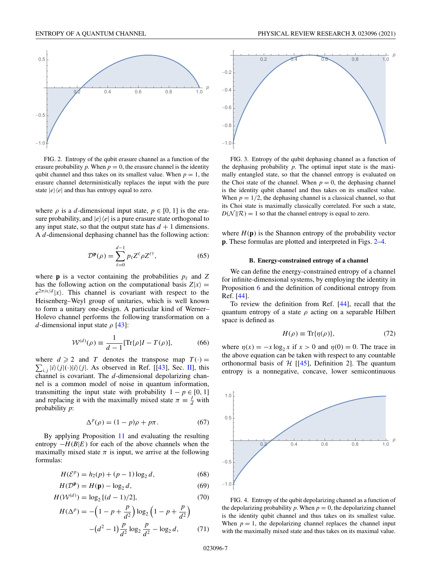

FIG. 2. Entropy of the qubit erasure channel as a function of the erasure probability  $p$ . When  $p = 0$ , the erasure channel is the identity qubit channel and thus takes on its smallest value. When  $p = 1$ , the erasure channel deterministically replaces the input with the pure state  $|e\rangle\langle e|$  and thus has entropy equal to zero.

where  $\rho$  is a *d*-dimensional input state,  $p \in [0, 1]$  is the erasure probability, and  $|e\rangle\langle e|$  is a pure erasure state orthogonal to any input state, so that the output state has  $d + 1$  dimensions. A *d*-dimensional dephasing channel has the following action:

$$
\mathcal{D}^{\mathbf{p}}(\rho) = \sum_{\ell=0}^{d-1} p_{\ell} Z^{\ell} \rho Z^{\ell \dagger}, \tag{65}
$$

where **p** is a vector containing the probabilities  $p_\ell$  and  $Z$ has the following action on the computational basis  $Z|x\rangle =$  $e^{2\pi i x/d} |x\rangle$ . This channel is covariant with respect to the Heisenberg–Weyl group of unitaries, which is well known to form a unitary one-design. A particular kind of Werner– Holevo channel performs the following transformation on a *d*-dimensional input state  $\rho$  [\[43\]](#page-24-0):

$$
\mathcal{W}^{(d)}(\rho) \equiv \frac{1}{d-1} [\text{Tr}\{\rho\}I - T(\rho)],\tag{66}
$$

where  $d \ge 2$  and *T* denotes the transpose map  $T(\cdot) =$  $\sum_{i,j} |i\rangle\langle j|(\cdot)|i\rangle\langle j|$ . As observed in Ref. [[\[43\]](#page-24-0), Sec. [II\]](#page-2-0), this channel is covariant. The *d*-dimensional depolarizing channel is a common model of noise in quantum information, transmitting the input state with probability  $1 - p \in [0, 1]$ and replacing it with the maximally mixed state  $\pi \equiv \frac{I}{d}$  with probability *p*:

$$
\Delta^p(\rho) = (1 - p)\rho + p\pi. \tag{67}
$$

By applying Proposition [11](#page-6-0) and evaluating the resulting entropy  $-H(B|E)$  for each of the above channels when the maximally mixed state  $\pi$  is input, we arrive at the following formulas:

$$
H(\mathcal{E}^p) = h_2(p) + (p-1)\log_2 d,\tag{68}
$$

$$
H(\mathcal{D}^{\mathbf{p}}) = H(\mathbf{p}) - \log_2 d,\tag{69}
$$

$$
H(\mathcal{W}^{(d)}) = \log_2 [(d-1)/2],\tag{70}
$$

$$
H(\Delta^{p}) = -\left(1 - p + \frac{p}{d^{2}}\right) \log_{2} \left(1 - p + \frac{p}{d^{2}}\right)
$$

$$
-\left(d^{2} - 1\right) \frac{p}{d^{2}} \log_{2} \frac{p}{d^{2}} - \log_{2} d, \tag{71}
$$



FIG. 3. Entropy of the qubit dephasing channel as a function of the dephasing probability *p*. The optimal input state is the maximally entangled state, so that the channel entropy is evaluated on the Choi state of the channel. When  $p = 0$ , the dephasing channel is the identity qubit channel and thus takes on its smallest value. When  $p = 1/2$ , the dephasing channel is a classical channel, so that its Choi state is maximally classically correlated. For such a state,  $D(\mathcal{N}||\mathcal{R}) = 1$  so that the channel entropy is equal to zero.

where  $H(\mathbf{p})$  is the Shannon entropy of the probability vector **p**. These formulas are plotted and interpreted in Figs. 2–4.

#### **B. Energy-constrained entropy of a channel**

We can define the energy-constrained entropy of a channel for infinite-dimensional systems, by employing the identity in Proposition [6](#page-4-0) and the definition of conditional entropy from Ref. [\[44\]](#page-24-0).

To review the definition from Ref. [\[44\]](#page-24-0), recall that the quantum entropy of a state  $\rho$  acting on a separable Hilbert space is defined as

$$
H(\rho) \equiv \text{Tr}\{\eta(\rho)\},\tag{72}
$$

where  $\eta(x) = -x \log_2 x$  if  $x > 0$  and  $\eta(0) = 0$ . The trace in the above equation can be taken with respect to any countable orthonormal basis of  $H$  [[\[45\]](#page-25-0), Definition 2]. The quantum entropy is a nonnegative, concave, lower semicontinuous



FIG. 4. Entropy of the qubit depolarizing channel as a function of the depolarizing probability  $p$ . When  $p = 0$ , the depolarizing channel is the identity qubit channel and thus takes on its smallest value. When  $p = 1$ , the depolarizing channel replaces the channel input with the maximally mixed state and thus takes on its maximal value.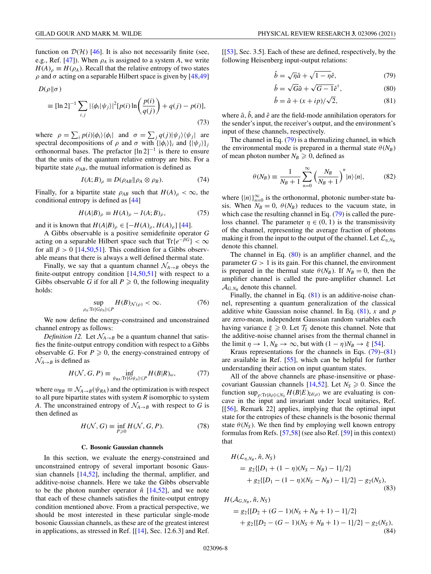function on  $\mathcal{D}(\mathcal{H})$  [\[46\]](#page-25-0). It is also not necessarily finite (see, e.g., Ref. [\[47\]](#page-25-0)). When  $\rho_A$  is assigned to a system *A*, we write  $H(A)$ <sub>ρ</sub>  $\equiv H(\rho_A)$ . Recall that the relative entropy of two states  $ρ$  and  $σ$  acting on a separable Hilbert space is given by [\[48,49\]](#page-25-0)

$$
D(\rho\|\sigma)
$$

$$
\equiv [\ln 2]^{-1} \sum_{i,j} |\langle \phi_i | \psi_j \rangle|^2 [p(i) \ln \left( \frac{p(i)}{q(j)} \right) + q(j) - p(i)],
$$
\n(73)

where  $\rho = \sum_i p(i) |\phi_i\rangle \langle \phi_i|$  and  $\sigma = \sum_j q(j) |\psi_j\rangle \langle \psi_j|$  are spectral decompositions of  $\rho$  and  $\sigma$  with  $\{|\phi_i\rangle\}_i$  and  $\{|\psi_j\rangle\}_j$ orthonormal bases. The prefactor  $[\ln 2]^{-1}$  is there to ensure that the units of the quantum relative entropy are bits. For a bipartite state  $\rho_{AB}$ , the mutual information is defined as

$$
I(A;B)_{\rho} \equiv D(\rho_{AB} \|\rho_A \otimes \rho_B). \tag{74}
$$

Finally, for a bipartite state  $\rho_{AB}$  such that  $H(A)_{\rho} < \infty$ , the conditional entropy is defined as [\[44\]](#page-24-0)

$$
H(A|B)_{\rho} \equiv H(A)_{\rho} - I(A;B)_{\rho},\tag{75}
$$

and it is known that  $H(A|B)_{\rho} \in [-H(A)_{\rho}, H(A)_{\rho}]$  [\[44\]](#page-24-0).

A Gibbs observable is a positive semidefinite operator *G* acting on a separable Hilbert space such that  $Tr{e^{-\beta G}} < \infty$ for all  $\beta > 0$  [\[14](#page-24-0)[,50,51\]](#page-25-0). This condition for a Gibbs observable means that there is always a well defined thermal state.

Finally, we say that a quantum channel  $\mathcal{N}_{A\rightarrow B}$  obeys the finite-output entropy condition  $[14,50,51]$  $[14,50,51]$  with respect to a Gibbs observable *G* if for all  $P \ge 0$ , the following inequality holds:

$$
\sup_{\rho_A: \text{Tr}\{G\rho_A\} \leq P} H(B)_{\mathcal{N}(\rho)} < \infty. \tag{76}
$$

We now define the energy-constrained and unconstrained channel entropy as follows:

*Definition 12.* Let  $\mathcal{N}_{A\rightarrow B}$  be a quantum channel that satisfies the finite-output entropy condition with respect to a Gibbs observable *G*. For  $P \ge 0$ , the energy-constrained entropy of  $\mathcal{N}_{A\rightarrow B}$  is defined as

$$
H(\mathcal{N}, G, P) \equiv \inf_{\psi_{RA}: \text{Tr}\{G\psi_A\} \leq P} H(B|R)_{\omega},\tag{77}
$$

where  $\omega_{RB} \equiv \mathcal{N}_{A\rightarrow B}(\psi_{RA})$  and the optimization is with respect to all pure bipartite states with system *R* isomorphic to system *A*. The unconstrained entropy of  $\mathcal{N}_{A\rightarrow B}$  with respect to *G* is then defined as

$$
H(\mathcal{N}, G) \equiv \inf_{P \ge 0} H(\mathcal{N}, G, P). \tag{78}
$$

#### **C. Bosonic Gaussian channels**

In this section, we evaluate the energy-constrained and unconstrained entropy of several important bosonic Gaussian channels [\[14,](#page-24-0)[52\]](#page-25-0), including the thermal, amplifier, and additive-noise channels. Here we take the Gibbs observable to be the photon number operator  $\hat{n}$  [\[14](#page-24-0)[,52\]](#page-25-0), and we note that each of these channels satisfies the finite-output entropy condition mentioned above. From a practical perspective, we should be most interested in these particular single-mode bosonic Gaussian channels, as these are of the greatest interest in applications, as stressed in Ref. [[\[14\]](#page-24-0), Sec. 12.6.3] and Ref.

[[\[53\]](#page-25-0), Sec. 3.5]. Each of these are defined, respectively, by the following Heisenberg input-output relations:

$$
\hat{b} = \sqrt{\eta}\hat{a} + \sqrt{1 - \eta}\hat{e},\tag{79}
$$

$$
\hat{b} = \sqrt{G}\hat{a} + \sqrt{G - 1}\hat{e}^{\dagger},
$$
\n(80)

$$
\hat{b} = \hat{a} + (x + ip) / \sqrt{2},\tag{81}
$$

where  $\hat{a}$ ,  $\hat{b}$ , and  $\hat{e}$  are the field-mode annihilation operators for the sender's input, the receiver's output, and the environment's input of these channels, respectively.

The channel in Eq. (79) is a thermalizing channel, in which the environmental mode is prepared in a thermal state  $\theta(N_B)$ of mean photon number  $N_B \geqslant 0$ , defined as

$$
\theta(N_B) \equiv \frac{1}{N_B + 1} \sum_{n=0}^{\infty} \left(\frac{N_B}{N_B + 1}\right)^n |n\rangle\langle n|,\tag{82}
$$

where  $\{|n\rangle\}_{n=0}^{\infty}$  is the orthonormal, photonic number-state basis. When  $N_B = 0$ ,  $\theta(N_B)$  reduces to the vacuum state, in which case the resulting channel in Eq. (79) is called the pureloss channel. The parameter  $\eta \in (0, 1)$  is the transmissivity of the channel, representing the average fraction of photons making it from the input to the output of the channel. Let  $\mathcal{L}_{\eta, N_B}$ denote this channel.

The channel in Eq.  $(80)$  is an amplifier channel, and the parameter  $G > 1$  is its gain. For this channel, the environment is prepared in the thermal state  $\theta(N_B)$ . If  $N_B = 0$ , then the amplifier channel is called the pure-amplifier channel. Let  $\mathcal{A}_{G,N_B}$  denote this channel.

Finally, the channel in Eq. (81) is an additive-noise channel, representing a quantum generalization of the classical additive white Gaussian noise channel. In Eq. (81), *x* and *p* are zero-mean, independent Gaussian random variables each having variance  $\xi \ge 0$ . Let  $\mathcal{T}_{\xi}$  denote this channel. Note that the additive-noise channel arises from the thermal channel in the limit  $\eta \to 1$ ,  $N_B \to \infty$ , but with  $(1 - \eta)N_B \to \xi$  [\[54\]](#page-25-0).

Kraus representations for the channels in Eqs.  $(79)$ – $(81)$ are available in Ref. [\[55\]](#page-25-0), which can be helpful for further understanding their action on input quantum states.

All of the above channels are phase-insensitive or phasecovariant Gaussian channels [ $14,52$ ]. Let  $N_s \ge 0$ . Since the function  $\sup_{\rho: \text{Tr}\{\hat{n}\rho\}\leq N_S} H(B|E)_{\mathcal{U}(\rho)}$  we are evaluating is concave in the input and invariant under local unitaries, Ref. [[\[56\]](#page-25-0), Remark 22] applies, implying that the optimal input state for the entropies of these channels is the bosonic thermal state  $\theta(N_S)$ . We then find by employing well known entropy formulas from Refs. [\[57,58\]](#page-25-0) (see also Ref. [\[59\]](#page-25-0) in this context) that

$$
H(L_{\eta,N_B}, \hat{n}, N_S)
$$
  
=  $g_2\{[D_1 + (1 - \eta)(N_S - N_B) - 1]/2\}$   
+  $g_2\{[D_1 - (1 - \eta)(N_S - N_B) - 1]/2\} - g_2(N_S),$  (83)

$$
H(\mathcal{A}_{G,N_B}, \hat{n}, N_S)
$$
  
=  $g_2\{ [D_2 + (G - 1)(N_S + N_B + 1) - 1]/2 \}$   
+  $g_2\{ [D_2 - (G - 1)(N_S + N_B + 1) - 1]/2 \} - g_2(N_S),$  (84)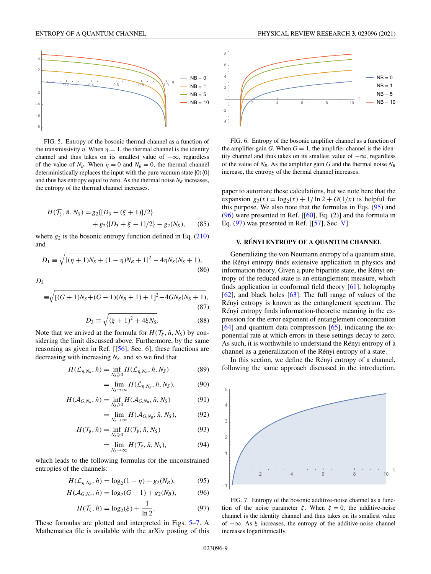<span id="page-9-0"></span>

FIG. 5. Entropy of the bosonic thermal channel as a function of the transmissivity  $\eta$ . When  $\eta = 1$ , the thermal channel is the identity channel and thus takes on its smallest value of  $-\infty$ , regardless of the value of  $N_B$ . When  $\eta = 0$  and  $N_B = 0$ , the thermal channel deterministically replaces the input with the pure vacuum state  $|0\rangle\langle 0|$ and thus has entropy equal to zero. As the thermal noise  $N_B$  increases, the entropy of the thermal channel increases.

$$
H(\mathcal{T}_{\xi}, \hat{n}, N_S) = g_2\{ [D_3 - (\xi + 1)]/2 \}
$$
  
+  $g_2\{ [D_3 + \xi - 1]/2 \} - g_2(N_S),$  (85)

where  $g_2$  is the bosonic entropy function defined in Eq.  $(210)$ and

$$
D_1 \equiv \sqrt{[(\eta + 1)N_S + (1 - \eta)N_B + 1]^2 - 4\eta N_S(N_S + 1)},
$$
\n(86)

 $D<sub>2</sub>$ 

$$
\equiv \sqrt{[(G+1)N_S + (G-1)(N_B+1) + 1]^2 - 4GN_S(N_S+1)},
$$
\n(87)

$$
D_3 \equiv \sqrt{(\xi + 1)^2 + 4\xi N_S}.
$$
 (88)

Note that we arrived at the formula for  $H(\mathcal{T}_{\varepsilon}, \hat{n}, N_{\rm S})$  by considering the limit discussed above. Furthermore, by the same reasoning as given in Ref. [[\[56\]](#page-25-0), Sec. 6], these functions are decreasing with increasing  $N<sub>S</sub>$ , and so we find that

$$
H(\mathcal{L}_{\eta,N_B},\hat{n}) = \inf_{N_S \geq 0} H(\mathcal{L}_{\eta,N_B},\hat{n},N_S)
$$
(89)

$$
= \lim_{N_S \to \infty} H(\mathcal{L}_{\eta, N_B}, \hat{n}, N_S), \tag{90}
$$

$$
H(\mathcal{A}_{G,N_B},\hat{n}) = \inf_{N_S \geq 0} H(\mathcal{A}_{G,N_B},\hat{n},N_S)
$$
(91)

$$
= \lim_{N_S \to \infty} H(\mathcal{A}_{G,N_B}, \hat{n}, N_S), \tag{92}
$$

$$
H(\mathcal{T}_{\xi}, \hat{n}) = \inf_{N_S \geq 0} H(\mathcal{T}_{\xi}, \hat{n}, N_S)
$$
(93)

$$
= \lim_{N_S \to \infty} H(\mathcal{T}_{\xi}, \hat{n}, N_S), \tag{94}
$$

which leads to the following formulas for the unconstrained entropies of the channels:

$$
H(\mathcal{L}_{\eta, N_B}, \hat{n}) = \log_2(1 - \eta) + g_2(N_B), \tag{95}
$$

$$
H(\mathcal{A}_{G,N_B}, \hat{n}) = \log_2(G-1) + g_2(N_B),\tag{96}
$$

$$
H(\mathcal{T}_{\xi}, \hat{n}) = \log_2(\xi) + \frac{1}{\ln 2}.
$$
 (97)

These formulas are plotted and interpreted in Figs. 5–7. A Mathematica file is available with the arXiv posting of this



FIG. 6. Entropy of the bosonic amplifier channel as a function of the amplifier gain *G*. When  $G = 1$ , the amplifier channel is the identity channel and thus takes on its smallest value of −∞, regardless of the value of  $N_B$ . As the amplifier gain *G* and the thermal noise  $N_B$ increase, the entropy of the thermal channel increases.

paper to automate these calculations, but we note here that the expansion  $g_2(x) = \log_2(x) + 1/\ln 2 + O(1/x)$  is helpful for this purpose. We also note that the formulas in Eqs. (95) and  $(96)$  were presented in Ref.  $[[60], Eq. (2)]$  $[[60], Eq. (2)]$  $[[60], Eq. (2)]$  and the formula in Eq. (97) was presented in Ref. [[\[57\]](#page-25-0), Sec. V].

#### **V. RÉNYI ENTROPY OF A QUANTUM CHANNEL**

Generalizing the von Neumann entropy of a quantum state, the Rényi entropy finds extensive application in physics and information theory. Given a pure bipartite state, the Rényi entropy of the reduced state is an entanglement measure, which finds application in conformal field theory [\[61\]](#page-25-0), holography [\[62\]](#page-25-0), and black holes [\[63\]](#page-25-0). The full range of values of the Rényi entropy is known as the entanglement spectrum. The Rényi entropy finds information-theoretic meaning in the expression for the error exponent of entanglement concentration  $[64]$  and quantum data compression  $[65]$ , indicating the exponential rate at which errors in these settings decay to zero. As such, it is worthwhile to understand the Rényi entropy of a channel as a generalization of the Rényi entropy of a state.

In this section, we define the Rényi entropy of a channel, following the same approach discussed in the introduction.



FIG. 7. Entropy of the bosonic additive-noise channel as a function of the noise parameter  $\xi$ . When  $\xi = 0$ , the additive-noise channel is the identity channel and thus takes on its smallest value of −∞. As ξ increases, the entropy of the additive-noise channel increases logarithmically.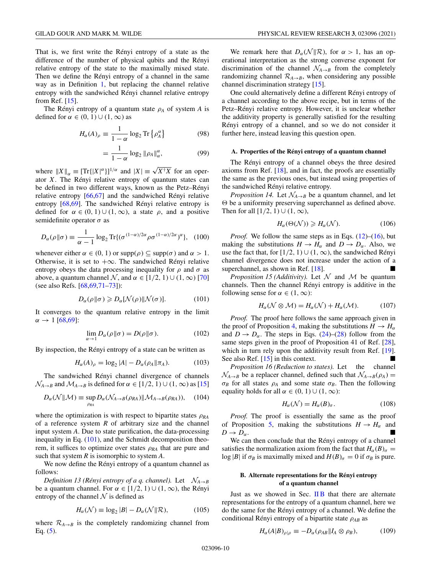<span id="page-10-0"></span>That is, we first write the Rényi entropy of a state as the difference of the number of physical qubits and the Rényi relative entropy of the state to the maximally mixed state. Then we define the Rényi entropy of a channel in the same way as in Definition [1,](#page-2-0) but replacing the channel relative entropy with the sandwiched Rényi channel relative entropy from Ref. [\[15\]](#page-24-0).

The Rényi entropy of a quantum state ρ*<sup>A</sup>* of system *A* is defined for  $\alpha \in (0, 1) \cup (1, \infty)$  as

$$
H_{\alpha}(A)_{\rho} \equiv \frac{1}{1 - \alpha} \log_2 \text{Tr} \left\{ \rho_A^{\alpha} \right\} \tag{98}
$$

$$
= \frac{1}{1-\alpha} \log_2 \|\rho_A\|_{\alpha}^{\alpha},\tag{99}
$$

where  $||X||_{\alpha} \equiv [\text{Tr}\{(X|^{\alpha}\}]^{1/\alpha}$  and  $|X| \equiv \sqrt{X^{\dagger}X}$  for an operator *X*. The Rényi relative entropy of quantum states can be defined in two different ways, known as the Petz–Rényi relative entropy [\[66,67\]](#page-25-0) and the sandwiched Rényi relative entropy [\[68,69\]](#page-25-0). The sandwiched Rényi relative entropy is defined for  $\alpha \in (0, 1) \cup (1, \infty)$ , a state  $\rho$ , and a positive semidefinite operator  $\sigma$  as

$$
D_{\alpha}(\rho \| \sigma) \equiv \frac{1}{\alpha - 1} \log_2 \text{Tr}\{ (\sigma^{(1-\alpha)/2\alpha} \rho \sigma^{(1-\alpha)/2\alpha})^{\alpha} \}, \quad (100)
$$

whenever either  $\alpha \in (0, 1)$  or  $\text{supp}(\rho) \subseteq \text{supp}(\sigma)$  and  $\alpha > 1$ . Otherwise, it is set to  $+\infty$ . The sandwiched Rényi relative entropy obeys the data processing inequality for  $\rho$  and  $\sigma$  as above, a quantum channel N, and  $\alpha \in [1/2, 1) \cup (1, \infty)$  [\[70\]](#page-25-0) (see also Refs. [\[68,69,71–73\]](#page-25-0)):

$$
D_{\alpha}(\rho \| \sigma) \geq D_{\alpha}[\mathcal{N}(\rho) \| \mathcal{N}(\sigma)]. \tag{101}
$$

It converges to the quantum relative entropy in the limit  $\alpha \to 1$  [\[68,69\]](#page-25-0):

$$
\lim_{\alpha \to 1} D_{\alpha}(\rho \| \sigma) = D(\rho \| \sigma). \tag{102}
$$

By inspection, the Rényi entropy of a state can be written as

$$
H_{\alpha}(A)_{\rho} = \log_2 |A| - D_{\alpha}(\rho_A || \pi_A). \tag{103}
$$

The sandwiched Rényi channel divergence of channels  $\mathcal{N}_{A\rightarrow B}$  and  $\mathcal{M}_{A\rightarrow B}$  is defined for  $\alpha \in [1/2, 1) \cup (1, \infty)$  as [\[15\]](#page-24-0)

$$
D_{\alpha}(\mathcal{N}||\mathcal{M}) \equiv \sup_{\rho_{RA}} D_{\alpha}(\mathcal{N}_{A \to B}(\rho_{RA})||\mathcal{M}_{A \to B}(\rho_{RA})), \quad (104)
$$

where the optimization is with respect to bipartite states  $\rho_{RA}$ of a reference system *R* of arbitrary size and the channel input system *A*. Due to state purification, the data-processing inequality in Eq.  $(101)$ , and the Schmidt decomposition theorem, it suffices to optimize over states  $\rho_{RA}$  that are pure and such that system *R* is isomorphic to system *A*.

We now define the Rényi entropy of a quantum channel as follows:

*Definition 13 (Rényi entropy of a q. channel).* Let  $\mathcal{N}_{A\rightarrow B}$ be a quantum channel. For  $\alpha \in [1/2, 1) \cup (1, \infty)$ , the Rényi entropy of the channel  $\mathcal N$  is defined as

$$
H_{\alpha}(\mathcal{N}) \equiv \log_2 |B| - D_{\alpha}(\mathcal{N}||\mathcal{R}), \tag{105}
$$

where  $\mathcal{R}_{A\rightarrow B}$  is the completely randomizing channel from Eq.  $(5)$ .

We remark here that  $D_{\alpha}(\mathcal{N}||\mathcal{R})$ , for  $\alpha > 1$ , has an operational interpretation as the strong converse exponent for discrimination of the channel  $\mathcal{N}_{A\rightarrow B}$  from the completely randomizing channel  $\mathcal{R}_{A\rightarrow B}$ , when considering any possible channel discrimination strategy [\[15\]](#page-24-0).

One could alternatively define a different Rényi entropy of a channel according to the above recipe, but in terms of the Petz–Rényi relative entropy. However, it is unclear whether the additivity property is generally satisfied for the resulting Rényi entropy of a channel, and so we do not consider it further here, instead leaving this question open.

## **A. Properties of the Rényi entropy of a quantum channel**

The Rényi entropy of a channel obeys the three desired axioms from Ref. [\[18\]](#page-24-0), and in fact, the proofs are essentially the same as the previous ones, but instead using properties of the sandwiched Rényi relative entropy.

*Proposition 14.* Let  $\mathcal{N}_{A\rightarrow B}$  be a quantum channel, and let  $\Theta$  be a uniformity preserving superchannel as defined above. Then for all  $[1/2, 1)$  ∪  $(1, \infty)$ ,

$$
H_{\alpha}(\Theta(\mathcal{N})) \ge H_{\alpha}(\mathcal{N}).\tag{106}
$$

*Proof.* We follow the same steps as in Eqs. [\(12\)](#page-3-0)–[\(16\)](#page-3-0), but making the substitutions  $H \to H_\alpha$  and  $D \to D_\alpha$ . Also, we use the fact that, for [1/2, 1) ∪ (1,  $\infty$ ), the sandwiched Rényi channel divergence does not increase under the action of a superchannel, as shown in Ref. [\[18\]](#page-24-0).

*Proposition 15 (Additivity).* Let  $\mathcal N$  and  $\mathcal M$  be quantum channels. Then the channel Rényi entropy is additive in the following sense for  $\alpha \in (1, \infty)$ :

$$
H_{\alpha}(\mathcal{N}\otimes\mathcal{M})=H_{\alpha}(\mathcal{N})+H_{\alpha}(\mathcal{M}).\tag{107}
$$

*Proof.* The proof here follows the same approach given in the proof of Proposition [4,](#page-3-0) making the substitutions  $H \to H_\alpha$ and  $D \rightarrow D_{\alpha}$ . The steps in Eqs. [\(24\)](#page-4-0)–[\(28\)](#page-4-0) follow from the same steps given in the proof of Proposition 41 of Ref. [\[28\]](#page-24-0), which in turn rely upon the additivity result from Ref. [\[19\]](#page-24-0). See also Ref.  $[15]$  in this context.

*Proposition 16 (Reduction to states).* Let the channel  $\mathcal{N}_{A\rightarrow B}$  be a replacer channel, defined such that  $\mathcal{N}_{A\rightarrow B}(\rho_A)$  =  $\sigma_B$  for all states  $\rho_A$  and some state  $\sigma_B$ . Then the following equality holds for all  $\alpha \in (0, 1) \cup (1, \infty)$ :

$$
H_{\alpha}(\mathcal{N}) = H_{\alpha}(B)_{\sigma}.
$$
 (108)

*Proof.* The proof is essentially the same as the proof of Proposition [5,](#page-4-0) making the substitutions  $H \to H_\alpha$  and  $D \to D_{\alpha}$ .

We can then conclude that the Rényi entropy of a channel satisfies the normalization axiom from the fact that  $H_{\alpha}(B)_{\sigma} =$ log |*B*| if  $\sigma_B$  is maximally mixed and  $H(B)_{\sigma} = 0$  if  $\sigma_B$  is pure.

#### **B. Alternate representations for the Rényi entropy of a quantum channel**

Just as we showed in Sec.  $\overline{I}$  IB that there are alternate representations for the entropy of a quantum channel, here we do the same for the Rényi entropy of a channel. We define the conditional Rényi entropy of a bipartite state ρ*AB* as

$$
H_{\alpha}(A|B)_{\rho|\rho} \equiv -D_{\alpha}(\rho_{AB}||I_A \otimes \rho_B), \tag{109}
$$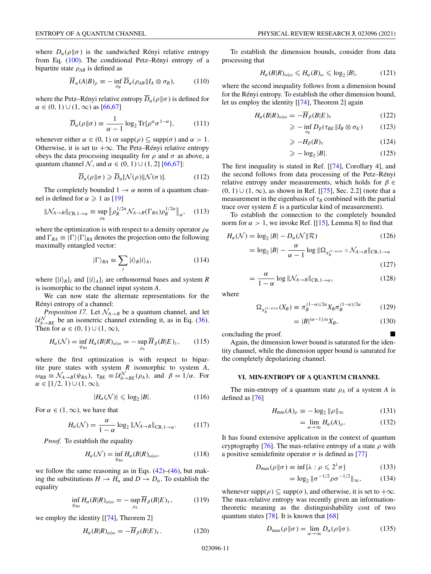<span id="page-11-0"></span>where  $D_{\alpha}(\rho||\sigma)$  is the sandwiched Rényi relative entropy from Eq. [\(100\)](#page-10-0). The conditional Petz–Rényi entropy of a bipartite state  $\rho_{AB}$  is defined as

$$
\overline{H}_{\alpha}(A|B)_{\rho} \equiv -\inf_{\sigma_B} \overline{D}_{\alpha}(\rho_{AB}||I_A \otimes \sigma_B), \tag{110}
$$

where the Petz–Rényi relative entropy  $\overline{D}_{\alpha}(\rho||\sigma)$  is defined for  $\alpha \in (0, 1) \cup (1, \infty)$  as  $[66, 67]$ 

$$
\overline{D}_{\alpha}(\rho \| \sigma) \equiv \frac{1}{\alpha - 1} \log_2 \text{Tr} \{ \rho^{\alpha} \sigma^{1 - \alpha} \},\tag{111}
$$

whenever either  $\alpha \in (0, 1)$  or  $\text{supp}(\rho) \subseteq \text{supp}(\sigma)$  and  $\alpha > 1$ . Otherwise, it is set to  $+\infty$ . The Petz–Rényi relative entropy obeys the data processing inequality for  $\rho$  and  $\sigma$  as above, a quantum channel N, and  $\alpha \in (0, 1) \cup (1, 2]$  [\[66,67\]](#page-25-0):

$$
\overline{D}_{\alpha}(\rho \| \sigma) \geqslant \overline{D}_{\alpha}[\mathcal{N}(\rho) \| \mathcal{N}(\sigma)]. \tag{112}
$$

The completely bounded  $1 \rightarrow \alpha$  norm of a quantum channel is defined for  $\alpha \geqslant 1$  as [\[19\]](#page-24-0)

$$
\|\mathcal{N}_{A\to B}\|_{\text{CB},1\to\alpha} \equiv \sup_{\rho_R} \left\| \rho_R^{1/2\alpha} \mathcal{N}_{A\to B}(\Gamma_{RA}) \rho_R^{1/2\alpha} \right\|_{\alpha}, \quad (113)
$$

where the optimization is with respect to a density operator  $\rho_R$ and  $\Gamma_{RA} \equiv |\Gamma\rangle\langle \Gamma|_{RA}$  denotes the projection onto the following maximally entangled vector:

$$
|\Gamma\rangle_{RA} \equiv \sum_{i} |i\rangle_{R} |i\rangle_{A}, \qquad (114)
$$

where  $\{|i\rangle_R\}$ *i* and  $\{|i\rangle_A\}$ *i* are orthonormal bases and system *R* is isomorphic to the channel input system *A*.

We can now state the alternate representations for the Rényi entropy of a channel:

*Proposition 17.* Let  $\mathcal{N}_{A\rightarrow B}$  be a quantum channel, and let  $\mathcal{U}_{A\rightarrow BE}^{N}$  be an isometric channel extending it, as in Eq. [\(36\)](#page-4-0). Then for  $\alpha \in (0, 1) \cup (1, \infty)$ ,

$$
H_{\alpha}(\mathcal{N}) = \inf_{\psi_{RA}} H_{\alpha}(B|R)_{\omega|\omega} = -\sup_{\rho_A} \overline{H}_{\beta}(B|E)_{\tau}, \qquad (115)
$$

where the first optimization is with respect to bipartite pure states with system *R* isomorphic to system *A*,  $\omega_{RB} \equiv \mathcal{N}_{A\rightarrow B}(\psi_{RA}), \tau_{BE} \equiv \mathcal{U}_{A\rightarrow BE}^{\mathcal{N}}(\rho_A), \text{ and } \beta = 1/\alpha.$  For  $\alpha \in [1/2, 1) \cup (1, \infty),$ 

$$
|H_{\alpha}(\mathcal{N})| \leqslant \log_2 |B|.
$$
 (116)

For  $\alpha \in (1, \infty)$ , we have that

$$
H_{\alpha}(\mathcal{N}) = \frac{\alpha}{1 - \alpha} \log_2 \|\mathcal{N}_{A \to B}\|_{\text{CB}, 1 \to \alpha}.
$$
 (117)

*Proof.* To establish the equality

$$
H_{\alpha}(\mathcal{N}) = \inf_{\psi_{RA}} H_{\alpha}(B|R)_{\omega|\omega},
$$
\n(118)

we follow the same reasoning as in Eqs.  $(42)$ – $(46)$ , but making the substitutions  $H \to H_\alpha$  and  $D \to D_\alpha$ . To establish the equality

$$
\inf_{\psi_{RA}} H_{\alpha}(B|R)_{\omega|\omega} = -\sup_{\rho_A} \overline{H}_{\beta}(B|E)_{\tau}, \tag{119}
$$

we employ the identity [[\[74\]](#page-25-0), Theorem 2]

$$
H_{\alpha}(B|R)_{\omega|\omega} = -\overline{H}_{\beta}(B|E)_{\tau}.
$$
 (120)

To establish the dimension bounds, consider from data processing that

$$
H_{\alpha}(B|R)_{\omega|\omega} \leqslant H_{\alpha}(B)_{\omega} \leqslant \log_2|B|,\tag{121}
$$

where the second inequality follows from a dimension bound for the Rényi entropy. To establish the other dimension bound, let us employ the identity [[\[74\]](#page-25-0), Theorem 2] again

$$
H_{\alpha}(B|R)_{\omega|\omega} = -\overline{H}_{\beta}(B|E)_{\tau} \tag{122}
$$

$$
\geqslant -\inf_{\sigma_E} D_{\beta}(\tau_{BE} || I_B \otimes \sigma_E) \tag{123}
$$

$$
\geqslant -H_{\beta}(B)_{\tau} \tag{124}
$$

$$
\geqslant -\log_2|B|. \tag{125}
$$

The first inequality is stated in Ref. [[\[74\]](#page-25-0), Corollary 4], and the second follows from data processing of the Petz–Rényi relative entropy under measurements, which holds for  $\beta \in$  $(0, 1)$  ∪  $(1, ∞)$ , as shown in Ref. [[\[75\]](#page-25-0), Sec. 2.2] (note that a measurement in the eigenbasis of  $\tau_B$  combined with the partial trace over system *E* is a particular kind of measurement).

To establish the connection to the completely bounded norm for  $\alpha > 1$ , we invoke Ref. [[\[15\]](#page-24-0), Lemma 8] to find that

$$
H_{\alpha}(\mathcal{N}) = \log_2 |B| - D_{\alpha}(\mathcal{N}||\mathcal{R})
$$
\n
$$
\alpha \tag{126}
$$

$$
= \log_2 |B| - \frac{\alpha}{\alpha - 1} \log \|\Omega_{\pi_B^{(1-\alpha)/\alpha}} \circ \mathcal{N}_{A \to B}\|_{\text{CB}, 1 \to \alpha}
$$
\n(127)

$$
= \frac{\alpha}{1 - \alpha} \log \| \mathcal{N}_{A \to B} \|_{CB, 1 \to \alpha}, \qquad (128)
$$

where

$$
\Omega_{\pi_B^{(1-\alpha)/\alpha}}(X_B) \equiv \pi_B^{(1-\alpha)/2\alpha} X_B \pi_B^{(1-\alpha)/2\alpha} \tag{129}
$$

$$
=|B|^{(\alpha-1)/\alpha}X_B,\tag{130}
$$

concluding the proof.

Again, the dimension lower bound is saturated for the identity channel, while the dimension upper bound is saturated for the completely depolarizing channel.

## **VI. MIN-ENTROPY OF A QUANTUM CHANNEL**

The min-entropy of a quantum state  $\rho_A$  of a system *A* is defined as [\[76\]](#page-25-0)

$$
H_{\min}(A)_{\rho} \equiv -\log_2 \|\rho\|_{\infty} \tag{131}
$$

$$
= \lim_{\alpha \to \infty} H_{\alpha}(A)_{\rho}.
$$
 (132)

It has found extensive application in the context of quantum cryptography [\[76\]](#page-25-0). The max-relative entropy of a state  $\rho$  with a positive semidefinite operator  $\sigma$  is defined as [\[77\]](#page-25-0)

$$
D_{\max}(\rho \|\sigma) \equiv \inf \{ \lambda : \rho \leqslant 2^{\lambda} \sigma \}
$$
 (133)

$$
= \log_2 \|\sigma^{-1/2} \rho \sigma^{-1/2}\|_{\infty}, \tag{134}
$$

whenever supp( $\rho$ )  $\subset$  supp( $\sigma$ ), and otherwise, it is set to  $+\infty$ . The max-relative entropy was recently given an informationtheoretic meaning as the distinguishability cost of two quantum states  $[78]$ . It is known that  $[68]$ 

$$
D_{\max}(\rho \|\sigma) = \lim_{\alpha \to \infty} D_{\alpha}(\rho \|\sigma). \tag{135}
$$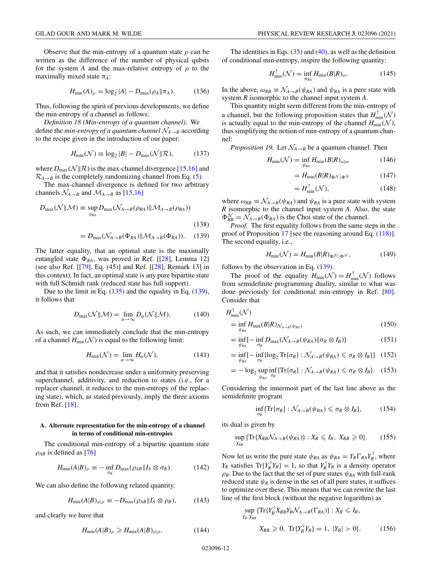<span id="page-12-0"></span>Observe that the min-entropy of a quantum state  $\rho$  can be written as the difference of the number of physical qubits for the system *A* and the max-relative entropy of  $\rho$  to the maximally mixed state  $\pi_A$ :

$$
H_{\min}(A)_{\rho} = \log_2 |A| - D_{\max}(\rho_A \| \pi_A). \tag{136}
$$

Thus, following the spirit of previous developments, we define the min-entropy of a channel as follows:

*Definition 18 (Min-entropy of a quantum channel).* We define the *min-entropy of a quantum channel*  $\mathcal{N}_{A\rightarrow B}$  according to the recipe given in the introduction of our paper:

$$
H_{\min}(\mathcal{N}) \equiv \log_2 |B| - D_{\max}(\mathcal{N}||\mathcal{R}),\tag{137}
$$

where  $D_{\text{max}}(\mathcal{N}||\mathcal{R})$  is the max-channel divergence [\[15,16\]](#page-24-0) and  $\mathcal{R}_{A\rightarrow B}$  is the completely randomizing channel from Eq. [\(5\)](#page-2-0).

The max-channel divergence is defined for two arbitrary channels  $\mathcal{N}_{A\rightarrow B}$  and  $\mathcal{M}_{A\rightarrow B}$  as [\[15,16\]](#page-24-0)

$$
D_{\max}(\mathcal{N}||\mathcal{M}) \equiv \sup_{\rho_{RA}} D_{\max}(\mathcal{N}_{A \to B}(\rho_{RA}) || \mathcal{M}_{A \to B}(\rho_{RA}))
$$
\n(138)

 $= D_{\text{max}}(\mathcal{N}_{A\rightarrow B}(\Phi_{RA})||\mathcal{M}_{A\rightarrow B}(\Phi_{RA}))$ . (139)

The latter equality, that an optimal state is the maximally entangled state  $\Phi_{RA}$ , was proved in Ref. [[\[28\]](#page-24-0), Lemma 12] (see also Ref. [[\[79\]](#page-25-0), Eq. (45)] and Ref. [[\[28\]](#page-24-0), Remark 13] in this context). In fact, an optimal state is any pure bipartite state with full Schmidt rank (reduced state has full support).

Due to the limit in Eq. [\(135\)](#page-11-0) and the equality in Eq. (139), it follows that

$$
D_{\max}(\mathcal{N}||\mathcal{M}) = \lim_{\alpha \to \infty} D_{\alpha}(\mathcal{N}||\mathcal{M}). \tag{140}
$$

As such, we can immediately conclude that the min-entropy of a channel  $H_{\text{min}}(\mathcal{N})$  is equal to the following limit:

$$
H_{\min}(\mathcal{N}) = \lim_{\alpha \to \infty} H_{\alpha}(\mathcal{N}), \tag{141}
$$

and that it satisfies nondecrease under a uniformity preserving superchannel, additivity, and reduction to states (i.e., for a replacer channel, it reduces to the min-entropy of the replacing state), which, as stated previously, imply the three axioms from Ref. [\[18\]](#page-24-0).

## **A. Alternate representation for the min-entropy of a channel in terms of conditional min-entropies**

The conditional min-entropy of a bipartite quantum state  $\rho_{AB}$  is defined as [\[76\]](#page-25-0)

$$
H_{\min}(A|B)_{\rho} \equiv -\inf_{\sigma_B} D_{\max}(\rho_{AB}||I_A \otimes \sigma_B). \tag{142}
$$

We can also define the following related quantity:

$$
H_{\min}(A|B)_{\rho|\rho} \equiv -D_{\max}(\rho_{AB}||I_A \otimes \rho_B),\tag{143}
$$

and clearly we have that

$$
H_{\min}(A|B)_{\rho} \ge H_{\min}(A|B)_{\rho|\rho}.
$$
 (144)

The identities in Eqs.  $(35)$  and  $(40)$ , as well as the definition of conditional min-entropy, inspire the following quantity:

$$
H_{\min}^{\uparrow}(\mathcal{N}) = \inf_{\psi_{RA}} H_{\min}(B|R)_{\omega}.
$$
 (145)

In the above,  $\omega_{RB} \equiv \mathcal{N}_{A\rightarrow B}(\psi_{RA})$  and  $\psi_{RA}$  is a pure state with system *R* isomorphic to the channel input system *A*.

This quantity might seem different from the min-entropy of a channel, but the following proposition states that  $H_{\min}^{\uparrow}(\mathcal{N})$ is actually equal to the min-entropy of the channel  $H_{\text{min}}(\mathcal{N}),$ thus simplifying the notion of min-entropy of a quantum channel:

*Proposition 19.* Let  $\mathcal{N}_{A\rightarrow B}$  be a quantum channel. Then

$$
H_{\min}(\mathcal{N}) = \inf_{\psi_{RA}} H_{\min}(B|R)_{\omega|\omega}
$$
 (146)

$$
=H_{\min}(B|R)_{\Phi^{\mathcal{N}}|\Phi^{\mathcal{N}}}\tag{147}
$$

$$
=H_{\min}^{\uparrow}(\mathcal{N}),\tag{148}
$$

where  $\omega_{RB} \equiv \mathcal{N}_{A\rightarrow B}(\psi_{RA})$  and  $\psi_{RA}$  is a pure state with system *R* isomorphic to the channel input system *A*. Also, the state  $\Phi_{RB}^{\mathcal{N}} = \mathcal{N}_{A\rightarrow B}(\Phi_{RA})$  is the Choi state of the channel.

*Proof.* The first equality follows from the same steps in the proof of Proposition [17](#page-11-0) [see the reasoning around Eq. [\(118\)](#page-11-0)]. The second equality, i.e.,

$$
H_{\min}(\mathcal{N}) = H_{\min}(B|R)_{\Phi} \mathcal{N}_{|\Phi} \mathcal{N},\tag{149}
$$

follows by the observation in Eq. (139).

The proof of the equality  $H_{\text{min}}(\mathcal{N}) = H_{\text{min}}^{\uparrow}(\mathcal{N})$  follows from semidefinite programming duality, similar to what was done previously for conditional min-entropy in Ref. [\[80\]](#page-25-0). Consider that

$$
H_{\min}^{\uparrow}(\mathcal{N})
$$
  
= 
$$
\inf_{\psi_{RA}} H_{\min}(B|R)_{\mathcal{N}_{A\to B}(\psi_{RA})}
$$
 (150)

$$
= \inf_{\psi_{RA}} \left[ -\inf_{\sigma_R} D_{\max} (\mathcal{N}_{A \to B} (\psi_{RA}) || \sigma_R \otimes I_B) \right]
$$
(151)

$$
= \inf_{\psi_{RA}} \left[ -\inf_{\sigma_R} \{ \log_2 \text{Tr} \{ \sigma_R \} : \mathcal{N}_{A \to B}(\psi_{RA}) \leq \sigma_R \otimes I_B \} \right] \quad (152)
$$

$$
= -\log_2 \sup_{\psi_{RA}} \inf_{\sigma_R} \{ \text{Tr}\{\sigma_R\} : \mathcal{N}_{A \to B}(\psi_{RA}) \leq \sigma_R \otimes I_B \}. \tag{153}
$$

Considering the innermost part of the last line above as the semidefinite program

$$
\inf_{\sigma_R} \{ \operatorname{Tr} \{ \sigma_R \} : \mathcal{N}_{A \to B}(\psi_{RA}) \leq \sigma_R \otimes I_B \},\tag{154}
$$

its dual is given by

$$
\sup_{X_{RB}} \{ \operatorname{Tr} \{ X_{RB} \mathcal{N}_{A \to B} (\psi_{RA}) \} : X_R \leqslant I_R, \ X_{RB} \geqslant 0 \}. \tag{155}
$$

Now let us write the pure state  $\psi_{RA}$  as  $\psi_{RA} = Y_R \Gamma_{RA} Y_R^{\dagger}$ , where  $Y_R$  satisfies  $Tr{Y_R^{\dagger} Y_R} = 1$ , so that  $Y_R^{\dagger} Y_R$  is a density operator  $\rho_R$ . Due to the fact that the set of pure states  $\psi_{RA}$  with full-rank reduced state  $\psi_R$  is dense in the set of all pure states, it suffices to optimize over these. This means that we can rewrite the last line of the first block (without the negative logarithm) as

$$
\sup_{Y_R, X_{RB}} \{ \operatorname{Tr} \{ Y_R^{\dagger} X_{RB} Y_R \mathcal{N}_{A \to B} (\Gamma_{RA}) \} : X_R \leq I_R,
$$
  

$$
X_{RB} \geq 0, \ \operatorname{Tr} \{ Y_R^{\dagger} Y_R \} = 1, \ |Y_R| > 0 \}.
$$
 (156)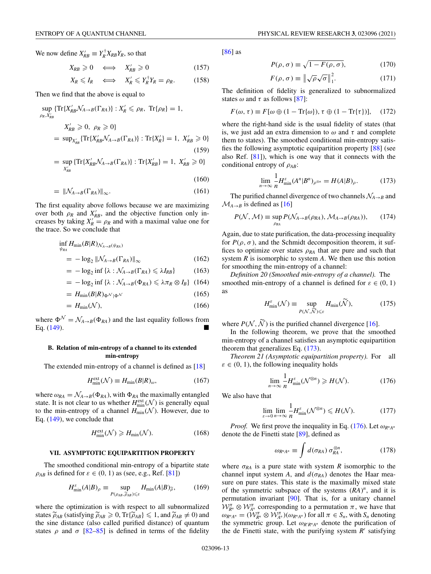<span id="page-13-0"></span>We now define  $X'_{RB} \equiv Y_R^{\dagger} X_{RB} Y_R$ , so that

$$
X_{RB} \ge 0 \iff X'_{RB} \ge 0 \tag{157}
$$
  

$$
X_R \le I_R \iff X'_R \le Y_R^{\dagger} Y_R = \rho_R. \tag{158}
$$

Then we find that the above is equal to

$$
\sup_{\rho_R, X'_{RB}} \{ \operatorname{Tr} \{ X'_{RB} \mathcal{N}_{A \to B}(\Gamma_{RA}) \} : X'_R \leq \rho_R, \, \operatorname{Tr} \{ \rho_R \} = 1,
$$
\n
$$
X'_{RB} \geq 0, \, \rho_R \geq 0 \}
$$
\n
$$
= \sup_{X'_{RB}} \{ \operatorname{Tr} \{ X'_{RB} \mathcal{N}_{A \to B}(\Gamma_{RA}) \} : \operatorname{Tr} \{ X'_R \} = 1, \, X'_{RB} \geq 0 \}
$$
\n(159)

$$
= \sup_{X'_{RB}} \{ \text{Tr}\{X'_{RB} \mathcal{N}_{A \to B}(\Gamma_{RA}) \} : \text{Tr}\{X'_{RB} \} = 1, \ X'_{RB} \geq 0 \}
$$

$$
(160)
$$

$$
= \|\mathcal{N}_{A \to B}(\Gamma_{RA})\|_{\infty}.\tag{161}
$$

The first equality above follows because we are maximizing over both  $\rho_R$  and  $X'_{RB}$ , and the objective function only increases by taking  $X'_R = \rho_R$  and with a maximal value one for the trace. So we conclude that

$$
\inf_{\psi_{RA}} H_{\min}(B|R)_{\mathcal{N}_{A\to B}(\psi_{RA})}
$$
\n
$$
= -\log_2 \|\mathcal{N}_{A\to B}(\Gamma_{RA})\|_{\infty} \tag{162}
$$

$$
= -\log_2 \inf \{ \lambda : \mathcal{N}_{A \to B}(\Gamma_{RA}) \leqslant \lambda I_{RB} \} \tag{163}
$$

$$
= -\log_2 \inf \{ \lambda : \mathcal{N}_{A \to B}(\Phi_{RA}) \leq \lambda \pi_R \otimes I_B \} (164)
$$

$$
= H_{\min}(B|R)_{\Phi^{\mathcal{N}}|\Phi^{\mathcal{N}}}\tag{165}
$$

$$
= H_{\min}(\mathcal{N}),\tag{166}
$$

where  $\Phi^{\mathcal{N}} = \mathcal{N}_{A \to B}(\Phi_{RA})$  and the last equality follows from Eq.  $(149)$ .

## **B. Relation of min-entropy of a channel to its extended min-entropy**

The extended min-entropy of a channel is defined as [\[18\]](#page-24-0)

$$
H_{\min}^{\text{ext}}(\mathcal{N}) \equiv H_{\min}(B|R)_{\omega},\tag{167}
$$

where  $\omega_{RA} = \mathcal{N}_{A\rightarrow B}(\Phi_{RA})$ , with  $\Phi_{RA}$  the maximally entangled state. It is not clear to us whether  $H_{\min}^{\text{ext}}(\mathcal{N})$  is generally equal to the min-entropy of a channel  $H_{\text{min}}(\mathcal{N})$ . However, due to Eq. [\(149\)](#page-12-0), we conclude that

$$
H_{\min}^{\text{ext}}(\mathcal{N}) \ge H_{\min}(\mathcal{N}).\tag{168}
$$

#### **VII. ASYMPTOTIC EQUIPARTITION PROPERTY**

The smoothed conditional min-entropy of a bipartite state  $\rho_{AB}$  is defined for  $\varepsilon \in (0, 1)$  as (see, e.g., Ref. [\[81\]](#page-25-0))

$$
H_{\min}^{\varepsilon}(A|B)_{\rho} \equiv \sup_{P(\rho_{AB}, \widetilde{\rho}_{AB}) \leq \varepsilon} H_{\min}(A|B)_{\widetilde{\rho}}, \tag{169}
$$

where the optimization is with respect to all subnormalized states  $\widetilde{\rho}_{AB}$  (satisfying  $\widetilde{\rho}_{AB} \geq 0$ ,  $\text{Tr}\{\widetilde{\rho}_{AB}\} \leq 1$ , and  $\widetilde{\rho}_{AB} \neq 0$ ) and the sing distance (also salled nurified distance) of quantum the sine distance (also called purified distance) of quantum states  $\rho$  and  $\sigma$  [\[82–85\]](#page-25-0) is defined in terms of the fidelity

[\[86\]](#page-25-0) as

$$
P(\rho, \sigma) \equiv \sqrt{1 - F(\rho, \sigma)},\tag{170}
$$

$$
F(\rho, \sigma) \equiv \left\| \sqrt{\rho} \sqrt{\sigma} \right\|_{1}^{2}.
$$
 (171)

The definition of fidelity is generalized to subnormalized states  $\omega$  and  $\tau$  as follows [\[87\]](#page-25-0):

$$
F(\omega, \tau) \equiv F[\omega \oplus (1 - \text{Tr}\{\omega\}), \tau \oplus (1 - \text{Tr}\{\tau\})], \quad (172)
$$

where the right-hand side is the usual fidelity of states (that is, we just add an extra dimension to  $\omega$  and  $\tau$  and complete them to states). The smoothed conditional min-entropy satisfies the following asymptotic equipartition property [\[88\]](#page-25-0) (see also Ref. [\[81\]](#page-25-0)), which is one way that it connects with the conditional entropy of ρ*AB*:

$$
\lim_{n \to \infty} \frac{1}{n} H_{\min}^{\varepsilon}(A^n | B^n)_{\rho^{\otimes n}} = H(A|B)_{\rho}.
$$
 (173)

The purified channel divergence of two channels  $\mathcal{N}_{A\rightarrow B}$  and  $M_{A\rightarrow B}$  is defined as [\[16\]](#page-24-0)

$$
P(\mathcal{N}, \mathcal{M}) \equiv \sup_{\rho_{RA}} P(\mathcal{N}_{A \to B}(\rho_{RA}), \mathcal{M}_{A \to B}(\rho_{RA})), \qquad (174)
$$

Again, due to state purification, the data-processing inequality for  $P(\rho, \sigma)$ , and the Schmidt decomposition theorem, it suffices to optimize over states  $\rho_{RA}$  that are pure and such that system *R* is isomorphic to system *A*. We then use this notion for smoothing the min-entropy of a channel:

*Definition 20 (Smoothed min-entropy of a channel).* The smoothed min-entropy of a channel is defined for  $\varepsilon \in (0, 1)$ as

$$
H_{\min}^{\varepsilon}(\mathcal{N}) \equiv \sup_{P(\mathcal{N}, \widetilde{\mathcal{N}}) \leq \varepsilon} H_{\min}(\widetilde{\mathcal{N}}), \tag{175}
$$

where  $P(N, \tilde{N})$  is the purified channel divergence [\[16\]](#page-24-0).

In the following theorem, we prove that the smoothed min-entropy of a channel satisfies an asymptotic equipartition theorem that generalizes Eq. (173).

*Theorem 21 (Asymptotic equipartition property).* For all  $\varepsilon \in (0, 1)$ , the following inequality holds

$$
\lim_{n \to \infty} \frac{1}{n} H_{\min}^{\varepsilon}(\mathcal{N}^{\otimes n}) \ge H(\mathcal{N}).
$$
 (176)

We also have that

$$
\lim_{\varepsilon \to 0} \lim_{n \to \infty} \frac{1}{n} H_{\min}^{\varepsilon}(\mathcal{N}^{\otimes n}) \leqslant H(\mathcal{N}).\tag{177}
$$

*Proof.* We first prove the inequality in Eq. (176). Let  $\omega_{R^n A^n}$ denote the de Finetti state [\[89\]](#page-25-0), defined as

$$
\omega_{R^n A^n} \equiv \int d(\sigma_{RA}) \,\sigma_{RA}^{\otimes n},\tag{178}
$$

where  $\sigma_{RA}$  is a pure state with system *R* isomorphic to the channel input system *A*, and  $d(\sigma_{RA})$  denotes the Haar measure on pure states. This state is the maximally mixed state of the symmetric subspace of the systems (*RA*) *<sup>n</sup>*, and it is permutation invariant [\[90\]](#page-25-0). That is, for a unitary channel  $W_{R^n}^{\pi} \otimes W_{A^n}^{\pi}$  corresponding to a permutation  $\pi$ , we have that  $\omega_{R^nA^n} = (\mathcal{W}_{R^n}^{\pi} \otimes \mathcal{W}_{A^n}^{\pi})(\omega_{R^nA^n})$  for all  $\pi \in S_n$ , with  $S_n$  denoting the symmetric group. Let  $\omega_{R'R^nA^n}$  denote the purification of the de Finetti state, with the purifying system  $R'$  satisfying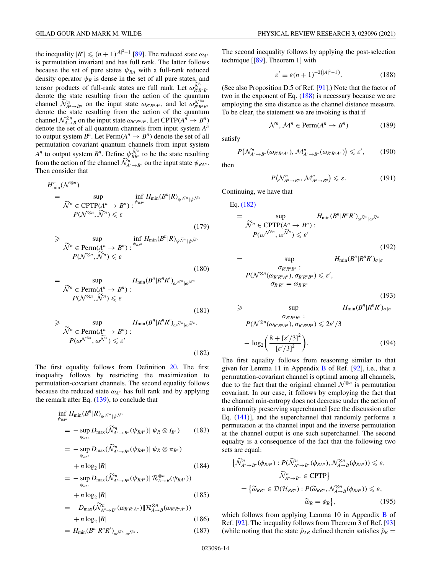the inequality  $|R'| \leq (n+1)^{|A|^2-1}$  [\[89\]](#page-25-0). The reduced state  $\omega_{A^n}$ is permutation invariant and has full rank. The latter follows because the set of pure states  $\psi_{RA}$  with a full-rank reduced density operator  $\psi_R$  is dense in the set of all pure states, and tensor products of full-rank states are full rank. Let  $\omega_{R'R''B''}^{\widetilde{\mathcal{N}}^n}$ denote the state resulting from the action of the quantum channel  $\widetilde{\mathcal{N}}_{A^n \to B^n}^n$  on the input state  $\omega_{R'R^nA^n}$ , and let  $\omega_{R'R^nB^n}^{\mathcal{N}^{\otimes n}}$ denote the state resulting from the action of the quantum channel  $\mathcal{N}_{A\to B}^{\otimes n}$  on the input state  $\omega_{R'R^nA^n}$ . Let CPTP( $A^n \to B^n$ ) denote the set of all quantum channels from input system *An* to output system  $B^n$ . Let  $\text{Perm}(A^n \rightarrow B^n)$  denote the set of all permutation covariant quantum channels from input system *A<sup>n</sup>* to output system  $B^n$ . Define  $\psi_{RB^n}^{\tilde{\mathcal{N}}^n}$  to be the state resulting from the action of the channel  $\widetilde{\mathcal{N}}_{A^n \to B^n}^n$  on the input state  $\psi_{R A^n}$ . Then consider that

$$
H_{\min}^{\varepsilon}(\mathcal{N}^{\otimes n})
$$
  
= 
$$
\sup_{\substack{\tilde{\mathcal{N}}^n \in \text{CPTP}(A^n \to B^n) : \\P(\mathcal{N}^{\otimes n}, \tilde{\mathcal{N}}^n) \leq \varepsilon}} \inf_{\varepsilon} H_{\min}(B^n|R)_{\psi^{\tilde{\mathcal{N}}^n}|\psi^{\tilde{\mathcal{N}}^n}}
$$
  
(179)

$$
\geqslant \sup_{\substack{\widetilde{\mathcal{N}}^n \in \text{Perm}(A^n \to B^n) \\ P(\mathcal{N}^{\otimes n}, \widetilde{\mathcal{N}}^n) \leqslant \varepsilon}} \inf_{\psi_{\mathcal{R}^{n^n}} H_{\text{min}}(B^n | R)_{\psi^{\widetilde{\mathcal{N}}^n}|\psi^{\widetilde{\mathcal{N}}^n}}
$$

$$
= \sup_{\substack{\widetilde{\mathcal{N}}^n \in \text{Perm}(A^n \to B^n) : \\ P(\mathcal{N}^{\otimes n}, \widetilde{\mathcal{N}}^n) \leq \varepsilon}} H_{\text{min}}(B^n | R^n R')_{\omega^{\widetilde{\mathcal{N}}^n} |\omega^{\widetilde{\mathcal{N}}^n}} \tag{181}
$$

$$
\geq \sup_{\substack{\widetilde{\mathcal{N}}^n \in \text{Perm}(A^n \to B^n) : \\ P(\omega^{\mathcal{N}^{\otimes n}}, \omega^{\widetilde{\mathcal{N}}^n}) \leq \varepsilon'}} H_{\text{min}}(B^n | R^n R')_{\omega^{\widetilde{\mathcal{N}}^n} |\omega^{\widetilde{\mathcal{N}}^n}.
$$
\n(182)

The first equality follows from Definition [20.](#page-13-0) The first inequality follows by restricting the maximization to permutation-covariant channels. The second equality follows because the reduced state  $\omega_{A^n}$  has full rank and by applying the remark after Eq. [\(139\)](#page-12-0), to conclude that

$$
\inf_{\psi_{R A^n}} H_{\min}(B^n | R)_{\psi \tilde{\mathcal{N}}^n | \psi \tilde{\mathcal{N}}^n}
$$
\n
$$
= - \sup_{\psi_{R A^n}} D_{\max}(\tilde{\mathcal{N}}_{A^n \to B^n}^n (\psi_{R A^n}) \| \psi_R \otimes I_{B^n}) \qquad (183)
$$

$$
= -\sup_{\psi_{RA^n}} D_{\max}(\widetilde{\mathcal{N}}_{A^n \to B^n}^n(\psi_{RA^n}) \| \psi_R \otimes \pi_{B^n})
$$
  
+  $n \log_2 |B|$  (184)

$$
= - \sup_{\psi_{RA^n}} D_{\max}(\widetilde{\mathcal{N}}_{A^n \to B^n}^n(\psi_{RA^n}) \| \mathcal{R}_{A \to B}^{\otimes n}(\psi_{RA^n})) + n \log_2 |B|
$$
 (185)

$$
= -D_{\max}(\widetilde{\mathcal{N}}_{A^n \to B^n}^n(\omega_{R'R^nA^n}) \| \mathcal{R}_{A \to B}^{\otimes n}(\omega_{R'R^nA^n})) + n \log_2 |B|
$$
\n(186)

$$
= H_{\min}(B^n | R^n R')_{\omega^{\widetilde{\mathcal{N}}^n}|\omega^{\widetilde{\mathcal{N}}^n}}.\tag{187}
$$

The second inequality follows by applying the post-selection technique [[\[89\]](#page-25-0), Theorem 1] with

$$
\varepsilon' \equiv \varepsilon (n+1)^{-2(|A|^2 - 1)}.
$$
 (188)

(See also Proposition D.5 of Ref. [\[91\]](#page-25-0).) Note that the factor of two in the exponent of Eq. (188) is necessary because we are employing the sine distance as the channel distance measure. To be clear, the statement we are invoking is that if

$$
\mathcal{N}^n, \mathcal{M}^n \in \text{Perm}(A^n \to B^n) \tag{189}
$$

satisfy

$$
P\big(\mathcal{N}_{A^n\rightarrow B^n}^n(\omega_{R'R^nA^n}),\mathcal{M}_{A^n\rightarrow B^n}^n(\omega_{R'R^nA^n})\big)\leqslant \varepsilon',\qquad(190)
$$

then

(180)

$$
P\big(\mathcal{N}_{A^n \to B^n}^n, \mathcal{M}_{A^n \to B^n}^n\big) \leqslant \varepsilon. \tag{191}
$$

(192)

(193)

Continuing, we have that

Eq. (182)

$$
= \sup_{\substack{\widetilde{\mathcal{N}}^n \in \text{CPTP}(A^n \to B^n) : \\ P(\omega^{\mathcal{N}^{\otimes n}}, \omega^{\widetilde{\mathcal{N}}^n}) \leq \varepsilon' }} H_{\text{min}}(B^n | R^n R')_{\omega^{\widetilde{\mathcal{N}}^n} |\omega^{\widetilde{\mathcal{N}}^n}|}
$$

$$
=\sup_{\substack{\sigma_{R'R''B^n}:\\ P(\mathcal{N}^{\otimes n}(\omega_{R'R^nA^n}),\ \sigma_{R'R^nB^n}) \ \leqslant \ \varepsilon', \\ \sigma_{R'R^n}=\omega_{R'R^n}}}\ H_{\text{min}}(B^n|R^nR')_{\sigma|\sigma}
$$

$$
\geq \sup_{\substack{\sigma_{R'R^nB^n} : \\ P(\mathcal{N}^{\otimes n}(\omega_{R'R^nA^n}), \sigma_{R'R^nB^n}) \leq 2\varepsilon'/3}} H_{\min}(B^n|R^nR')_{\sigma|\sigma}
$$

$$
- \log_2\left(\frac{8 + [\varepsilon'/3]^2}{[\varepsilon'/3]^2}\right).
$$
(194)

The first equality follows from reasoning similar to that given for Lemma 11 in Appendix [B](#page-21-0) of Ref. [\[92\]](#page-26-0), i.e., that a permutation-covariant channel is optimal among all channels, due to the fact that the original channel  $\mathcal{N}^{\otimes n}$  is permutation covariant. In our case, it follows by employing the fact that the channel min-entropy does not decrease under the action of a uniformity preserving superchannel [see the discussion after Eq. [\(141\)](#page-12-0)], and the superchannel that randomly performs a permutation at the channel input and the inverse permutation at the channel output is one such superchannel. The second equality is a consequence of the fact that the following two sets are equal:

$$
\{\widetilde{\mathcal{N}}_{A^n \to B^n}^n(\phi_{R A^n}) : P(\widetilde{\mathcal{N}}_{A^n \to B^n}^n(\phi_{R A^n}), \mathcal{N}_{A \to B}^{\otimes n}(\phi_{R A^n})) \leq \varepsilon,
$$
  

$$
\widetilde{\mathcal{N}}_{A^n \to B^n}^n \in \text{CPTP}\}
$$
  

$$
= \{\widetilde{\omega}_{R B^n} \in \mathcal{D}(\mathcal{H}_{R B^n}) : P(\widetilde{\omega}_{R B^n}, \mathcal{N}_{A \to B}^{\otimes n}(\phi_{R A^n})) \leq \varepsilon,
$$
  

$$
\widetilde{\omega}_R = \phi_R\}, \tag{195}
$$

which follows from applying Lemma 10 in Appendix [B](#page-21-0) of Ref. [\[92\]](#page-26-0). The inequality follows from Theorem 3 of Ref. [\[93\]](#page-26-0) (while noting that the state  $\hat{\rho}_{AB}$  defined therein satisfies  $\hat{\rho}_B =$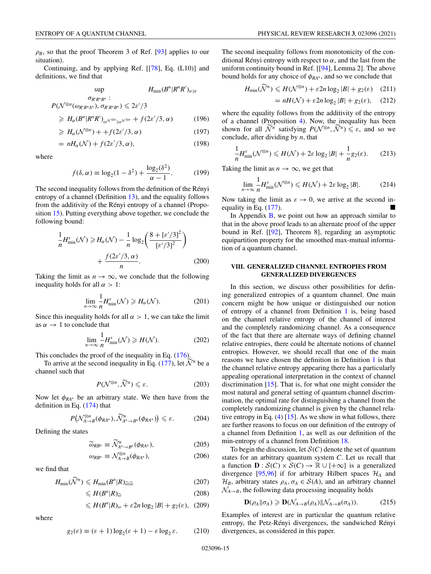<span id="page-15-0"></span> $\rho_B$ , so that the proof Theorem 3 of Ref. [\[93\]](#page-26-0) applies to our situation).

Continuing, and by applying Ref. [[\[78\]](#page-25-0), Eq. (L10)] and definitions, we find that

$$
\sup_{\substack{\sigma_{R'R''B^n}:\\\rho(\sqrt{\otimes n}(\omega_{R'R^nA^n}),\ \sigma_{R'R''B^n}) \leq 2\varepsilon'/3}} H_{\min}(B^n|R^nR')_{\sigma|\sigma}
$$

$$
\geqslant H_{\alpha}(B^{n}|R^{n}R')_{\omega^{\mathcal{N}^{\otimes n}}|\omega^{\mathcal{N}^{\otimes n}}}+f(2\varepsilon'/3,\alpha) \qquad (196)
$$

$$
\geqslant H_{\alpha}(\mathcal{N}^{\otimes n}) + + f(2\varepsilon'/3, \alpha) \tag{197}
$$

$$
= nH_{\alpha}(\mathcal{N}) + f(2\varepsilon'/3, \alpha), \qquad (198)
$$

where

$$
f(\delta, \alpha) \equiv \log_2(1 - \delta^2) + \frac{\log_2(\delta^2)}{\alpha - 1}.
$$
 (199)

The second inequality follows from the definition of the Rényi entropy of a channel (Definition [13\)](#page-10-0), and the equality follows from the additivity of the Rényi entropy of a channel (Proposition [15\)](#page-10-0). Putting everything above together, we conclude the following bound:

$$
\frac{1}{n}H_{\min}^{\varepsilon}(\mathcal{N}) \ge H_{\alpha}(\mathcal{N}) - \frac{1}{n}\log_2\left(\frac{8 + \left[\varepsilon'/3\right]^2}{\left[\varepsilon'/3\right]^2}\right) + \frac{f(2\varepsilon'/3, \alpha)}{n}.
$$
\n(200)

Taking the limit as  $n \to \infty$ , we conclude that the following inequality holds for all  $\alpha > 1$ :

$$
\lim_{n \to \infty} \frac{1}{n} H_{\min}^{\varepsilon}(\mathcal{N}) \geq H_{\alpha}(\mathcal{N}).
$$
\n(201)

Since this inequality holds for all  $\alpha > 1$ , we can take the limit as  $\alpha \rightarrow 1$  to conclude that

$$
\lim_{n \to \infty} \frac{1}{n} H_{\min}^{\varepsilon}(\mathcal{N}) \ge H(\mathcal{N}).
$$
\n(202)

This concludes the proof of the inequality in Eq. [\(176\)](#page-13-0).

To arrive at the second inequality in Eq. [\(177\)](#page-13-0), let  $\tilde{\mathcal{N}}^n$  be a channel such that

$$
P(\mathcal{N}^{\otimes n}, \widetilde{\mathcal{N}}^n) \leqslant \varepsilon. \tag{203}
$$

Now let  $\phi_{RA^n}$  be an arbitrary state. We then have from the definition in Eq. [\(174\)](#page-13-0) that

$$
P\big(\mathcal{N}^{\otimes n}_{A\to B}(\phi_{R A^n}), \widetilde{\mathcal{N}}^n_{A^n\to B^n}(\phi_{R A^n})\big) \leq \varepsilon. \tag{204}
$$

Defining the states

$$
\widetilde{\omega}_{RB^n} \equiv \widetilde{\mathcal{N}}_{A^n \to B^n}^n(\phi_{RA^n}),\tag{205}
$$

$$
\omega_{RB^n} \equiv \mathcal{N}_{A \to B}^{\otimes n}(\phi_{RA^n}),\tag{206}
$$

we find that

$$
H_{\min}(\widetilde{\mathcal{N}}^n) \leqslant H_{\min}(B^n|R)_{\widetilde{\omega}|\widetilde{\omega}}\tag{207}
$$

$$
\leqslant H(B^n|R)_{\widetilde{\omega}}\tag{208}
$$

$$
\leqslant H(B^n|R)_{\omega} + \varepsilon 2n \log_2 |B| + g_2(\varepsilon), \quad (209)
$$

where

$$
g_2(\varepsilon) \equiv (\varepsilon + 1) \log_2(\varepsilon + 1) - \varepsilon \log_2 \varepsilon. \tag{210}
$$

The second inequality follows from monotonicity of the conditional Rényi entropy with respect to  $\alpha$ , and the last from the uniform continuity bound in Ref. [[\[94\]](#page-26-0), Lemma 2]. The above bound holds for any choice of  $\phi_{RA^n}$ , and so we conclude that

$$
H_{\min}(\widetilde{\mathcal{N}}^n) \leq H(\mathcal{N}^{\otimes n}) + \varepsilon 2n \log_2 |B| + g_2(\varepsilon) \quad (211)
$$

$$
= nH(\mathcal{N}) + \varepsilon 2n \log_2 |\mathcal{B}| + g_2(\varepsilon), \quad (212)
$$

where the equality follows from the additivity of the entropy of a channel (Proposition [4\)](#page-3-0). Now, the inequality has been shown for all  $\widetilde{\mathcal{N}}^n$  satisfying  $P(\mathcal{N}^{\otimes n}, \widetilde{\mathcal{N}}^n) \leq \varepsilon$ , and so we conclude, after dividing by *n*, that

$$
\frac{1}{n}H_{\min}^{\varepsilon}(\mathcal{N}^{\otimes n}) \le H(\mathcal{N}) + 2\varepsilon \log_2|B| + \frac{1}{n}g_2(\varepsilon). \tag{213}
$$

Taking the limit as  $n \to \infty$ , we get that

$$
\lim_{n \to \infty} \frac{1}{n} H_{\min}^{\varepsilon}(\mathcal{N}^{\otimes n}) \leqslant H(\mathcal{N}) + 2\varepsilon \log_2 |B|.
$$
 (214)

Now taking the limit as  $\varepsilon \to 0$ , we arrive at the second inequality in Eq.  $(177)$ .

In Appendix  $\overline{B}$ , we point out how an approach similar to that in the above proof leads to an alternate proof of the upper bound in Ref. [[\[92\]](#page-26-0), Theorem 8], regarding an asymptotic equipartition property for the smoothed max-mutual information of a quantum channel.

### **VIII. GENERALIZED CHANNEL ENTROPIES FROM GENERALIZED DIVERGENCES**

In this section, we discuss other possibilities for defining generalized entropies of a quantum channel. One main concern might be how unique or distinguished our notion of entropy of a channel from Definition [1](#page-2-0) is, being based on the channel relative entropy of the channel of interest and the completely randomizing channel. As a consequence of the fact that there are alternate ways of defining channel relative entropies, there could be alternate notions of channel entropies. However, we should recall that one of the main reasons we have chosen the definition in Definition [1](#page-2-0) is that the channel relative entropy appearing there has a particularly appealing operational interpretation in the context of channel discrimination [\[15\]](#page-24-0). That is, for what one might consider the most natural and general setting of quantum channel discrimination, the optimal rate for distinguishing a channel from the completely randomizing channel is given by the channel relative entropy in Eq. [\(4\)](#page-2-0) [\[15\]](#page-24-0). As we show in what follows, there are further reasons to focus on our definition of the entropy of a channel from Definition [1,](#page-2-0) as well as our definition of the min-entropy of a channel from Definition [18.](#page-12-0)

To begin the discussion, let  $S(C)$  denote the set of quantum states for an arbitrary quantum system *C*. Let us recall that a function  $\mathbf{D}: \mathcal{S}(C) \times \mathcal{S}(C) \to \mathbb{R} \cup \{+\infty\}$  is a generalized divergence [\[95,96\]](#page-26-0) if for arbitrary Hilbert spaces  $\mathcal{H}_A$  and  $\mathcal{H}_B$ , arbitrary states  $\rho_A$ ,  $\sigma_A \in \mathcal{S}(A)$ , and an arbitrary channel  $\mathcal{N}_{A\rightarrow B}$ , the following data processing inequality holds

$$
\mathbf{D}(\rho_A \|\sigma_A) \geq \mathbf{D}(\mathcal{N}_{A \to B}(\rho_A) \|\mathcal{N}_{A \to B}(\sigma_A)). \tag{215}
$$

Examples of interest are in particular the quantum relative entropy, the Petz-Rényi divergences, the sandwiched Rényi divergences, as considered in this paper.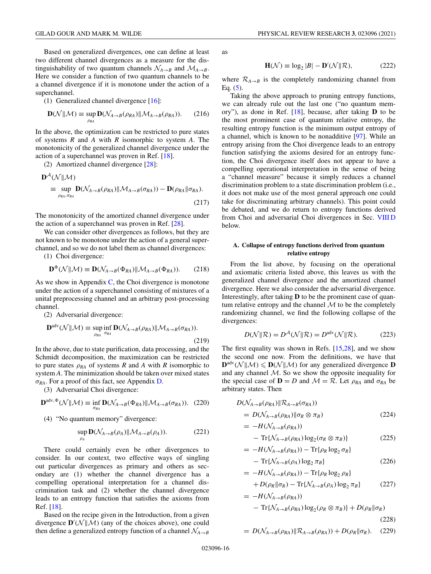<span id="page-16-0"></span>Based on generalized divergences, one can define at least two different channel divergences as a measure for the distinguishability of two quantum channels  $\mathcal{N}_{A\rightarrow B}$  and  $\mathcal{M}_{A\rightarrow B}$ . Here we consider a function of two quantum channels to be a channel divergence if it is monotone under the action of a superchannel.

(1) Generalized channel divergence [\[16\]](#page-24-0):

$$
\mathbf{D}(\mathcal{N}||\mathcal{M}) \equiv \sup_{\rho_{RA}} \mathbf{D}(\mathcal{N}_{A \to B}(\rho_{RA}) || \mathcal{M}_{A \to B}(\rho_{RA})). \tag{216}
$$

In the above, the optimization can be restricted to pure states of systems *R* and *A* with *R* isomorphic to system *A*. The monotonicity of the generalized channel divergence under the action of a superchannel was proven in Ref. [\[18\]](#page-24-0).

(2) Amortized channel divergence [\[28\]](#page-24-0):

$$
\mathbf{D}^{\mathcal{A}}(\mathcal{N}||\mathcal{M})
$$
  
\n
$$
\equiv \sup_{\rho_{RA}, \sigma_{RA}} \mathbf{D}(\mathcal{N}_{A \to B}(\rho_{RA})||\mathcal{M}_{A \to B}(\sigma_{RA})) - \mathbf{D}(\rho_{RA}||\sigma_{RA}).
$$
\n(217)

The monotonicity of the amortized channel divergence under the action of a superchannel was proven in Ref. [\[28\]](#page-24-0).

We can consider other divergences as follows, but they are not known to be monotone under the action of a general superchannel, and so we do not label them as channel divergences:

(1) Choi divergence:

$$
\mathbf{D}^{\Phi}(\mathcal{N}|\mathcal{M}) \equiv \mathbf{D}(\mathcal{N}_{A \to B}(\Phi_{RA})|\mathcal{M}_{A \to B}(\Phi_{RA})).
$$
 (218)

As we show in Appendix  $C$ , the Choi divergence is monotone under the action of a superchannel consisting of mixtures of a unital preprocessing channel and an arbitrary post-processing channel.

(2) Adversarial divergence:

$$
\mathbf{D}^{\text{adv}}(\mathcal{N}||\mathcal{M}) \equiv \sup_{\rho_{RA}} \inf_{\sigma_{RA}} \mathbf{D}(\mathcal{N}_{A \to B}(\rho_{RA}) || \mathcal{M}_{A \to B}(\sigma_{RA})).
$$
\n(219)

In the above, due to state purification, data processing, and the Schmidt decomposition, the maximization can be restricted to pure states  $\rho_{RA}$  of systems *R* and *A* with *R* isomorphic to system *A*. The minimization should be taken over mixed states  $\sigma_{RA}$ . For a proof of this fact, see Appendix [D.](#page-23-0)

(3) Adversarial Choi divergence:

$$
\mathbf{D}^{\text{adv}, \Phi}(\mathcal{N} \|\mathcal{M}) \equiv \inf_{\sigma_{RA}} \mathbf{D}(\mathcal{N}_{A \to B}(\Phi_{RA}) \|\mathcal{M}_{A \to B}(\sigma_{RA})). \tag{220}
$$

(4) "No quantum memory" divergence:

$$
\sup_{\rho_A} \mathbf{D}(\mathcal{N}_{A\to B}(\rho_A) \| \mathcal{M}_{A\to B}(\rho_A)). \tag{221}
$$

There could certainly even be other divergences to consider. In our context, two effective ways of singling out particular divergences as primary and others as secondary are (1) whether the channel divergence has a compelling operational interpretation for a channel discrimination task and (2) whether the channel divergence leads to an entropy function that satisfies the axioms from Ref. [\[18\]](#page-24-0).

Based on the recipe given in the Introduction, from a given divergence  $\mathbf{D}'(\mathcal{N}||\mathcal{M})$  (any of the choices above), one could then define a generalized entropy function of a channel  $\mathcal{N}_{A\rightarrow B}$  as

$$
\mathbf{H}(\mathcal{N}) \equiv \log_2 |B| - \mathbf{D}'(\mathcal{N}||\mathcal{R}),\tag{222}
$$

where  $\mathcal{R}_{A\rightarrow B}$  is the completely randomizing channel from Eq.  $(5)$ .

Taking the above approach to pruning entropy functions, we can already rule out the last one ("no quantum memory"), as done in Ref. [\[18\]](#page-24-0), because, after taking **D** to be the most prominent case of quantum relative entropy, the resulting entropy function is the minimum output entropy of a channel, which is known to be nonadditive [\[97\]](#page-26-0). While an entropy arising from the Choi divergence leads to an entropy function satisfying the axioms desired for an entropy function, the Choi divergence itself does not appear to have a compelling operational interpretation in the sense of being a "channel measure" because it simply reduces a channel discrimination problem to a state discrimination problem (i.e., it does not make use of the most general approach one could take for discriminating arbitrary channels). This point could be debated, and we do return to entropy functions derived from Choi and adversarial Choi divergences in Sec. [VIII D](#page-17-0) below.

## **A. Collapse of entropy functions derived from quantum relative entropy**

From the list above, by focusing on the operational and axiomatic criteria listed above, this leaves us with the generalized channel divergence and the amortized channel divergence. Here we also consider the adversarial divergence. Interestingly, after taking **D** to be the prominent case of quantum relative entropy and the channel  $M$  to be the completely randomizing channel, we find the following collapse of the divergences:

$$
D(\mathcal{N} \| \mathcal{R}) = D^{\mathcal{A}}(\mathcal{N} \| \mathcal{R}) = D^{\text{adv}}(\mathcal{N} \| \mathcal{R}).
$$
 (223)

The first equality was shown in Refs. [\[15,28\]](#page-24-0), and we show the second one now. From the definitions, we have that  $\mathbf{D}^{\text{adv}}(\mathcal{N} \mid \mathcal{M}) \leq \mathbf{D}(\mathcal{N} \mid \mathcal{M})$  for any generalized divergence **D** and any channel  $M$ . So we show the opposite inequality for the special case of  $\mathbf{D} = D$  and  $\mathcal{M} = \mathcal{R}$ . Let  $\rho_{RA}$  and  $\sigma_{RA}$  be arbitrary states. Then

$$
D(\mathcal{N}_{A \to B}(\rho_{RA}) \| \mathcal{R}_{A \to B}(\sigma_{RA}))
$$
  
=  $D(\mathcal{N}_{A \to B}(\rho_{RA}) \| \sigma_R \otimes \pi_B)$  (224)

$$
= -H(\mathcal{N}_{A\to B}(\rho_{RA}))
$$
  
- Tr{ $\mathcal{N}_{A\to B}(\rho_{RA})$ log<sub>2</sub>( $\sigma_R \otimes \pi_B$ )} (225)

$$
= -H(\mathcal{N}_{A\to B}(\rho_{RA})) - \text{Tr}\{\rho_R \log_2 \sigma_R\}
$$

$$
- \operatorname{Tr} \{ \mathcal{N}_{A \to B}(\rho_A) \log_2 \pi_B \} \tag{226}
$$

$$
= -H(\mathcal{N}_{A\to B}(\rho_{RA})) - \text{Tr}\{\rho_R \log_2 \rho_R\}
$$
  
+  $D(\rho_R || \sigma_R) - \text{Tr}\{\mathcal{N}_{A\to B}(\rho_A) \log_2 \pi_B\}$  (227)

$$
= -H(\mathcal{N}_{A\to B}(\rho_{RA}))
$$
  
- Tr{ $\mathcal{N}_{A\to B}(\rho_{RA})$ log<sub>2</sub>( $\rho_R \otimes \pi_B$ )} + D(\rho\_R || \sigma\_R) (228)

$$
= D(\mathcal{N}_{A \to B}(\rho_{RA}) \| \mathcal{R}_{A \to B}(\rho_{RA})) + D(\rho_R \| \sigma_R). \quad (229)
$$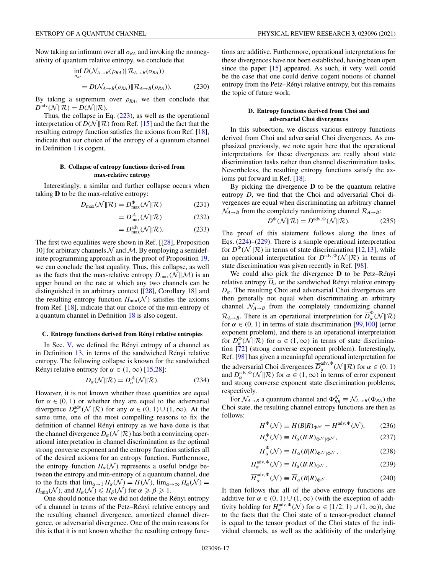<span id="page-17-0"></span>Now taking an infimum over all  $\sigma_{RA}$  and invoking the nonnegativity of quantum relative entropy, we conclude that

$$
\inf_{\sigma_{RA}} D(\mathcal{N}_{A \to B}(\rho_{RA}) \| \mathcal{R}_{A \to B}(\sigma_{RA}))
$$
\n
$$
= D(\mathcal{N}_{A \to B}(\rho_{RA}) \| \mathcal{R}_{A \to B}(\rho_{RA})). \tag{230}
$$

By taking a supremum over  $\rho_{RA}$ , we then conclude that  $D^{\text{adv}}(\mathcal{N} \Vert \mathcal{R}) = D(\mathcal{N} \Vert \mathcal{R}).$ 

Thus, the collapse in Eq. [\(223\)](#page-16-0), as well as the operational interpretation of  $D(N||R)$  from Ref. [\[15\]](#page-24-0) and the fact that the resulting entropy function satisfies the axioms from Ref. [\[18\]](#page-24-0), indicate that our choice of the entropy of a quantum channel in Definition [1](#page-2-0) is cogent.

## **B. Collapse of entropy functions derived from max-relative entropy**

Interestingly, a similar and further collapse occurs when taking **D** to be the max-relative entropy:

$$
D_{\max}(\mathcal{N}||\mathcal{R}) = D_{\max}^{\Phi}(\mathcal{N}||\mathcal{R})
$$
 (231)

$$
=D_{\max}^{\mathcal{A}}(\mathcal{N}||\mathcal{R})\tag{232}
$$

$$
=D_{\max}^{\text{adv}}(\mathcal{N} \| \mathcal{R}). \tag{233}
$$

The first two equalities were shown in Ref. [[\[28\]](#page-24-0), Proposition 10] for arbitrary channels  $\mathcal N$  and  $\mathcal M$ . By employing a semidefinite programming approach as in the proof of Proposition [19,](#page-12-0) we can conclude the last equality. Thus, this collapse, as well as the facts that the max-relative entropy  $D_{\text{max}}(\mathcal{N}||\mathcal{M})$  is an upper bound on the rate at which any two channels can be distinguished in an arbitrary context [[\[28\]](#page-24-0), Corollary 18] and the resulting entropy function  $H_{\text{min}}(\mathcal{N})$  satisfies the axioms from Ref. [\[18\]](#page-24-0), indicate that our choice of the min-entropy of a quantum channel in Definition [18](#page-12-0) is also cogent.

#### **C. Entropy functions derived from Rényi relative entropies**

In Sec. [V,](#page-9-0) we defined the Rényi entropy of a channel as in Definition [13,](#page-10-0) in terms of the sandwiched Rényi relative entropy. The following collapse is known for the sandwiched Rényi relative entropy for  $\alpha \in (1, \infty)$  [\[15,28\]](#page-24-0):

$$
D_{\alpha}(\mathcal{N}||\mathcal{R}) = D_{\alpha}^{\mathcal{A}}(\mathcal{N}||\mathcal{R}).
$$
 (234)

However, it is not known whether these quantities are equal for  $\alpha \in (0, 1)$  or whether they are equal to the adversarial divergence  $D_{\alpha}^{\text{adv}}(\mathcal{N} \| \mathcal{R})$  for any  $\alpha \in (0, 1) \cup (1, \infty)$ . At the same time, one of the most compelling reasons to fix the definition of channel Rényi entropy as we have done is that the channel divergence  $D_{\alpha}(\mathcal{N}||\mathcal{R})$  has both a convincing operational interpretation in channel discrimination as the optimal strong converse exponent and the entropy function satisfies all of the desired axioms for an entropy function. Furthermore, the entropy function  $H_\alpha(\mathcal{N})$  represents a useful bridge between the entropy and min-entropy of a quantum channel, due to the facts that  $\lim_{\alpha \to 1} H_{\alpha}(\mathcal{N}) = H(\mathcal{N}), \lim_{\alpha \to \infty} H_{\alpha}(\mathcal{N}) =$  $H_{\text{min}}(\mathcal{N})$ , and  $H_{\alpha}(\mathcal{N}) \leq H_{\beta}(\mathcal{N})$  for  $\alpha \geq \beta \geq 1$ .

One should notice that we did not define the Rényi entropy of a channel in terms of the Petz–Rényi relative entropy and the resulting channel divergence, amortized channel divergence, or adversarial divergence. One of the main reasons for this is that it is not known whether the resulting entropy functions are additive. Furthermore, operational interpretations for these divergences have not been established, having been open since the paper [\[15\]](#page-24-0) appeared. As such, it very well could be the case that one could derive cogent notions of channel entropy from the Petz–Rényi relative entropy, but this remains the topic of future work.

## **D. Entropy functions derived from Choi and adversarial Choi divergences**

In this subsection, we discuss various entropy functions derived from Choi and adversarial Choi divergences. As emphasized previously, we note again here that the operational interpretations for these divergences are really about state discrimination tasks rather than channel discrimination tasks. Nevertheless, the resulting entropy functions satisfy the axioms put forward in Ref. [\[18\]](#page-24-0).

By picking the divergence **D** to be the quantum relative entropy *D*, we find that the Choi and adversarial Choi divergences are equal when discriminating an arbitrary channel  $\mathcal{N}_{A\rightarrow B}$  from the completely randomizing channel  $\mathcal{R}_{A\rightarrow B}$ :

$$
D^{\Phi}(\mathcal{N} \| \mathcal{R}) = D^{\text{adv}, \Phi}(\mathcal{N} \| \mathcal{R}).
$$
 (235)

The proof of this statement follows along the lines of Eqs. [\(224\)](#page-16-0)–[\(229\)](#page-16-0). There is a simple operational interpretation for  $D^{\Phi}(\mathcal{N} \| \mathcal{R})$  in terms of state discrimination [\[12,13\]](#page-24-0), while an operational interpretation for  $D^{\text{adv}, \Phi}(\mathcal{N} \| \mathcal{R})$  in terms of state discrimination was given recently in Ref. [\[98\]](#page-26-0).

We could also pick the divergence **D** to be Petz–Rényi relative entropy  $\overline{D}_{\alpha}$  or the sandwiched Rényi relative entropy  $D_{\alpha}$ . The resulting Choi and adversarial Choi divergences are then generally not equal when discriminating an arbitrary channel  $\mathcal{N}_{A\rightarrow B}$  from the completely randomizing channel  $\mathcal{R}_{A\to B}$ . There is an operational interpretation for  $\overline{D}_{\alpha}^{\Phi}(\mathcal{N}||\mathcal{R})$ for  $\alpha \in (0, 1)$  in terms of state discrimination [\[99,100\]](#page-26-0) (error exponent problem), and there is an operational interpretation for  $D_{\alpha}^{\Phi}(\mathcal{N}||\mathcal{R})$  for  $\alpha \in (1,\infty)$  in terms of state discrimination [\[72\]](#page-25-0) (strong converse exponent problem). Interestingly, Ref. [\[98\]](#page-26-0) has given a meaningful operational interpretation for the adversarial Choi divergences  $\overline{D}_{\alpha}^{\text{adv}, \Phi}(\mathcal{N} \| \mathcal{R})$  for  $\alpha \in (0, 1)$ and  $D_{\alpha}^{\text{adv}, \Phi}(\mathcal{N} \| \mathcal{R})$  for  $\alpha \in (1, \infty)$  in terms of error exponent and strong converse exponent state discrimination problems, respectively.

For  $\mathcal{N}_{A\rightarrow B}$  a quantum channel and  $\Phi_{RB}^{\mathcal{N}} \equiv \mathcal{N}_{A\rightarrow B}(\Phi_{RA})$  the Choi state, the resulting channel entropy functions are then as follows:

*H*

$$
H^{\Phi}(\mathcal{N}) \equiv H(B|R)_{\Phi^{\mathcal{N}}} = H^{\text{adv}, \Phi}(\mathcal{N}), \qquad (236)
$$

$$
H_{\alpha}^{\Phi}(\mathcal{N}) \equiv H_{\alpha}(B|R)_{\Phi^{\mathcal{N}}|\Phi^{\mathcal{N}}},\tag{237}
$$

$$
\overline{H}_{\alpha}^{\Phi}(\mathcal{N}) \equiv \overline{H}_{\alpha}(B|R)_{\Phi^{\mathcal{N}}|\Phi^{\mathcal{N}}},\tag{238}
$$

$$
H_{\alpha}^{\text{adv}, \Phi}(\mathcal{N}) \equiv H_{\alpha}(B|R)_{\Phi} \mathcal{N},\tag{239}
$$

$$
\overline{H}_{\alpha}^{\text{adv}, \Phi}(\mathcal{N}) \equiv \overline{H}_{\alpha}(B|R)_{\Phi^{\mathcal{N}}}.
$$
 (240)

It then follows that all of the above entropy functions are additive for  $\alpha \in (0, 1) \cup (1, \infty)$  (with the exception of additivity holding for  $H_{\alpha}^{\text{adv}, \Phi}(\mathcal{N})$  for  $\alpha \in [1/2, 1) \cup (1, \infty)$ , due to the facts that the Choi state of a tensor-product channel is equal to the tensor product of the Choi states of the individual channels, as well as the additivity of the underlying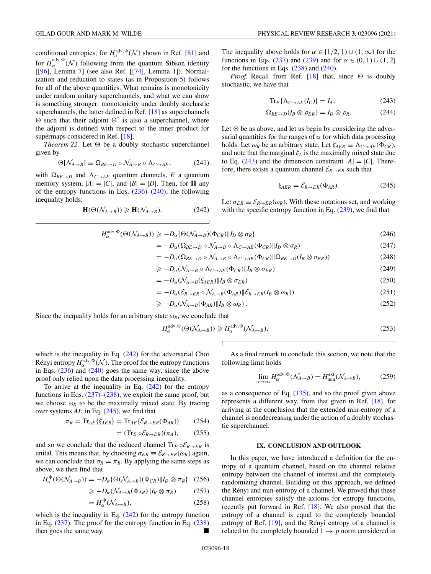<span id="page-18-0"></span>conditional entropies, for  $H_{\alpha}^{\text{adv}, \Phi}(\mathcal{N})$  shown in Ref. [\[81\]](#page-25-0) and for  $\overline{H}_{\alpha}^{\text{adv}, \Phi}(\mathcal{N})$  following from the quantum Sibson identity [[\[96\]](#page-26-0), Lemma 7] (see also Ref. [[\[74\]](#page-25-0), Lemma 1]). Normalization and reduction to states (as in Proposition [5\)](#page-4-0) follows for all of the above quantities. What remains is monotonicity under random unitary superchannels, and what we can show is something stronger: monotonicity under doubly stochastic superchannels, the latter defined in Ref. [\[18\]](#page-24-0) as superchannels  $\Theta$  such that their adjoint  $\Theta^{\dagger}$  is also a superchannel, where the adjoint is defined with respect to the inner product for supermaps considered in Ref. [\[18\]](#page-24-0).

*Theorem 22.* Let  $\Theta$  be a doubly stochastic superchannel given by

$$
\Theta[\mathcal{N}_{A \to B}] \equiv \Omega_{BE \to D} \circ \mathcal{N}_{A \to B} \circ \Lambda_{C \to AE}, \tag{241}
$$

with  $\Omega_{BE\rightarrow D}$  and  $\Lambda_{C\rightarrow AE}$  quantum channels, *E* a quantum memory system,  $|A| = |C|$ , and  $|B| = |D|$ . Then, for **H** any of the entropy functions in Eqs.  $(236)$ – $(240)$ , the following inequality holds:

$$
\mathbf{H}(\Theta(\mathcal{N}_{A\to B})) \ge \mathbf{H}(\mathcal{N}_{A\to B}).\tag{242}
$$

The inequality above holds for  $\alpha \in [1/2, 1) \cup (1, \infty)$  for the functions in Eqs. [\(237\)](#page-17-0) and [\(239\)](#page-17-0) and for  $\alpha \in (0, 1) \cup (1, 2]$ for the functions in Eqs.  $(238)$  and  $(240)$ .

*Proof.* Recall from Ref. [\[18\]](#page-24-0) that, since  $\Theta$  is doubly stochastic, we have that

$$
\operatorname{Tr}_{E}\{\Lambda_{C\to AE}(I_C)\}=I_A,\tag{243}
$$

$$
\Omega_{BE \to D}(I_B \otimes \rho_{ER}) = I_D \otimes \rho_R. \tag{244}
$$

Let  $\Theta$  be as above, and let us begin by considering the adversarial quantities for the ranges of  $\alpha$  for which data processing holds. Let  $\omega_R$  be an arbitrary state. Let  $\xi_{AER} \equiv \Lambda_{C \to AE}(\Phi_{CR})$ , and note that the marginal  $\xi_A$  is the maximally mixed state due to Eq. (243) and the dimension constraint  $|A|=|C|$ . Therefore, there exists a quantum channel  $\mathcal{E}_{R\to ER}$  such that

$$
\xi_{AER} = \mathcal{E}_{R \to ER}(\Phi_{AR}). \tag{245}
$$

Let  $\sigma_{ER} \equiv \mathcal{E}_{R\to ER}(\omega_R)$ . With these notations set, and working with the specific entropy function in Eq.  $(239)$ , we find that

$$
H_{\alpha}^{\text{adv}, \Phi}(\Theta(\mathcal{N}_{A \to B})) \geqslant -D_{\alpha} \{ \Theta(\mathcal{N}_{A \to B})(\Phi_{CR}) \| I_D \otimes \sigma_R \}
$$
\n
$$
(246)
$$

 $\Gamma$ 

$$
= -D_{\alpha}(\Omega_{BE \to D} \circ \mathcal{N}_{A \to B} \circ \Lambda_{C \to AE}(\Phi_{CR}) \| I_D \otimes \sigma_R)
$$
\n(247)

$$
= -D_{\alpha}(\Omega_{BE \to D} \circ \mathcal{N}_{A \to B} \circ \Lambda_{C \to AE}(\Phi_{CR}) \|\Omega_{BE \to D}(I_B \otimes \sigma_{ER})) \tag{248}
$$

$$
\geq -D_{\alpha}(\mathcal{N}_{A\to B}\circ\Lambda_{C\to AE}(\Phi_{CR})\|I_B\otimes\sigma_{ER})
$$
\n(249)

$$
= -D_{\alpha}(\mathcal{N}_{A \to B}(\xi_{AER}) \| I_B \otimes \sigma_{ER}) \tag{250}
$$

$$
= -D_{\alpha}(\mathcal{E}_{R \to ER} \circ \mathcal{N}_{A \to B}(\Phi_{AR}) \| \mathcal{E}_{R \to ER}(I_B \otimes \omega_R)) \tag{251}
$$

$$
\geqslant -D_{\alpha}(\mathcal{N}_{A\to B}(\Phi_{AR})||I_B\otimes\omega_R). \tag{252}
$$

Since the inequality holds for an arbitrary state  $\omega_R$ , we conclude that

$$
H_{\alpha}^{\text{adv}, \Phi}(\Theta(\mathcal{N}_{A \to B})) \ge H_{\alpha}^{\text{adv}, \Phi}(\mathcal{N}_{A \to B}),
$$
\n(253)

which is the inequality in Eq.  $(242)$  for the adversarial Choi Rényi entropy  $H_{\alpha}^{\text{adv}, \Phi}(\mathcal{N})$ . The proof for the entropy functions in Eqs.  $(236)$  and  $(240)$  goes the same way, since the above proof only relied upon the data processing inequality.

To arrive at the inequality in Eq.  $(242)$  for the entropy functions in Eqs.  $(237)$ – $(238)$ , we exploit the same proof, but we choose  $\omega_R$  to be the maximally mixed state. By tracing over systems *AE* in Eq. (245), we find that

$$
\pi_R = \text{Tr}_{AE} \{ \xi_{AER} \} = \text{Tr}_{AE} \{ \mathcal{E}_{R \to ER}(\Phi_{AR}) \} \tag{254}
$$

$$
= (\text{Tr}_E \circ \mathcal{E}_{R \to ER}) (\pi_A), \qquad (255)
$$

and so we conclude that the reduced channel  $\text{Tr}_E \circ \mathcal{E}_{R\to ER}$  is unital. This means that, by choosing  $\sigma_{ER} \equiv \mathcal{E}_{R \to ER}(\omega_R)$  again, we can conclude that  $\sigma_R = \pi_R$ . By applying the same steps as above, we then find that

$$
H_{\alpha}^{\Phi}(\Theta(\mathcal{N}_{A\to B})) = -D_{\alpha}\{\Theta(\mathcal{N}_{A\to B})(\Phi_{CR})\|I_D\otimes\pi_R\} \quad (256)
$$

$$
\geqslant -D_{\alpha}(\mathcal{N}_{A\to B}(\Phi_{AR})||I_B\otimes \pi_R) \tag{257}
$$

$$
=H_{\alpha}^{\Phi}(\mathcal{N}_{A\to B}),\tag{258}
$$

which is the inequality in Eq.  $(242)$  for the entropy function in Eq. [\(237\)](#page-17-0). The proof for the entropy function in Eq. [\(238\)](#page-17-0) then goes the same way.

As a final remark to conclude this section, we note that the following limit holds

$$
\lim_{\alpha \to \infty} H_{\alpha}^{\text{adv}, \Phi}(\mathcal{N}_{A \to B}) = H_{\text{min}}^{\text{ext}}(\mathcal{N}_{A \to B}), \tag{259}
$$

as a consequence of Eq. [\(135\)](#page-11-0), and so the proof given above represents a different way, from that given in Ref. [\[18\]](#page-24-0), for arriving at the conclusion that the extended min-entropy of a channel is nondecreasing under the action of a doubly stochastic superchannel.

#### **IX. CONCLUSION AND OUTLOOK**

In this paper, we have introduced a definition for the entropy of a quantum channel, based on the channel relative entropy between the channel of interest and the completely randomizing channel. Building on this approach, we defined the Rényi and min-entropy of a channel. We proved that these channel entropies satisfy the axioms for entropy functions, recently put forward in Ref. [\[18\]](#page-24-0). We also proved that the entropy of a channel is equal to the completely bounded entropy of Ref. [\[19\]](#page-24-0), and the Rényi entropy of a channel is related to the completely bounded  $1 \rightarrow p$  norm considered in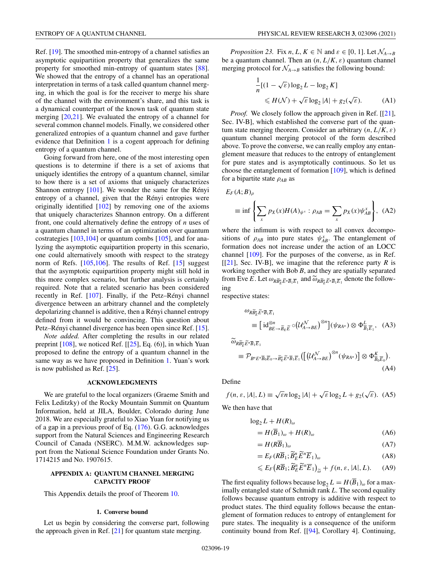<span id="page-19-0"></span>Ref. [\[19\]](#page-24-0). The smoothed min-entropy of a channel satisfies an asymptotic equipartition property that generalizes the same property for smoothed min-entropy of quantum states [\[88\]](#page-25-0). We showed that the entropy of a channel has an operational interpretation in terms of a task called quantum channel merging, in which the goal is for the receiver to merge his share of the channel with the environment's share, and this task is a dynamical counterpart of the known task of quantum state merging [\[20,21\]](#page-24-0). We evaluated the entropy of a channel for several common channel models. Finally, we considered other generalized entropies of a quantum channel and gave further evidence that Definition [1](#page-2-0) is a cogent approach for defining entropy of a quantum channel.

Going forward from here, one of the most interesting open questions is to determine if there is a set of axioms that uniquely identifies the entropy of a quantum channel, similar to how there is a set of axioms that uniquely characterizes Shannon entropy [\[101\]](#page-26-0). We wonder the same for the Rényi entropy of a channel, given that the Rényi entropies were originally identified  $[102]$  by removing one of the axioms that uniquely characterizes Shannon entropy. On a different front, one could alternatively define the entropy of *n* uses of a quantum channel in terms of an optimization over quantum costrategies  $[103, 104]$  or quantum combs  $[105]$ , and for analyzing the asymptotic equipartition property in this scenario, one could alternatively smooth with respect to the strategy norm of Refs. [\[105,106\]](#page-26-0). The results of Ref. [\[15\]](#page-24-0) suggest that the asymptotic equipartition property might still hold in this more complex scenario, but further analysis is certainly required. Note that a related scenario has been considered recently in Ref. [\[107\]](#page-26-0). Finally, if the Petz–Rényi channel divergence between an arbitrary channel and the completely depolarizing channel is additive, then a Rényi channel entropy defined from it would be convincing. This question about Petz–Rényi channel divergence has been open since Ref. [\[15\]](#page-24-0).

*Note added.* After completing the results in our related preprint [\[108\]](#page-26-0), we noticed Ref. [[\[25\]](#page-24-0), Eq. (6)], in which Yuan proposed to define the entropy of a quantum channel in the same way as we have proposed in Definition [1.](#page-2-0) Yuan's work is now published as Ref. [\[25\]](#page-24-0).

## **ACKNOWLEDGMENTS**

We are grateful to the local organizers (Graeme Smith and Felix Leditzky) of the Rocky Mountain Summit on Quantum Information, held at JILA, Boulder, Colorado during June 2018. We are especially grateful to Xiao Yuan for notifying us of a gap in a previous proof of Eq. [\(176\)](#page-13-0). G.G. acknowledges support from the Natural Sciences and Engineering Research Council of Canada (NSERC). M.M.W. acknowledges support from the National Science Foundation under Grants No. 1714215 and No. 1907615.

## **APPENDIX A: QUANTUM CHANNEL MERGING CAPACITY PROOF**

This Appendix details the proof of Theorem [10.](#page-6-0)

#### **1. Converse bound**

Let us begin by considering the converse part, following the approach given in Ref. [\[21\]](#page-24-0) for quantum state merging.

*Proposition 23.* Fix *n*, *L*,  $K \in \mathbb{N}$  and  $\varepsilon \in [0, 1]$ . Let  $\mathcal{N}_{A \to B}$ be a quantum channel. Then an  $(n, L/K, \varepsilon)$  quantum channel merging protocol for  $\mathcal{N}_{A\rightarrow B}$  satisfies the following bound:

$$
\frac{1}{n}[(1 - \sqrt{\varepsilon}) \log_2 L - \log_2 K]
$$
  
\$\leq H(\mathcal{N}) + \sqrt{\varepsilon} \log\_2 |A| + g\_2(\sqrt{\varepsilon}). \qquad (A1)\$

*Proof.* We closely follow the approach given in Ref. [[\[21\]](#page-24-0), Sec. IV-B], which established the converse part of the quantum state merging theorem. Consider an arbitrary  $(n, L/K, \varepsilon)$ quantum channel merging protocol of the form described above. To prove the converse, we can really employ any entanglement measure that reduces to the entropy of entanglement for pure states and is asymptotically continuous. So let us choose the entanglement of formation [\[109\]](#page-26-0), which is defined for a bipartite state ρ*AB* as

$$
E_F(A;B)_{\rho}
$$
  
\n
$$
\equiv \inf \left\{ \sum_x p_X(x) H(A)_{\psi^x} : \rho_{AB} = \sum_x p_X(x) \psi_{AB}^x \right\}, \quad (A2)
$$

where the infimum is with respect to all convex decompositions of  $\rho_{AB}$  into pure states  $\psi_{AB}^x$ . The entanglement of formation does not increase under the action of an LOCC channel [\[109\]](#page-26-0). For the purposes of the converse, as in Ref.  $[[21]$  $[[21]$ , Sec. IV-B], we imagine that the reference party *R* is working together with Bob *B*, and they are spatially separated from Eve *E*. Let  $\omega_{R\widetilde{B}_{E}^{n}\widetilde{E}^{n}\overline{B}_{1}\overline{E}_{1}}$  and  $\widetilde{\omega}_{R\widetilde{B}_{E}^{n}\widetilde{E}^{n}\overline{B}_{1}\overline{E}_{1}}$  denote the following

respective states:

$$
\omega_{R\widetilde{B}_{E}^{n}\widetilde{E}^{n}\overline{B}_{1}\overline{E}_{1}}\n\equiv \left[\mathrm{id}_{BE\to \widetilde{B}_{E}\widetilde{E}}^{\otimes n} \circ (\mathcal{U}_{A\to BE}^{\mathcal{N}})^{\otimes n}\right] (\psi_{RA^{n}}) \otimes \Phi_{\overline{B}_{1}\overline{E}_{1}}^{L}, \quad (A3)
$$
\n
$$
\widetilde{\omega}_{R\widetilde{B}_{E}^{n}\widetilde{E}^{n}\overline{B}_{1}\overline{E}_{1}}
$$

$$
\equiv \mathcal{P}_{B^n E^n \overline{B}_0 \overline{E}_0 \to \widetilde{B}_E^n \widetilde{E}^n \overline{B}_1 \overline{E}_1} \left( \left[ \left( \mathcal{U}_{A \to BE}^{\mathcal{N}} \right)^{\otimes n} (\psi_{RA^n}) \right] \otimes \Phi_{\overline{B}_0 \overline{E}_0}^{K} \right). \tag{A4}
$$

Define

 $f(n, \varepsilon, |A|, L) \equiv \sqrt{\varepsilon} n \log_2 |A| + \sqrt{\varepsilon} \log_2 L + g_2(\sqrt{\varepsilon}).$  (A5)

We then have that

$$
\log_2 L + H(R)_{\omega}
$$
  
=  $H(\overline{B}_1)_{\omega} + H(R)_{\omega}$  (A6)

$$
=H(R\overline{B}_1)_{\omega} \tag{A7}
$$

$$
=E_F(R\overline{B}_1;\widetilde{B}_E^n\widetilde{E}^n\overline{E}_1)_{\omega} \tag{A8}
$$

$$
\leqslant E_F\big(R\overline{B}_1;\widetilde{B}_E^n\widetilde{E}^n\overline{E}_1\big)_{\widetilde{\omega}}+f(n,\varepsilon,|A|,L). \qquad (A9)
$$

The first equality follows because  $\log_2 L = H(\overline{B}_1)_{\omega}$  for a maximally entangled state of Schmidt rank *L*. The second equality follows because quantum entropy is additive with respect to product states. The third equality follows because the entanglement of formation reduces to entropy of entanglement for pure states. The inequality is a consequence of the uniform continuity bound from Ref. [[\[94\]](#page-26-0), Corollary 4]. Continuing,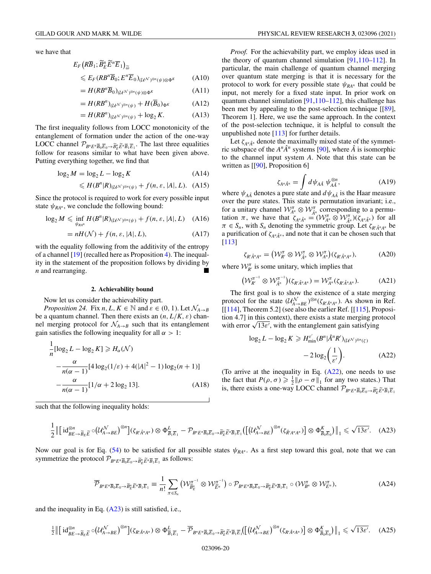<span id="page-20-0"></span>we have that

$$
E_F (R\overline{B}_1; \widetilde{B}_E^n \widetilde{E}^n \overline{E}_1)_{\widetilde{\omega}} \leqslant E_F (R\overline{B}^n \overline{B}_0; E^n \overline{E}_0)_{(\mathcal{U}^{\mathcal{N}})^{\otimes n}(\psi) \otimes \Phi^K}
$$
(A10)

$$
=H(RB^n\overline{B}_0)_{(\mathcal{U}^{\mathcal{N}})^{\otimes n}(\psi)\otimes\Phi^K}
$$
 (A11)

$$
=H(RBn)_{(\mathcal{U}^{\mathcal{N}})^{\otimes n}(\psi)}+H(\overline{B}_0)_{\Phi^{\mathcal{K}}}
$$
 (A12)

$$
=H(RBn)_{(\mathcal{U}^{\mathcal{N}})^{\otimes n}(\psi)} + \log_2 K. \tag{A13}
$$

The first inequality follows from LOCC monotonicity of the entanglement of formation under the action of the one-way LOCC channel  $\mathcal{P}_{B^n E^n \overline{B}_0 \overline{E}_0 \to \widetilde{B}_E^n \widetilde{E}_1 \overline{B}_1 \overline{E}_1}$ . The last three equalities follow for reasons similar to what have been given above. Putting everything together, we find that

$$
\log_2 M = \log_2 L - \log_2 K \tag{A14}
$$

$$
\leqslant H(B^n|R)_{(\mathcal{U}^{\mathcal{N}})^{\otimes n}(\psi)} + f(n,\varepsilon,|A|,L). \quad (A15)
$$

Since the protocol is required to work for every possible input state  $\psi_{RA^n}$ , we conclude the following bound:

$$
\log_2 M \leq \inf_{\psi_{RA^n}} H(B^n|R)_{(\mathcal{U}^{\mathcal{N}})^{\otimes n}(\psi)} + f(n, \varepsilon, |A|, L) \quad (A16)
$$

$$
= nH(\mathcal{N}) + f(n, \varepsilon, |A|, L), \tag{A17}
$$

with the equality following from the additivity of the entropy of a channel [\[19\]](#page-24-0) (recalled here as Proposition [4\)](#page-3-0). The inequality in the statement of the proposition follows by dividing by *n* and rearranging.

#### **2. Achievability bound**

Now let us consider the achievability part.

*Proposition 24.* Fix *n*, *L*,  $K \in \mathbb{N}$  and  $\varepsilon \in (0, 1)$ . Let  $\mathcal{N}_{A \rightarrow B}$ be a quantum channel. Then there exists an  $(n, L/K, \varepsilon)$  channel merging protocol for  $\mathcal{N}_{A\rightarrow B}$  such that its entanglement gain satisfies the following inequality for all  $\alpha > 1$ :

$$
\frac{1}{n}[\log_2 L - \log_2 K] \geq H_\alpha(\mathcal{N})
$$

$$
-\frac{\alpha}{n(\alpha - 1)}[4\log_2(1/\varepsilon) + 4(|A|^2 - 1)\log_2(n + 1)]
$$

$$
-\frac{\alpha}{n(\alpha - 1)}[1/\alpha + 2\log_2 13].
$$
 (A18)

such that the following inequality holds:

$$
\frac{1}{2} \left\| \left[ \mathrm{id}_{BE \to \widetilde{B}_{E} \widetilde{E}}^{\otimes n} \circ (\mathcal{U}_{A \to BE}^{\mathcal{N}})^{\otimes n} \right] (\zeta_{R'\hat{A}^n A^n}) \otimes \Phi_{\overline{B}_1 \overline{E}_1}^L - \mathcal{P}_{B^n E^n \overline{B}_0 \overline{E}_0 \to \widetilde{B}_E^n \widetilde{E}^n \overline{B}_1 \overline{E}_1} \left( \left[ (\mathcal{U}_{A \to BE}^{\mathcal{N}})^{\otimes n} (\zeta_{\hat{R}' A^n A^n}) \right] \otimes \Phi_{\overline{B}_0 \overline{E}_0}^K \right) \right\|_1 \leqslant \sqrt{13 \varepsilon'}. \tag{A23}
$$

Now our goal is for Eq. [\(54\)](#page-5-0) to be satisfied for all possible states  $\psi_{RA^n}$ . As a first step toward this goal, note that we can symmetrize the protocol  $\mathcal{P}_{B^nE^n\overline{B}_0\overline{E}_0 \to \widetilde{B}_E^n\overline{E}_1\overline{B}_1\overline{E}_1}$  as follows:

$$
\overline{\mathcal{P}}_{B^n E^n \overline{B}_0 \overline{E}_0 \to \widetilde{B}_E^n \widetilde{E}^n \overline{B}_1 \overline{E}_1} \equiv \frac{1}{n!} \sum_{\pi \in S_n} \left( \mathcal{W}_{\widetilde{B}_E^n}^{\pi^{-1}} \otimes \mathcal{W}_{\widetilde{E}^n}^{\pi^{-1}} \right) \circ \mathcal{P}_{B^n E^n \overline{B}_0 \overline{E}_0 \to \widetilde{B}_E^n \widetilde{E}^n \overline{B}_1 \overline{E}_1} \circ (\mathcal{W}_{B^n}^{\pi} \otimes \mathcal{W}_{E^n}^{\pi}), \tag{A24}
$$

and the inequality in Eq.  $(A23)$  is still satisfied, i.e.,

$$
\frac{1}{2} \left\| \left[ \operatorname{id}_{BE \to \widetilde{B}_{E} \widetilde{E}}^{\otimes n} \circ (\mathcal{U}_{A \to BE}^{\mathcal{N}})^{\otimes n} \right] (\zeta_{R' \hat{A}^n A^n}) \otimes \Phi_{\overline{B}_1 \overline{E}_1}^L - \overline{\mathcal{P}}_{B^n E^n \overline{B}_0 \overline{E}_0 \to \widetilde{B}_E^n \widetilde{E}^n \overline{B}_1 \overline{E}_1} \left( \left[ (\mathcal{U}_{A \to BE}^{\mathcal{N}})^{\otimes n} (\zeta_{R' \hat{A}^n A^n}) \right] \otimes \Phi_{\overline{B}_0 \overline{E}_0}^K \right) \right\|_1 \leq \sqrt{13 \varepsilon'}.
$$
 (A25)

*Proof.* For the achievability part, we employ ideas used in the theory of quantum channel simulation [\[91](#page-25-0)[,110–112\]](#page-26-0). In particular, the main challenge of quantum channel merging over quantum state merging is that it is necessary for the protocol to work for every possible state  $\psi_{RA^n}$  that could be input, not merely for a fixed state input. In prior work on quantum channel simulation [\[91,](#page-25-0)[110–112\]](#page-26-0), this challenge has been met by appealing to the post-selection technique [[\[89\]](#page-25-0), Theorem 1]. Here, we use the same approach. In the context of the post-selection technique, it is helpful to consult the unpublished note [\[113\]](#page-26-0) for further details.

Let  $\zeta_{A^n\hat{A}^n}$  denote the maximally mixed state of the symmetric subspace of the  $A^n \hat{A}^n$  systems [\[90\]](#page-25-0), where  $\hat{A}$  is isomorphic to the channel input system *A*. Note that this state can be written as [[\[90\]](#page-25-0), Proposition 6]

$$
\zeta_{A^n\hat{A}^n} = \int d\psi_{A\hat{A}} \, \psi_{A\hat{A}}^{\otimes n},\tag{A19}
$$

where  $\psi_{A\hat{A}}$  denotes a pure state and  $d\psi_{A\hat{A}}$  is the Haar measure over the pure states. This state is permutation invariant; i.e., for a unitary channel  $\mathcal{W}_{A^n}^{\pi} \otimes \mathcal{W}_{\hat{A}^n}^{\pi}$  corresponding to a permutation  $\pi$ , we have that  $\zeta_{A^n \hat{A}^n} = (\mathcal{W}_{A^n}^{\pi} \otimes \mathcal{W}_{\hat{A}^n}^{\pi}) (\zeta_{A^n \hat{A}^n})$  for all  $\pi \in S_n$ , with  $S_n$  denoting the symmetric group. Let  $\zeta_{R'\hat{A}^nA^n}$  be a purification of  $\zeta_{A^n\hat{A}^n}$ , and note that it can be chosen such that [\[113\]](#page-26-0)

$$
\zeta_{R'\hat{A}^nA^n} = \left(\mathcal{W}_{R'}^{\pi} \otimes \mathcal{W}_{\hat{A}^n}^{\pi} \otimes \mathcal{W}_{A^n}^{\pi}\right)(\zeta_{R'\hat{A}^nA^n}), \tag{A20}
$$

where  $\mathcal{W}_{R'}^{\pi}$  is some unitary, which implies that

$$
(\mathcal{W}_{R'}^{\pi^{-1}} \otimes \mathcal{W}_{\hat{A}^n}^{\pi^{-1}})(\zeta_{R'\hat{A}^n A^n}) = \mathcal{W}_{A^n}^{\pi}(\zeta_{R'\hat{A}^n A^n}).
$$
 (A21)

The first goal is to show the existence of a state merging protocol for the state  $(U_{A\rightarrow BE}^{\mathcal{N}})^{\otimes n}(\zeta_{R'\hat{A}^nA^n})$ . As shown in Ref.  $[[114]$  $[[114]$ , Theorem 5.2] (see also the earlier Ref.  $[[115]$  $[[115]$ , Proposition 4.7] in this context), there exists a state merging protocol tion 4. *I* I in this context), there exists a state merging provith error  $\sqrt{13\epsilon'}$ , with the entanglement gain satisfying

$$
\log_2 L - \log_2 K \ge H_{\min}^{\varepsilon'}(B^n | \hat{A}^n R')_{(U^{A'})^{\otimes n}(\zeta)}
$$

$$
- 2 \log_2 \left(\frac{1}{\varepsilon'}\right). \tag{A22}
$$

(To arrive at the inequality in Eq. (A22), one needs to use the fact that  $P(\rho, \sigma) \ge \frac{1}{2} || \rho - \sigma ||_1$  for any two states.) That is, there exists a one-way LOCC channel  $\mathcal{P}_{B^n E^n \overline{B}_0 \overline{E}_0 \to \widetilde{B}_E^n \widetilde{E}_1 \overline{E}_1}$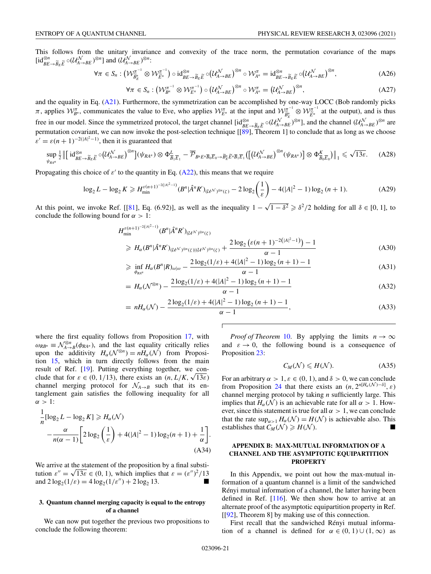<span id="page-21-0"></span>This follows from the unitary invariance and convexity of the trace norm, the permutation covariance of the maps  $\left[\text{id}_{BE\to \widetilde{B}_E\widetilde{E}}^{\otimes n} \circ (\mathcal{U}_{A\to BE}^{\mathcal{N}})^{\otimes n}\right]$  and  $(\mathcal{U}_{A\to BE}^{\mathcal{N}})^{\otimes n}$ :

$$
\forall \pi \in S_n : \left(\mathcal{W}_{\widetilde{B}_E^n}^{\pi^{-1}} \otimes \mathcal{W}_{\widetilde{E}^n}^{\pi^{-1}}\right) \circ \mathrm{id}_{BE \to \widetilde{B}_E \widetilde{E}}^{\otimes n} \circ \left(\mathcal{U}_{A \to BE}^{\mathcal{N}}\right)^{\otimes n} \circ \mathcal{W}_{A^n}^{\pi} = \mathrm{id}_{BE \to \widetilde{B}_E \widetilde{E}}^{\otimes n} \circ \left(\mathcal{U}_{A \to BE}^{\mathcal{N}}\right)^{\otimes n},\tag{A26}
$$

$$
\forall \pi \in S_n : \left(\mathcal{W}_{B^n}^{\pi^{-1}} \otimes \mathcal{W}_{E^n}^{\pi^{-1}}\right) \circ \left(\mathcal{U}_{A \to BE}^{\mathcal{N}}\right)^{\otimes n} \circ \mathcal{W}_{A^n}^{\pi} = \left(\mathcal{U}_{A \to BE}^{\mathcal{N}}\right)^{\otimes n},\tag{A27}
$$

and the equality in Eq. [\(A21\)](#page-20-0). Furthermore, the symmetrization can be accomplished by one-way LOCC (Bob randomly picks *π*, applies  $W_{B^n}^{\pi}$ , communicates the value to Eve, who applies  $W_{E^n}^{\pi}$  at the input and  $W_{\tilde{B}_E^n}^{\pi^{-1}} \otimes W_{\tilde{E}_n}^{\pi^{-1}}$  at the output), and is thus free in our model. Since the symmetrized protocol, the target channel  $[\text{id}^{\otimes n}_{BE\rightarrow \tilde{B}_E\tilde{E}} \circ (\mathcal{U}^{\mathcal{N}}_{A\rightarrow BE})^{\otimes n}]$ , and the channel  $(\mathcal{U}^{\mathcal{N}}_{A\rightarrow BE})^{\otimes n}$  are permutation covariant, we can now invoke the post-selection technique [[\[89\]](#page-25-0), Theorem 1] to conclude that as long as we choose  $\varepsilon' = \varepsilon (n+1)^{-2(|A|^2-1)}$ , then it is guaranteed that

$$
\sup_{\psi_{R A^n}} \frac{1}{2} \left\| \left[ \mathrm{id}_{BE \to \widetilde{B}_E}^{\otimes n} \widetilde{\mathcal{L}}(U_{A \to BE}^{\mathcal{N}}) ^{\otimes n} \right] (\psi_{R A^n}) \otimes \Phi_{\overline{B}_1 \overline{E}_1}^L - \overline{\mathcal{P}}_{B^n E^n \overline{B}_0 \overline{E}_0 \to \widetilde{B}_E^n \widetilde{E}^n \overline{B}_1 \overline{E}_1} \left( \left[ (U_{A \to BE}^{\mathcal{N}})^{\otimes n} (\psi_{R A^n}) \right] \otimes \Phi_{\overline{B}_0 \overline{E}_0}^K \right) \right\|_1 \leq \sqrt{13\varepsilon}.
$$
 (A28)

Propagating this choice of  $\varepsilon'$  to the quantity in Eq. [\(A22\)](#page-20-0), this means that we require

$$
\log_2 L - \log_2 K \geqslant H_{\min}^{\varepsilon(n+1)^{-2(|A|^2-1)}}(B^n|\hat{A}^nR')_{(U^{\mathcal{N}})^{\otimes n}(\zeta)} - 2\log_2\left(\frac{1}{\varepsilon}\right) - 4(|A|^2 - 1)\log_2\left(n+1\right). \tag{A29}
$$

At this point, we invoke Ref. [[\[81\]](#page-25-0), Eq. (6.92)], as well as the inequality  $1 - \sqrt{1 - \delta^2} \ge \delta^2/2$  holding for all  $\delta \in [0, 1]$ , to conclude the following bound for  $\alpha > 1$ :

 $\sqrt{2}$ 

$$
H_{\min}^{\varepsilon(n+1)^{-2(|A|^2-1)}}(B^n|\hat{A}^nR')_{(U^{\mathcal{N}})^{\otimes n}(\zeta)}
$$
  
\n
$$
\geq H_{\alpha}(B^n|\hat{A}^nR')_{(U^{\mathcal{N}})^{\otimes n}(\zeta)|(U^{\mathcal{N}})^{\otimes n}(\zeta)} + \frac{2\log_2\left(\varepsilon(n+1)^{-2(|A|^2-1)}\right) - 1}{\alpha - 1}
$$
\n(A30)

$$
\geq \inf_{\phi_{RA^n}} H_{\alpha}(B^n|R)_{\omega|\omega} - \frac{2\log_2(1/\varepsilon) + 4(|A|^2 - 1)\log_2(n+1) - 1}{\alpha - 1} \tag{A31}
$$

$$
= H_{\alpha}(\mathcal{N}^{\otimes n}) - \frac{2\log_2(1/\varepsilon) + 4(|A|^2 - 1)\log_2(n+1) - 1}{\alpha - 1}
$$
\n(A32)

$$
= nH_{\alpha}(\mathcal{N}) - \frac{2\log_2(1/\varepsilon) + 4(|A|^2 - 1)\log_2(n+1) - 1}{\alpha - 1},
$$
\n(A33)

where the first equality follows from Proposition [17,](#page-11-0) with  $\omega_{RB^n} \equiv \mathcal{N}_{A \to B}^{\otimes n}(\phi_{RA^n})$ , and the last equality critically relies upon the additivity  $H_{\alpha}(\mathcal{N}^{\otimes n}) = nH_{\alpha}(\mathcal{N})$  from Proposition [15,](#page-10-0) which in turn directly follows from the main result of Ref. [\[19\]](#page-24-0). Putting everything together, we conresult of Ref. [19]. Putting everything together, we conclude that for  $\varepsilon \in (0, 1/13)$ , there exists an  $(n, L/K, \sqrt{13\varepsilon})$ channel merging protocol for  $\mathcal{N}_{A\rightarrow B}$  such that its entanglement gain satisfies the following inequality for all  $\alpha > 1$ :

$$
\frac{1}{n}[\log_2 L - \log_2 K] \ge H_\alpha(\mathcal{N})
$$

$$
-\frac{\alpha}{n(\alpha - 1)} \left[ 2\log_2\left(\frac{1}{\varepsilon}\right) + 4(|A|^2 - 1)\log_2(n + 1) + \frac{1}{\alpha} \right].
$$
  
(A34)

We arrive at the statement of the proposition by a final substi-We arrive at the statement of the proposition by a final substitution  $\varepsilon'' = \sqrt{13\varepsilon} \in (0, 1)$ , which implies that  $\varepsilon = (\varepsilon'')^2/13$ and  $2\log_2(1/\varepsilon) = 4\log_2(1/\varepsilon'') + 2\log_2 13$ .

## **3. Quantum channel merging capacity is equal to the entropy of a channel**

We can now put together the previous two propositions to conclude the following theorem:

*Proof of Theorem* [10.](#page-6-0) By applying the limits  $n \to \infty$ and  $\varepsilon \to 0$ , the following bound is a consequence of Proposition [23:](#page-19-0)

$$
C_M(\mathcal{N}) \le H(\mathcal{N}).\tag{A35}
$$

For an arbitrary  $\alpha > 1$ ,  $\varepsilon \in (0, 1)$ , and  $\delta > 0$ , we can conclude from Proposition [24](#page-20-0) that there exists an  $(n, 2^{n[H_\alpha(\mathcal{N})-\delta]}, \varepsilon)$ channel merging protocol by taking *n* sufficiently large. This implies that  $H_{\alpha}(\mathcal{N})$  is an achievable rate for all  $\alpha > 1$ . However, since this statement is true for all  $\alpha > 1$ , we can conclude that the rate  $\sup_{\alpha>1} H_{\alpha}(\mathcal{N}) = H(\mathcal{N})$  is achievable also. This establishes that  $C_M(\mathcal{N}) \ge H(\mathcal{N})$ .

## **APPENDIX B: MAX-MUTUAL INFORMATION OF A CHANNEL AND THE ASYMPTOTIC EQUIPARTITION PROPERTY**

In this Appendix, we point out how the max-mutual information of a quantum channel is a limit of the sandwiched Rényi mutual information of a channel, the latter having been defined in Ref. [\[116\]](#page-26-0). We then show how to arrive at an alternate proof of the asymptotic equipartition property in Ref. [[\[92\]](#page-26-0), Theorem 8] by making use of this connection.

First recall that the sandwiched Rényi mutual information of a channel is defined for  $\alpha \in (0, 1) \cup (1, \infty)$  as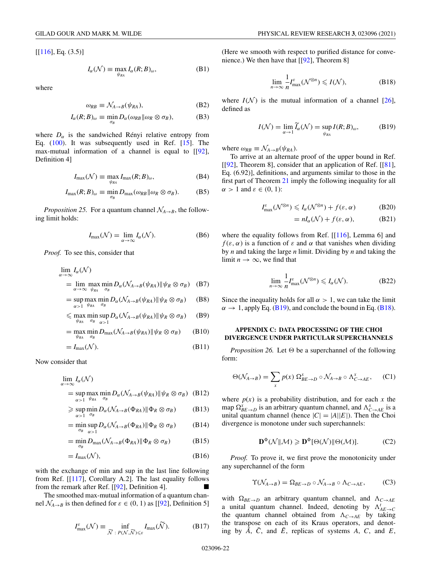<span id="page-22-0"></span> $[[116], Eq. (3.5)]$  $[[116], Eq. (3.5)]$  $[[116], Eq. (3.5)]$ 

$$
I_{\alpha}(\mathcal{N}) \equiv \max_{\psi_{RA}} I_{\alpha}(R;B)_{\omega}, \tag{B1}
$$

where

$$
\omega_{RB} \equiv \mathcal{N}_{A \to B}(\psi_{RA}), \tag{B2}
$$

$$
I_{\alpha}(R;B)_{\omega} \equiv \min_{\sigma_B} D_{\alpha}(\omega_{RB} || \omega_R \otimes \sigma_B), \tag{B3}
$$

where  $D_{\alpha}$  is the sandwiched Rényi relative entropy from Eq. [\(100\)](#page-10-0). It was subsequently used in Ref. [\[15\]](#page-24-0). The max-mutual information of a channel is equal to [[\[92\]](#page-26-0), Definition 4]

$$
I_{\max}(\mathcal{N}) \equiv \max_{\psi_{RA}} I_{\max}(R;B)_{\omega},
$$
 (B4)

$$
I_{\max}(R;B)_{\omega} \equiv \min_{\sigma_B} D_{\max}(\omega_{RB} || \omega_R \otimes \sigma_B). \tag{B5}
$$

*Proposition 25.* For a quantum channel  $\mathcal{N}_{A\rightarrow B}$ , the following limit holds:

$$
I_{\max}(\mathcal{N}) = \lim_{\alpha \to \infty} I_{\alpha}(\mathcal{N}).
$$
 (B6)

*Proof.* To see this, consider that

$$
\lim_{\alpha \to \infty} I_{\alpha}(\mathcal{N})
$$
\n
$$
= \lim_{\alpha \to \infty} \max_{\psi_{RA}} \min_{\sigma_B} D_{\alpha}(\mathcal{N}_{A \to B}(\psi_{RA}) || \psi_R \otimes \sigma_B)
$$
 (B7)

$$
= \sup_{\alpha > 1} \max_{\psi_{RA}} \min_{\sigma_B} D_{\alpha} (\mathcal{N}_{A \to B}(\psi_{RA}) || \psi_R \otimes \sigma_B)
$$
 (B8)

$$
\leqslant \max_{\psi_{RA}} \min_{\sigma_B} \sup_{\alpha > 1} D_{\alpha} (\mathcal{N}_{A \to B} (\psi_{RA}) \| \psi_R \otimes \sigma_B) \qquad (B9)
$$

$$
= \max_{\psi_{RA}} \min_{\sigma_B} D_{\max}(\mathcal{N}_{A \to B}(\psi_{RA}) || \psi_R \otimes \sigma_B)
$$
 (B10)

$$
=I_{\max}(\mathcal{N}).\tag{B11}
$$

Now consider that

$$
\lim_{\alpha \to \infty} I_{\alpha}(\mathcal{N})
$$
  
= sup max min  $D_{\alpha}(\mathcal{N}_{A \to B}(\psi_{RA}) || \psi_R \otimes \sigma_B)$  (B12)

$$
\begin{aligned}\n&\alpha > 1 \quad \psi_{RA} \quad \sigma_B \\
&\geq \sup_{\alpha > 1} \min_{\sigma_B} D_{\alpha} (\mathcal{N}_{A \to B}(\Phi_{RA}) \| \Phi_R \otimes \sigma_B) \\
&\geq \sup_{\alpha > 1} \sigma_B\n\end{aligned} \tag{B13}
$$

$$
= \min_{\sigma_B} \sup_{\alpha>1} D_{\alpha} (\mathcal{N}_{A\to B}(\Phi_{RA}) \| \Phi_R \otimes \sigma_B)
$$
 (B14)

$$
= \min_{\sigma_B} D_{\max} (\mathcal{N}_{A \to B}(\Phi_{RA}) \| \Phi_R \otimes \sigma_B)
$$
 (B15)

$$
=I_{\max}(\mathcal{N}),\tag{B16}
$$

with the exchange of min and sup in the last line following from Ref. [[\[117\]](#page-26-0), Corollary A.2]. The last equality follows from the remark after Ref.  $[[92]$  $[[92]$ , Definition 4].

The smoothed max-mutual information of a quantum channel  $\mathcal{N}_{A\rightarrow B}$  is then defined for  $\varepsilon \in (0, 1)$  as [[\[92\]](#page-26-0), Definition 5]

$$
I_{\max}^{\varepsilon}(\mathcal{N}) \equiv \inf_{\widetilde{\mathcal{N}} \; : \; P(\mathcal{N}, \widetilde{\mathcal{N}}) \leq \varepsilon} I_{\max}(\widetilde{\mathcal{N}}). \tag{B17}
$$

(Here we smooth with respect to purified distance for convenience.) We then have that [[\[92\]](#page-26-0), Theorem 8]

$$
\lim_{n \to \infty} \frac{1}{n} I_{\max}^{\varepsilon}(\mathcal{N}^{\otimes n}) \leqslant I(\mathcal{N}),
$$
\n(B18)

where  $I(\mathcal{N})$  is the mutual information of a channel [\[26\]](#page-24-0), defined as

$$
I(\mathcal{N}) = \lim_{\alpha \to 1} \widetilde{I}_{\alpha}(\mathcal{N}) = \sup_{\psi_{RA}} I(R;B)_{\omega},
$$
 (B19)

where  $\omega_{RB} \equiv \mathcal{N}_{A\rightarrow B}(\psi_{RA})$ .

To arrive at an alternate proof of the upper bound in Ref. [ $[92]$ , Theorem 8], consider that an application of Ref. [ $[81]$ , Eq. (6.92)], definitions, and arguments similar to those in the first part of Theorem [21](#page-13-0) imply the following inequality for all  $\alpha > 1$  and  $\varepsilon \in (0, 1)$ :

$$
I_{\max}^{\varepsilon}(\mathcal{N}^{\otimes n}) \leqslant I_{\alpha}(\mathcal{N}^{\otimes n}) + f(\varepsilon, \alpha) \tag{B20}
$$

$$
= nI_{\alpha}(\mathcal{N}) + f(\varepsilon, \alpha), \tag{B21}
$$

where the equality follows from Ref. [[\[116\]](#page-26-0), Lemma 6] and  $f(\varepsilon, \alpha)$  is a function of  $\varepsilon$  and  $\alpha$  that vanishes when dividing by *n* and taking the large *n* limit. Dividing by *n* and taking the limit  $n \to \infty$ , we find that

$$
\lim_{n \to \infty} \frac{1}{n} I_{\text{max}}^{\varepsilon}(\mathcal{N}^{\otimes n}) \leqslant I_{\alpha}(\mathcal{N}).
$$
 (B22)

Since the inequality holds for all  $\alpha > 1$ , we can take the limit  $\alpha \rightarrow 1$ , apply Eq. (B19), and conclude the bound in Eq. (B18).

## **APPENDIX C: DATA PROCESSING OF THE CHOI DIVERGENCE UNDER PARTICULAR SUPERCHANNELS**

*Proposition 26.* Let  $\Theta$  be a superchannel of the following form:

$$
\Theta(\mathcal{N}_{A\to B}) = \sum_{x} p(x) \, \Omega_{BE\to D}^{x} \circ \mathcal{N}_{A\to B} \circ \Lambda_{C\to AE}^{x}, \qquad (C1)
$$

where  $p(x)$  is a probability distribution, and for each x the map  $\Omega_{BE\rightarrow D}^{x}$  is an arbitrary quantum channel, and  $\Lambda_{C\rightarrow AE}^{x}$  is a unital quantum channel (hence  $|C|=|A||E|$ ). Then the Choi divergence is monotone under such superchannels:

$$
\mathbf{D}^{\Phi}(\mathcal{N}||\mathcal{M}) \geqslant \mathbf{D}^{\Phi}[\Theta(\mathcal{N})||\Theta(\mathcal{M})].
$$
 (C2)

*Proof.* To prove it, we first prove the monotonicity under any superchannel of the form

$$
\Upsilon(\mathcal{N}_{A\to B}) = \Omega_{BE\to D} \circ \mathcal{N}_{A\to B} \circ \Lambda_{C\to AE}, \qquad \text{(C3)}
$$

with  $\Omega_{BE\rightarrow D}$  an arbitrary quantum channel, and  $\Lambda_{C\rightarrow AE}$ a unital quantum channel. Indeed, denoting by  $\Lambda_{AE\to C}^t$ the quantum channel obtained from  $\Lambda_{C \to AE}$  by taking the transpose on each of its Kraus operators, and denoting by  $\overline{A}$ ,  $\overline{C}$ , and  $\overline{E}$ , replicas of systems *A*, *C*, and *E*,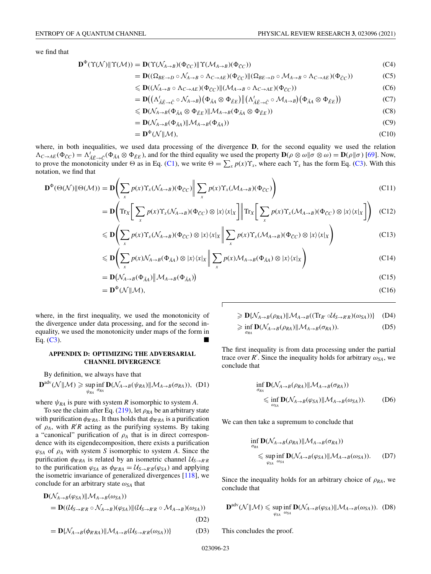<span id="page-23-0"></span>we find that

$$
\mathbf{D}^{\Phi}(\Upsilon(\mathcal{N}) \| \Upsilon(\mathcal{M})) = \mathbf{D}(\Upsilon(\mathcal{N}_{A \to B})(\Phi_{\tilde{C}C}) \| \Upsilon(\mathcal{M}_{A \to B})(\Phi_{\tilde{C}C}))
$$
(C4)

$$
= \mathbf{D}((\Omega_{BE \to D} \circ \mathcal{N}_{A \to B} \circ \Lambda_{C \to AE})(\Phi_{\tilde{C}C}) \| (\Omega_{BE \to D} \circ \mathcal{M}_{A \to B} \circ \Lambda_{C \to AE})(\Phi_{\tilde{C}C}))
$$
(C5)

$$
\leqslant \mathbf{D}((\mathcal{N}_{A\to B}\circ\Lambda_{C\to AE})(\Phi_{\tilde{C}C})\|(\mathcal{M}_{A\to B}\circ\Lambda_{C\to AE})(\Phi_{\tilde{C}C}))
$$
\n(C6)

$$
= \mathbf{D}((\Lambda_{\tilde{A}\tilde{E}\to\tilde{C}}^{\prime}\circ\mathcal{N}_{A\to B})(\Phi_{\tilde{A}A}\otimes\Phi_{\tilde{E}E})\|(\Lambda_{\tilde{A}\tilde{E}\to\tilde{C}}^{\prime}\circ\mathcal{M}_{A\to B})(\Phi_{\tilde{A}A}\otimes\Phi_{\tilde{E}E}))
$$
(C7)

$$
\leqslant \mathbf{D}(\mathcal{N}_{A\to B}(\Phi_{\tilde{A}A}\otimes\Phi_{\tilde{E}E})\|\mathcal{M}_{A\to B}(\Phi_{\tilde{A}A}\otimes\Phi_{\tilde{E}E}))
$$
\n(C8)

$$
= \mathbf{D}(\mathcal{N}_{A \to B}(\Phi_{\tilde{A}A}) \| \mathcal{M}_{A \to B}(\Phi_{\tilde{A}A})) \tag{C9}
$$

$$
= \mathbf{D}^{\Phi}(\mathcal{N} \| \mathcal{M}), \tag{C10}
$$

where, in both inequalities, we used data processing of the divergence **D**, for the second equality we used the relation  $\Lambda_{C \to AE}(\Phi_{\tilde{C}C}) = \Lambda_{\tilde{A}\tilde{E} \to \tilde{C}}^t(\Phi_{\tilde{A}A} \otimes \Phi_{\tilde{E}E})$ , and for the third equality we used the property  $\mathbf{D}(\rho \otimes \omega || \sigma \otimes \omega) = \mathbf{D}(\rho || \sigma)$  [\[69\]](#page-25-0). Now, to prove the monotonicity under  $\Theta$  as in Eq. [\(C1\)](#page-22-0), we write  $\Theta = \sum_{x} p(x) \Upsilon_x$ , where each  $\Upsilon_x$  has the form Eq. [\(C3\)](#page-22-0). With this notation, we find that

$$
\mathbf{D}^{\Phi}(\Theta(\mathcal{N}) \| \Theta(\mathcal{M})) = \mathbf{D} \left( \sum_{x} p(x) \Upsilon_{x} (\mathcal{N}_{A \to B}) (\Phi_{\tilde{C}C}) \middle\| \sum_{x} p(x) \Upsilon_{x} (\mathcal{M}_{A \to B}) (\Phi_{\tilde{C}C}) \right)
$$
(C11)

$$
= \mathbf{D} \Bigg( \mathrm{Tr}_X \Bigg[ \sum_x p(x) \Upsilon_x (\mathcal{N}_{A \to B}) (\Phi_{\tilde{C}C}) \otimes |x\rangle \langle x|_X \Bigg] \Bigg\| \mathrm{Tr}_X \Bigg[ \sum_x p(x) \Upsilon_x (\mathcal{M}_{A \to B}) (\Phi_{\tilde{C}C}) \otimes |x\rangle \langle x|_X \Bigg] \Bigg) \tag{C12}
$$

$$
\leqslant \mathbf{D} \Bigg( \sum_{x} p(x) \Upsilon_{x} (\mathcal{N}_{A \to B}) (\Phi_{\tilde{C}C}) \otimes |x\rangle \langle x|_{X} \Bigg| \Bigg| \sum_{x} p(x) \Upsilon_{x} (\mathcal{M}_{A \to B}) (\Phi_{\tilde{C}C}) \otimes |x\rangle \langle x|_{X} \Bigg) \tag{C13}
$$

$$
\leqslant \mathbf{D}\Bigg(\sum_{x}p(x)\mathcal{N}_{A\to B}(\Phi_{\tilde{A}A})\otimes|x\rangle\langle x|_{X}\Bigg\|\sum_{x}p(x)\mathcal{M}_{A\to B}(\Phi_{\tilde{A}A})\otimes|x\rangle\langle x|_{X}\Bigg) \tag{C14}
$$

$$
= \mathbf{D}\big(\mathcal{N}_{A\to B}(\Phi_{\tilde{A}A})\big|\mathcal{M}_{A\to B}(\Phi_{\tilde{A}A})\big) \tag{C15}
$$

$$
= \mathbf{D}^{\Phi}(\mathcal{N} \| \mathcal{M}), \tag{C16}
$$

i

where, in the first inequality, we used the monotonicity of the divergence under data processing, and for the second inequality, we used the monotonicity under maps of the form in Eq.  $(C3)$ .

#### **APPENDIX D: OPTIMIZING THE ADVERSARIAL CHANNEL DIVERGENCE**

By definition, we always have that

$$
\mathbf{D}^{\text{adv}}(\mathcal{N} \| \mathcal{M}) \geq \sup_{\psi_{RA}} \inf_{\sigma_{RA}} \mathbf{D}(\mathcal{N}_{A \to B}(\psi_{RA}) \| \mathcal{M}_{A \to B}(\sigma_{RA})), \text{ (D1)}
$$

where  $\psi_{RA}$  is pure with system *R* isomorphic to system *A*.

To see the claim after Eq.  $(219)$ , let  $\rho_{RA}$  be an arbitrary state with purification  $\phi_{R'RA}$ . It thus holds that  $\phi_{R'RA}$  is a purification of  $\rho_A$ , with  $R'R$  acting as the purifying systems. By taking a "canonical" purification of ρ*<sup>A</sup>* that is in direct correspondence with its eigendecomposition, there exists a purification  $\varphi_{SA}$  of  $\rho_A$  with system *S* isomorphic to system *A*. Since the purification  $\phi_{R'RA}$  is related by an isometric channel  $U_{S\to R'R}$ to the purification  $\varphi_{SA}$  as  $\phi_{R'RA} = U_{S \to R'R}(\varphi_{SA})$  and applying the isometric invariance of generalized divergences [\[118\]](#page-26-0), we conclude for an arbitrary state  $\omega_{SA}$  that

$$
\mathbf{D}(\mathcal{N}_{A\to B}(\varphi_{SA})||\mathcal{M}_{A\to B}(\omega_{SA}))
$$
\n
$$
= \mathbf{D}((\mathcal{U}_{S\to R'R} \circ \mathcal{N}_{A\to B})(\varphi_{SA})||(\mathcal{U}_{S\to R'R} \circ \mathcal{M}_{A\to B})(\omega_{SA}))
$$
\n
$$
(D2)
$$

$$
= \mathbf{D}\{\mathcal{N}_{A \to B}(\phi_{R'RA}) \| \mathcal{M}_{A \to B}(\mathcal{U}_{S \to R'R}(\omega_{SA}))\} \tag{D3}
$$

$$
\geqslant \mathbf{D}\{\mathcal{N}_{A\to B}(\rho_{RA})\|\mathcal{M}_{A\to B}((\text{Tr}_{R'}\circ\mathcal{U}_{S\to R'R})(\omega_{SA}))\}\quad (D4)
$$

$$
\geq \inf_{\sigma_{RA}} \mathbf{D}(\mathcal{N}_{A \to B}(\rho_{RA}) \| \mathcal{M}_{A \to B}(\sigma_{RA})). \tag{D5}
$$

The first inequality is from data processing under the partial trace over *R'*. Since the inequality holds for arbitrary  $\omega_{SA}$ , we conclude that

$$
\inf_{\sigma_{RA}} \mathbf{D}(\mathcal{N}_{A \to B}(\rho_{RA}) \| \mathcal{M}_{A \to B}(\sigma_{RA}))
$$
\n
$$
\leq \inf_{\omega_{SA}} \mathbf{D}(\mathcal{N}_{A \to B}(\varphi_{SA}) \| \mathcal{M}_{A \to B}(\omega_{SA})).
$$
\n(D6)

We can then take a supremum to conclude that

$$
\inf_{\sigma_{RA}} \mathbf{D}(\mathcal{N}_{A \to B}(\rho_{RA}) \| \mathcal{M}_{A \to B}(\sigma_{RA}))
$$
\n
$$
\leq \sup_{\varphi_{SA}} \inf_{\omega_{SA}} \mathbf{D}(\mathcal{N}_{A \to B}(\varphi_{SA}) \| \mathcal{M}_{A \to B}(\omega_{SA})).
$$
 (D7)

Since the inequality holds for an arbitrary choice of  $\rho_{RA}$ , we conclude that

$$
\mathbf{D}^{\text{adv}}(\mathcal{N}||\mathcal{M}) \leq \sup_{\varphi_{SA}} \inf_{\omega_{SA}} \mathbf{D}(\mathcal{N}_{A \to B}(\varphi_{SA})||\mathcal{M}_{A \to B}(\omega_{SA})). \text{ (D8)}
$$

This concludes the proof.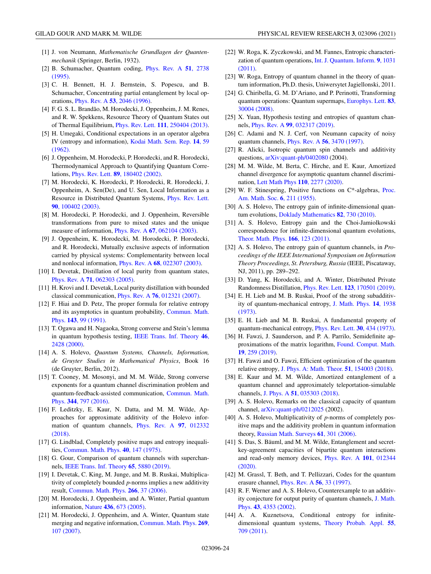- <span id="page-24-0"></span>[1] J. von Neumann, *Mathematische Grundlagen der Quantenmechanik* (Springer, Berlin, 1932).
- [2] [B. Schumacher, Quantum coding,](https://doi.org/10.1103/PhysRevA.51.2738) Phys. Rev. A **51**, 2738 (1995).
- [3] C. H. Bennett, H. J. Bernstein, S. Popescu, and B. Schumacher, Concentrating partial entanglement by local operations, Phys. Rev. A **53**[, 2046 \(1996\).](https://doi.org/10.1103/PhysRevA.53.2046)
- [4] F. G. S. L. Brandão, M. Horodecki, J. Oppenheim, J. M. Renes, and R. W. Spekkens, Resource Theory of Quantum States out of Thermal Equilibrium, Phys. Rev. Lett. **111**[, 250404 \(2013\).](https://doi.org/10.1103/PhysRevLett.111.250404)
- [5] H. Umegaki, Conditional expectations in an operator algebra [IV \(entropy and information\),](https://doi.org/10.2996/kmj/1138844604) Kodai Math. Sem. Rep. **14**, 59 (1962).
- [6] J. Oppenheim, M. Horodecki, P. Horodecki, and R. Horodecki, Thermodynamical Approach to Quantifying Quantum Correlations, Phys. Rev. Lett. **89**[, 180402 \(2002\).](https://doi.org/10.1103/PhysRevLett.89.180402)
- [7] M. Horodecki, K. Horodecki, P. Horodecki, R. Horodecki, J. Oppenheim, A. Sen(De), and U. Sen, Local Information as a [Resource in Distributed Quantum Systems,](https://doi.org/10.1103/PhysRevLett.90.100402) Phys. Rev. Lett. **90**, 100402 (2003).
- [8] M. Horodecki, P. Horodecki, and J. Oppenheim, Reversible transformations from pure to mixed states and the unique measure of information, Phys. Rev. A **67**[, 062104 \(2003\).](https://doi.org/10.1103/PhysRevA.67.062104)
- [9] J. Oppenheim, K. Horodecki, M. Horodecki, P. Horodecki, and R. Horodecki, Mutually exclusive aspects of information carried by physical systems: Complementarity between local and nonlocal information, Phys. Rev. A **68**[, 022307 \(2003\).](https://doi.org/10.1103/PhysRevA.68.022307)
- [10] I. Devetak, Distillation of local purity from quantum states, Phys. Rev. A **71**[, 062303 \(2005\).](https://doi.org/10.1103/PhysRevA.71.062303)
- [11] H. Krovi and I. Devetak, Local purity distillation with bounded classical communication, Phys. Rev. A **76**[, 012321 \(2007\).](https://doi.org/10.1103/PhysRevA.76.012321)
- [12] F. Hiai and D. Petz, The proper formula for relative entropy [and its asymptotics in quantum probability,](https://doi.org/10.1007/BF02100287) Commun. Math. Phys. **143**, 99 (1991).
- [13] T. Ogawa and H. Nagaoka, Strong converse and Stein's lemma [in quantum hypothesis testing,](https://doi.org/10.1109/18.887855) IEEE Trans. Inf. Theory **46**, 2428 (2000).
- [14] A. S. Holevo, *Quantum Systems, Channels, Information, de Gruyter Studies in Mathematical Physics*, Book 16 (de Gruyter, Berlin, 2012).
- [15] T. Cooney, M. Mosonyi, and M. M. Wilde, Strong converse exponents for a quantum channel discrimination problem and [quantum-feedback-assisted communication,](https://doi.org/10.1007/s00220-016-2645-4) Commun. Math. Phys. **344**, 797 (2016).
- [16] F. Leditzky, E. Kaur, N. Datta, and M. M. Wilde, Approaches for approximate additivity of the Holevo infor[mation of quantum channels,](https://doi.org/10.1103/PhysRevA.97.012332) Phys. Rev. A **97**, 012332 (2018).
- [17] G. Lindblad, Completely positive maps and entropy inequalities, [Commun. Math. Phys.](https://doi.org/10.1007/BF01609396) **40**, 147 (1975).
- [18] G. Gour, Comparison of quantum channels with superchannels, [IEEE Trans. Inf. Theory](https://doi.org/10.1109/TIT.2019.2907989) **65**, 5880 (2019).
- [19] I. Devetak, C. King, M. Junge, and M. B. Ruskai, Multiplicativity of completely bounded *p*-norms implies a new additivity result, [Commun. Math. Phys.](https://doi.org/10.1007/s00220-006-0034-0) **266**, 37 (2006).
- [20] M. Horodecki, J. Oppenheim, and A. Winter, Partial quantum information, Nature **436**[, 673 \(2005\).](https://doi.org/10.1038/nature03909)
- [21] M. Horodecki, J. Oppenheim, and A. Winter, Quantum state [merging and negative information,](https://doi.org/10.1007/s00220-006-0118-x) Commun. Math. Phys. **269**, 107 (2007).
- [22] W. Roga, K. Zyczkowski, and M. Fannes, Entropic characteri[zation of quantum operations,](https://doi.org/10.1142/S0219749911007794) Int. J. Quantum. Inform. **9**, 1031 (2011).
- [23] W. Roga, Entropy of quantum channel in the theory of quantum information, Ph.D. thesis, Uniwersytet Jagiellonski, 2011.
- [24] G. Chiribella, G. M. D'Ariano, and P. Perinotti, Transforming [quantum operations: Quantum supermaps,](https://doi.org/10.1209/0295-5075/83/30004) Europhys. Lett. **83**, 30004 (2008).
- [25] X. Yuan, Hypothesis testing and entropies of quantum channels, Phys. Rev. A **99**[, 032317 \(2019\).](https://doi.org/10.1103/PhysRevA.99.032317)
- [26] C. Adami and N. J. Cerf, von Neumann capacity of noisy quantum channels, Phys. Rev. A **56**[, 3470 \(1997\).](https://doi.org/10.1103/PhysRevA.56.3470)
- [27] R. Alicki, Isotropic quantum spin channels and additivity questions, [arXiv:quant-ph/0402080](http://arxiv.org/abs/arXiv:quant-ph/0402080) (2004).
- [28] M. M. Wilde, M. Berta, C. Hirche, and E. Kaur, Amortized channel divergence for asymptotic quantum channel discrimination, [Lett Math Phys](https://doi.org/10.1007/s11005-020-01297-7) **110**, 2277 (2020).
- [29] [W. F. Stinespring, Positive functions on C\\*-algebras,](https://doi.org/10.2307/2032342) Proc. Am. Math. Soc. **6**, 211 (1955).
- [30] A. S. Holevo, The entropy gain of infinite-dimensional quantum evolutions, [Doklady Mathematics](https://doi.org/10.1134/S1064562410050133) **82**, 730 (2010).
- [31] A. S. Holevo, Entropy gain and the Choi-Jamiolkowski correspondence for infinite-dimensional quantum evolutions, [Theor. Math. Phys.](https://doi.org/10.1007/s11232-011-0010-5) **166**, 123 (2011).
- [32] A. S. Holevo, The entropy gain of quantum channels, in *Proceedings of the IEEE International Symposium on Information Theory Proceedings, St. Petersburg, Russia* (IEEE, Piscataway, NJ, 2011), pp. 289–292.
- [33] D. Yang, K. Horodecki, and A. Winter, Distributed Private Randomness Distillation, Phys. Rev. Lett. **123**[, 170501 \(2019\).](https://doi.org/10.1103/PhysRevLett.123.170501)
- [34] E. H. Lieb and M. B. Ruskai, Proof of the strong subadditiv[ity of quantum-mechanical entropy,](https://doi.org/10.1063/1.1666274) J. Math. Phys. **14**, 1938 (1973).
- [35] E. H. Lieb and M. B. Ruskai, A fundamental property of quantum-mechanical entropy, [Phys. Rev. Lett.](https://doi.org/10.1103/PhysRevLett.30.434) **30**, 434 (1973).
- [36] H. Fawzi, J. Saunderson, and P. A. Parrilo, Semidefinite ap[proximations of the matrix logarithm,](https://doi.org/10.1007/s10208-018-9385-0) Found. Comput. Math. **19**, 259 (2019).
- [37] H. Fawzi and O. Fawzi, Efficient optimization of the quantum relative entropy, [J. Phys. A: Math. Theor.](https://doi.org/10.1088/1751-8121/aab285) **51**, 154003 (2018).
- [38] E. Kaur and M. M. Wilde, Amortized entanglement of a quantum channel and approximately teleportation-simulable channels, J. Phys. A **51**[, 035303 \(2018\).](https://doi.org/10.1088/1751-8121/aa9da7)
- [39] A. S. Holevo, Remarks on the classical capacity of quantum channel, [arXiv:quant-ph/0212025](http://arxiv.org/abs/arXiv:quant-ph/0212025) (2002).
- [40] A. S. Holevo, Multiplicativity of *p*-norms of completely positive maps and the additivity problem in quantum information theory, [Russian Math. Surveys](https://doi.org/10.1070/RM2006v061n02ABEH004313) **61**, 301 (2006).
- [41] S. Das, S. Bäuml, and M. M. Wilde, Entanglement and secretkey-agreement capacities of bipartite quantum interactions [and read-only memory devices,](https://doi.org/10.1103/PhysRevA.101.012344) Phys. Rev. A **101**, 012344 (2020).
- [42] M. Grassl, T. Beth, and T. Pellizzari, Codes for the quantum erasure channel, [Phys. Rev. A](https://doi.org/10.1103/PhysRevA.56.33) **56**, 33 (1997).
- [43] R. F. Werner and A. S. Holevo, Counterexample to an additiv[ity conjecture for output purity of quantum channels,](https://doi.org/10.1063/1.1498491) J. Math. Phys. **43**, 4353 (2002).
- [44] A. A. Kuznetsova, Conditional entropy for infinite[dimensional quantum systems,](https://doi.org/10.1137/S0040585X97985121) Theory Probab. Appl. **55**, 709 (2011).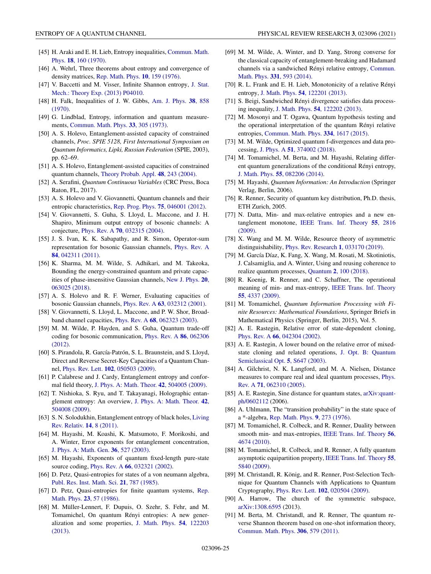- <span id="page-25-0"></span>[45] [H. Araki and E. H. Lieb, Entropy inequalities,](https://doi.org/10.1007/BF01646092) Commun. Math. Phys. **18**, 160 (1970).
- [46] A. Wehrl, Three theorems about entropy and convergence of density matrices, [Rep. Math. Phys.](https://doi.org/10.1016/0034-4877(76)90037-9) **10**, 159 (1976).
- [47] [V. Baccetti and M. Visser, Infinite Shannon entropy,](https://doi.org/10.1088/1742-5468/2013/04/P04010) J. Stat. Mech.: Theory Exp. (2013) P04010.
- [48] [H. Falk, Inequalities of J. W. Gibbs,](https://doi.org/10.1119/1.1976484) Am. J. Phys. **38**, 858 (1970).
- [49] G. Lindblad, Entropy, information and quantum measurements, [Commun. Math. Phys.](https://doi.org/10.1007/BF01646743) **33**, 305 (1973).
- [50] A. S. Holevo, Entanglement-assisted capacity of constrained channels, *Proc. SPIE 5128, First International Symposium on Quantum Informatics, Lipki, Russian Federation* (SPIE, 2003), pp. 62–69.
- [51] A. S. Holevo, Entanglement-assisted capacities of constrained quantum channels, [Theory Probab. Appl.](https://doi.org/10.1137/S0040585X97980415) **48**, 243 (2004).
- [52] A. Serafini, *Quantum Continuous Variables* (CRC Press, Boca Raton, FL, 2017).
- [53] A. S. Holevo and V. Giovannetti, Quantum channels and their entropic characteristics, [Rep. Prog. Phys.](https://doi.org/10.1088/0034-4885/75/4/046001) **75**, 046001 (2012).
- [54] V. Giovannetti, S. Guha, S. Lloyd, L. Maccone, and J. H. Shapiro, Minimum output entropy of bosonic channels: A conjecture, Phys. Rev. A **70**[, 032315 \(2004\).](https://doi.org/10.1103/PhysRevA.70.032315)
- [55] J. S. Ivan, K. K. Sabapathy, and R. Simon, Operator-sum [representation for bosonic Gaussian channels,](https://doi.org/10.1103/PhysRevA.84.042311) Phys. Rev. A **84**, 042311 (2011).
- [56] K. Sharma, M. M. Wilde, S. Adhikari, and M. Takeoka, Bounding the energy-constrained quantum and private capac[ities of phase-insensitive Gaussian channels,](https://doi.org/10.1088/1367-2630/aac11a) New J. Phys. **20**, 063025 (2018).
- [57] A. S. Holevo and R. F. Werner, Evaluating capacities of bosonic Gaussian channels, Phys. Rev. A **63**[, 032312 \(2001\).](https://doi.org/10.1103/PhysRevA.63.032312)
- [58] V. Giovannetti, S. Lloyd, L. Maccone, and P. W. Shor, Broadband channel capacities, Phys. Rev. A **68**[, 062323 \(2003\).](https://doi.org/10.1103/PhysRevA.68.062323)
- [59] M. M. Wilde, P. Hayden, and S. Guha, Quantum trade-off [coding for bosonic communication,](https://doi.org/10.1103/PhysRevA.86.062306) Phys. Rev. A **86**, 062306 (2012).
- [60] S. Pirandola, R. García-Patrón, S. L. Braunstein, and S. Lloyd, Direct and Reverse Secret-Key Capacities of a Quantum Channel, Phys. Rev. Lett. **102**[, 050503 \(2009\).](https://doi.org/10.1103/PhysRevLett.102.050503)
- [61] P. Calabrese and J. Cardy, Entanglement entropy and conformal field theory, [J. Phys. A: Math. Theor.](https://doi.org/10.1088/1751-8113/42/50/504005) **42**, 504005 (2009).
- [62] T. Nishioka, S. Ryu, and T. Takayanagi, Holographic entan[glement entropy: An overview,](https://doi.org/10.1088/1751-8113/42/50/504008) J. Phys. A: Math. Theor. **42**, 504008 (2009).
- [63] [S. N. Solodukhin, Entanglement entropy of black holes,](https://doi.org/10.12942/lrr-2011-8) Living Rev. Relativ. **14**, 8 (2011).
- [64] M. Hayashi, M. Koashi, K. Matsumoto, F. Morikoshi, and A. Winter, Error exponents for entanglement concentration, [J. Phys. A: Math. Gen.](https://doi.org/10.1088/0305-4470/36/2/316) **36**, 527 (2003).
- [65] M. Hayashi, Exponents of quantum fixed-length pure-state source coding, Phys. Rev. A **66**[, 032321 \(2002\).](https://doi.org/10.1103/PhysRevA.66.032321)
- [66] D. Petz, Quasi-entropies for states of a von neumann algebra, [Publ. Res. Inst. Math. Sci.](https://doi.org/10.2977/prims/1195178929) **21**, 787 (1985).
- [67] [D. Petz, Quasi-entropies for finite quantum systems,](https://doi.org/10.1016/0034-4877(86)90067-4) Rep. Math. Phys. **23**, 57 (1986).
- [68] M. Müller-Lennert, F. Dupuis, O. Szehr, S. Fehr, and M. Tomamichel, On quantum Rényi entropies: A new gener[alization and some properties,](https://doi.org/10.1063/1.4838856) J. Math. Phys. **54**, 122203 (2013).
- [69] M. M. Wilde, A. Winter, and D. Yang, Strong converse for the classical capacity of entanglement-breaking and Hadamard [channels via a sandwiched Rényi relative entropy,](https://doi.org/10.1007/s00220-014-2122-x) Commun. Math. Phys. **331**, 593 (2014).
- [70] R. L. Frank and E. H. Lieb, Monotonicity of a relative Rényi entropy, J. Math. Phys. **54**[, 122201 \(2013\).](https://doi.org/10.1063/1.4838835)
- [71] S. Beigi, Sandwiched Rényi divergence satisfies data processing inequality, J. Math. Phys. **54**[, 122202 \(2013\).](https://doi.org/10.1063/1.4838855)
- [72] M. Mosonyi and T. Ogawa, Quantum hypothesis testing and the operational interpretation of the quantum Rényi relative entropies, [Commun. Math. Phys.](https://doi.org/10.1007/s00220-014-2248-x) **334**, 1617 (2015).
- [73] M. M. Wilde, Optimized quantum f-divergences and data processing, J. Phys. A **51**[, 374002 \(2018\).](https://doi.org/10.1088/1751-8121/aad5a1)
- [74] M. Tomamichel, M. Berta, and M. Hayashi, Relating different quantum generalizations of the conditional Rényi entropy, J. Math. Phys. **55**[, 082206 \(2014\).](https://doi.org/10.1063/1.4892761)
- [75] M. Hayashi, *Quantum Information: An Introduction* (Springer Verlag, Berlin, 2006).
- [76] R. Renner, Security of quantum key distribution, Ph.D. thesis, ETH Zurich, 2005.
- [77] N. Datta, Min- and max-relative entropies and a new entanglement monotone, [IEEE Trans. Inf. Theory](https://doi.org/10.1109/TIT.2009.2018325) **55**, 2816 (2009).
- [78] X. Wang and M. M. Wilde, Resource theory of asymmetric distinguishability, [Phys. Rev. Research](https://doi.org/10.1103/PhysRevResearch.1.033170) **1**, 033170 (2019).
- [79] M. García Díaz, K. Fang, X. Wang, M. Rosati, M. Skotiniotis, J. Calsamiglia, and A. Winter, Using and reusing coherence to realize quantum processes, Quantum **2**[, 100 \(2018\).](https://doi.org/10.22331/q-2018-10-19-100)
- [80] R. Koenig, R. Renner, and C. Schaffner, The operational [meaning of min- and max-entropy,](https://doi.org/10.1109/TIT.2009.2025545) IEEE Trans. Inf. Theory **55**, 4337 (2009).
- [81] M. Tomamichel, *Quantum Information Processing with Finite Resources: Mathematical Foundations*, Springer Briefs in Mathematical Physics (Springer, Berlin, 2015), Vol. 5.
- [82] A. E. Rastegin, Relative error of state-dependent cloning, Phys. Rev. A **66**[, 042304 \(2002\).](https://doi.org/10.1103/PhysRevA.66.042304)
- [83] A. E. Rastegin, A lower bound on the relative error of mixed[state cloning and related operations,](https://doi.org/10.1088/1464-4266/5/6/017) J. Opt. B: Quantum Semiclassical Opt. **5**, S647 (2003).
- [84] A. Gilchrist, N. K. Langford, and M. A. Nielsen, Distance [measures to compare real and ideal quantum processes,](https://doi.org/10.1103/PhysRevA.71.062310) Phys. Rev. A **71**, 062310 (2005).
- [85] [A. E. Rastegin, Sine distance for quantum states,](http://arxiv.org/abs/arXiv:quant-ph/0602112)  $arXiv:quant$ ph/0602112 (2006).
- [86] A. Uhlmann, The "transition probability" in the state space of a \*-algebra, [Rep. Math. Phys.](https://doi.org/10.1016/0034-4877(76)90060-4) **9**, 273 (1976).
- [87] M. Tomamichel, R. Colbeck, and R. Renner, Duality between [smooth min- and max-entropies,](https://doi.org/10.1109/TIT.2010.2054130) IEEE Trans. Inf. Theory **56**, 4674 (2010).
- [88] M. Tomamichel, R. Colbeck, and R. Renner, A fully quantum [asymptotic equipartition property,](https://doi.org/10.1109/TIT.2009.2032797) IEEE Trans. Inf. Theory **55**, 5840 (2009).
- [89] M. Christandl, R. König, and R. Renner, Post-Selection Technique for Quantum Channels with Applications to Quantum Cryptography, Phys. Rev. Lett. **102**[, 020504 \(2009\).](https://doi.org/10.1103/PhysRevLett.102.020504)
- [90] A. Harrow, The church of the symmetric subspace, [arXiv:1308.6595](http://arxiv.org/abs/arXiv:1308.6595) (2013).
- [91] M. Berta, M. Christandl, and R. Renner, The quantum reverse Shannon theorem based on one-shot information theory, [Commun. Math. Phys.](https://doi.org/10.1007/s00220-011-1309-7) **306**, 579 (2011).